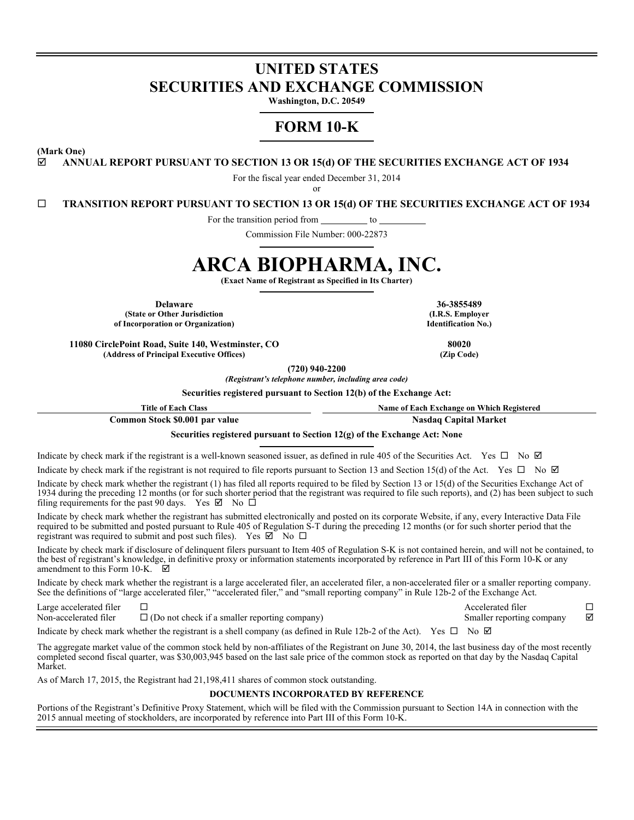# **UNITED STATES SECURITIES AND EXCHANGE COMMISSION**

**Washington, D.C. 20549**

# **FORM 10-K**

**(Mark One)**

#### **ANNUAL REPORT PURSUANT TO SECTION 13 OR 15(d) OF THE SECURITIES EXCHANGE ACT OF 1934**

For the fiscal year ended December 31, 2014

or

**TRANSITION REPORT PURSUANT TO SECTION 13 OR 15(d) OF THE SECURITIES EXCHANGE ACT OF 1934**

For the transition period from \_\_\_\_\_\_\_\_\_\_ to

Commission File Number: 000-22873

# **ARCA BIOPHARMA, INC.**

**(Exact Name of Registrant as Specified in Its Charter)**

**Delaware 36-3855489 (State or Other Jurisdiction of Incorporation or Organization)**

**11080 CirclePoint Road, Suite 140, Westminster, CO 80020 (Address of Principal Executive Offices) (Zip Code)**

**(720) 940-2200**

*(Registrant's telephone number, including area code)*

**Securities registered pursuant to Section 12(b) of the Exchange Act:**

**Title of Each Class Name of Each Exchange on Which Registered**

**Common Stock \$0.001 par value Nasdaq Capital Market**

**Securities registered pursuant to Section 12(g) of the Exchange Act: None**

Indicate by check mark if the registrant is a well-known seasoned issuer, as defined in rule 405 of the Securities Act. Yes  $\Box$  No  $\Box$ 

Indicate by check mark if the registrant is not required to file reports pursuant to Section 13 and Section 15(d) of the Act. Yes  $\Box$  No  $\Box$ 

Indicate by check mark whether the registrant (1) has filed all reports required to be filed by Section 13 or 15(d) of the Securities Exchange Act of 1934 during the preceding 12 months (or for such shorter period that the registrant was required to file such reports), and (2) has been subject to such filing requirements for the past 90 days. Yes  $\boxtimes$  No  $\Box$ 

Indicate by check mark whether the registrant has submitted electronically and posted on its corporate Website, if any, every Interactive Data File required to be submitted and posted pursuant to Rule 405 of Regulation S-T during the preceding 12 months (or for such shorter period that the registrant was required to submit and post such files). Yes  $\boxtimes^-$  No  $\square$ 

Indicate by check mark if disclosure of delinquent filers pursuant to Item 405 of Regulation S-K is not contained herein, and will not be contained, to the best of registrant's knowledge, in definitive proxy or information statements incorporated by reference in Part III of this Form 10-K or any amendment to this Form 10-K.  $\Box$ 

Indicate by check mark whether the registrant is a large accelerated filer, an accelerated filer, a non-accelerated filer or a smaller reporting company. See the definitions of "large accelerated filer," "accelerated filer," and "small reporting company" in Rule 12b-2 of the Exchange Act.

Large accelerated filer  $\Box$ Non-accelerated filer  $\square$  (Do not check if a smaller reporting company) Smaller reporting company  $\square$ 

Indicate by check mark whether the registrant is a shell company (as defined in Rule 12b-2 of the Act). Yes  $\Box$  No  $\Box$ 

The aggregate market value of the common stock held by non-affiliates of the Registrant on June 30, 2014, the last business day of the most recently completed second fiscal quarter, was \$30,003,945 based on the last sale price of the common stock as reported on that day by the Nasdaq Capital Market.

As of March 17, 2015, the Registrant had 21,198,411 shares of common stock outstanding.

#### **DOCUMENTS INCORPORATED BY REFERENCE**

Portions of the Registrant's Definitive Proxy Statement, which will be filed with the Commission pursuant to Section 14A in connection with the 2015 annual meeting of stockholders, are incorporated by reference into Part III of this Form 10-K.

**(I.R.S. Employer Identification No.)**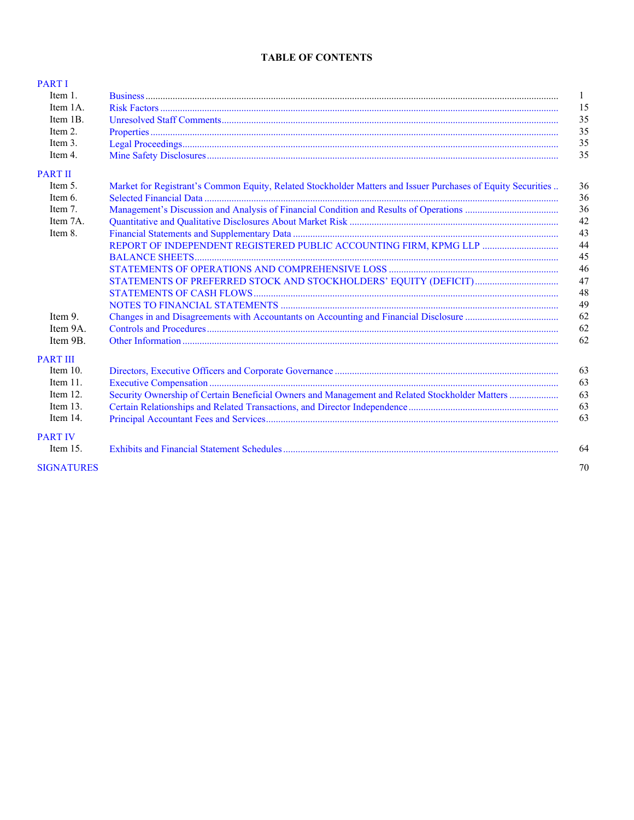# **TABLE OF CONTENTS**

| <b>PART I</b>     |                                                                                                              |              |
|-------------------|--------------------------------------------------------------------------------------------------------------|--------------|
| Item 1.           |                                                                                                              | $\mathbf{1}$ |
| Item 1A.          |                                                                                                              | 15           |
| Item 1B.          |                                                                                                              | 35           |
| Item 2.           |                                                                                                              | 35           |
| Item 3.           |                                                                                                              | 35           |
| Item 4.           |                                                                                                              | 35           |
| <b>PART II</b>    |                                                                                                              |              |
| Item 5.           | Market for Registrant's Common Equity, Related Stockholder Matters and Issuer Purchases of Equity Securities | 36           |
| Item 6.           |                                                                                                              | 36           |
| Item 7.           |                                                                                                              | 36           |
| Item 7A.          |                                                                                                              | 42           |
| Item 8.           |                                                                                                              | 43           |
|                   |                                                                                                              | 44           |
|                   |                                                                                                              | 45           |
|                   |                                                                                                              | 46           |
|                   |                                                                                                              | 47           |
|                   |                                                                                                              | 48           |
|                   |                                                                                                              | 49           |
| Item 9.           |                                                                                                              | 62           |
| Item 9A.          |                                                                                                              | 62           |
| Item 9B.          |                                                                                                              | 62           |
| <b>PART III</b>   |                                                                                                              |              |
| Item $10$ .       |                                                                                                              | 63           |
| Item 11.          |                                                                                                              | 63           |
| Item 12.          | Security Ownership of Certain Beneficial Owners and Management and Related Stockholder Matters               | 63           |
| Item $13$ .       |                                                                                                              | 63           |
| Item 14.          |                                                                                                              | 63           |
| <b>PART IV</b>    |                                                                                                              |              |
| Item $151$        |                                                                                                              | 64           |
| <b>SIGNATURES</b> |                                                                                                              | 70           |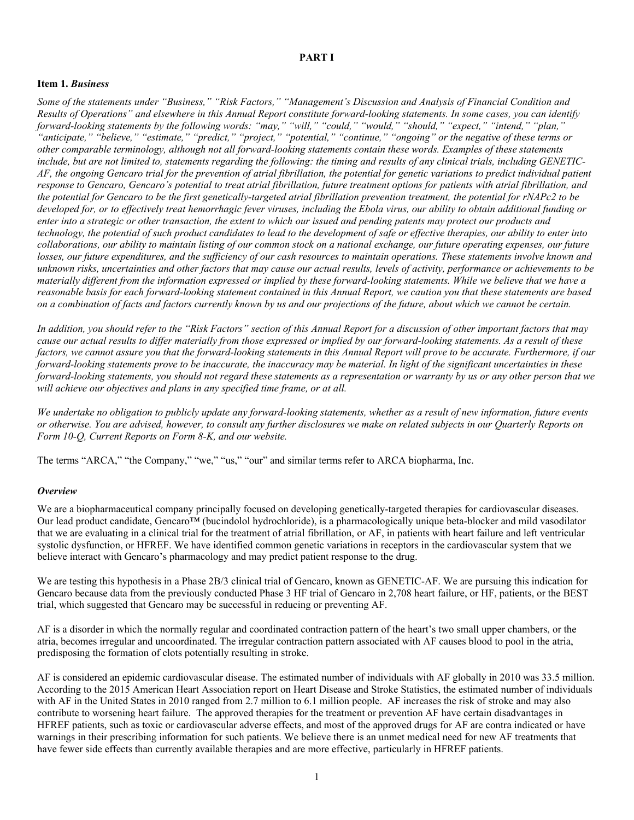# <span id="page-2-0"></span>**PART I**

#### <span id="page-2-1"></span>**Item 1.** *Business*

Some of the statements under "Business," "Risk Factors," "Management's Discussion and Analysis of Financial Condition and Results of Operations" and elsewhere in this Annual Report constitute forward-looking statements. In some cases, you can identify *forward-looking statements by the following words: "may," "will," "could," "would," "should," "expect," "intend," "plan,"* "anticipate," "believe," "estimate," "predict," "project," "potential," "continue," "ongoing" or the negative of these terms or other comparable terminology, although not all forward-looking statements contain these words. Examples of these statements include, but are not limited to, statements regarding the following: the timing and results of any clinical trials, including GENETIC-AF, the ongoing Gencaro trial for the prevention of atrial fibrillation, the potential for genetic variations to predict individual patient response to Gencaro, Gencaro's potential to treat atrial fibrillation, future treatment options for patients with atrial fibrillation, and the potential for Gencaro to be the first genetically-targeted atrial fibrillation prevention treatment, the potential for rNAPc2 to be developed for, or to effectively treat hemorrhagic fever viruses, including the Ebola virus, our ability to obtain additional funding or enter into a strategic or other transaction, the extent to which our issued and pending patents may protect our products and technology, the potential of such product candidates to lead to the development of safe or effective therapies, our ability to enter into collaborations, our ability to maintain listing of our common stock on a national exchange, our future operating expenses, our future losses, our future expenditures, and the sufficiency of our cash resources to maintain operations. These statements involve known and unknown risks, uncertainties and other factors that may cause our actual results, levels of activity, performance or achievements to be materially different from the information expressed or implied by these forward-looking statements. While we believe that we have a reasonable basis for each forward-looking statement contained in this Annual Report, we caution you that these statements are based on a combination of facts and factors currently known by us and our projections of the future, about which we cannot be certain.

In addition, you should refer to the "Risk Factors" section of this Annual Report for a discussion of other important factors that may cause our actual results to differ materially from those expressed or implied by our forward-looking statements. As a result of these factors, we cannot assure you that the forward-looking statements in this Annual Report will prove to be accurate. Furthermore, if our forward-looking statements prove to be inaccurate, the inaccuracy may be material. In light of the significant uncertainties in these forward-looking statements, you should not regard these statements as a representation or warranty by us or any other person that we *will achieve our objectives and plans in any specified time frame, or at all.*

We undertake no obligation to publicly update any forward-looking statements, whether as a result of new information, future events or otherwise. You are advised, however, to consult any further disclosures we make on related subjects in our Quarterly Reports on *Form 10-Q, Current Reports on Form 8-K, and our website.*

The terms "ARCA," "the Company," "we," "us," "our" and similar terms refer to ARCA biopharma, Inc.

#### *Overview*

We are a biopharmaceutical company principally focused on developing genetically-targeted therapies for cardiovascular diseases. Our lead product candidate, Gencaro™ (bucindolol hydrochloride), is a pharmacologically unique beta-blocker and mild vasodilator that we are evaluating in a clinical trial for the treatment of atrial fibrillation, or AF, in patients with heart failure and left ventricular systolic dysfunction, or HFREF. We have identified common genetic variations in receptors in the cardiovascular system that we believe interact with Gencaro's pharmacology and may predict patient response to the drug.

We are testing this hypothesis in a Phase 2B/3 clinical trial of Gencaro, known as GENETIC-AF. We are pursuing this indication for Gencaro because data from the previously conducted Phase 3 HF trial of Gencaro in 2,708 heart failure, or HF, patients, or the BEST trial, which suggested that Gencaro may be successful in reducing or preventing AF.

AF is a disorder in which the normally regular and coordinated contraction pattern of the heart's two small upper chambers, or the atria, becomes irregular and uncoordinated. The irregular contraction pattern associated with AF causes blood to pool in the atria, predisposing the formation of clots potentially resulting in stroke.

AF is considered an epidemic cardiovascular disease. The estimated number of individuals with AF globally in 2010 was 33.5 million. According to the 2015 American Heart Association report on Heart Disease and Stroke Statistics, the estimated number of individuals with AF in the United States in 2010 ranged from 2.7 million to 6.1 million people. AF increases the risk of stroke and may also contribute to worsening heart failure. The approved therapies for the treatment or prevention AF have certain disadvantages in HFREF patients, such as toxic or cardiovascular adverse effects, and most of the approved drugs for AF are contra indicated or have warnings in their prescribing information for such patients. We believe there is an unmet medical need for new AF treatments that have fewer side effects than currently available therapies and are more effective, particularly in HFREF patients.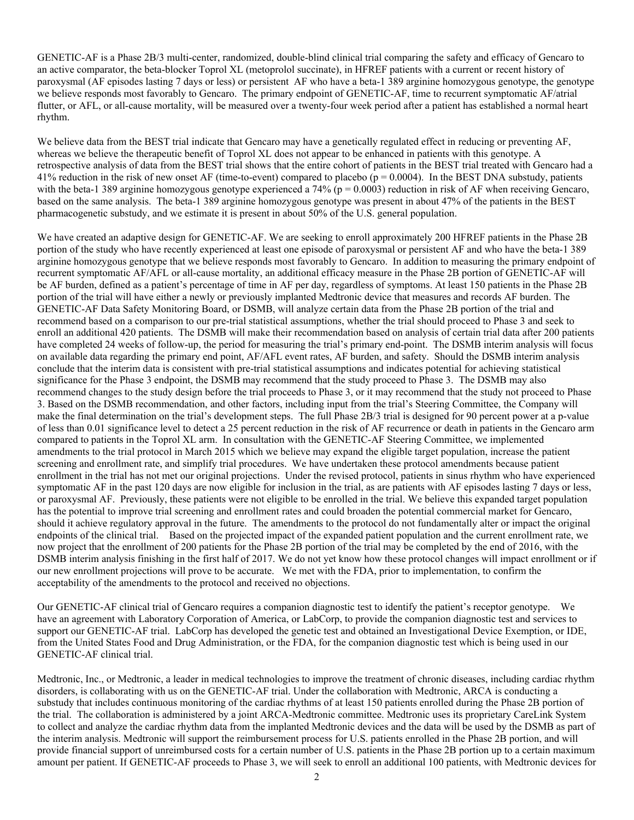GENETIC-AF is a Phase 2B/3 multi-center, randomized, double-blind clinical trial comparing the safety and efficacy of Gencaro to an active comparator, the beta-blocker Toprol XL (metoprolol succinate), in HFREF patients with a current or recent history of paroxysmal (AF episodes lasting 7 days or less) or persistent AF who have a beta-1 389 arginine homozygous genotype, the genotype we believe responds most favorably to Gencaro. The primary endpoint of GENETIC-AF, time to recurrent symptomatic AF/atrial flutter, or AFL, or all-cause mortality, will be measured over a twenty-four week period after a patient has established a normal heart rhythm.

We believe data from the BEST trial indicate that Gencaro may have a genetically regulated effect in reducing or preventing AF, whereas we believe the therapeutic benefit of Toprol XL does not appear to be enhanced in patients with this genotype. A retrospective analysis of data from the BEST trial shows that the entire cohort of patients in the BEST trial treated with Gencaro had a 41% reduction in the risk of new onset AF (time-to-event) compared to placebo ( $p = 0.0004$ ). In the BEST DNA substudy, patients with the beta-1 389 arginine homozygous genotype experienced a 74% ( $p = 0.0003$ ) reduction in risk of AF when receiving Gencaro, based on the same analysis. The beta-1 389 arginine homozygous genotype was present in about 47% of the patients in the BEST pharmacogenetic substudy, and we estimate it is present in about 50% of the U.S. general population.

We have created an adaptive design for GENETIC-AF. We are seeking to enroll approximately 200 HFREF patients in the Phase 2B portion of the study who have recently experienced at least one episode of paroxysmal or persistent AF and who have the beta-1 389 arginine homozygous genotype that we believe responds most favorably to Gencaro. In addition to measuring the primary endpoint of recurrent symptomatic AF/AFL or all-cause mortality, an additional efficacy measure in the Phase 2B portion of GENETIC-AF will be AF burden, defined as a patient's percentage of time in AF per day, regardless of symptoms. At least 150 patients in the Phase 2B portion of the trial will have either a newly or previously implanted Medtronic device that measures and records AF burden. The GENETIC-AF Data Safety Monitoring Board, or DSMB, will analyze certain data from the Phase 2B portion of the trial and recommend based on a comparison to our pre-trial statistical assumptions, whether the trial should proceed to Phase 3 and seek to enroll an additional 420 patients. The DSMB will make their recommendation based on analysis of certain trial data after 200 patients have completed 24 weeks of follow-up, the period for measuring the trial's primary end-point. The DSMB interim analysis will focus on available data regarding the primary end point, AF/AFL event rates, AF burden, and safety. Should the DSMB interim analysis conclude that the interim data is consistent with pre-trial statistical assumptions and indicates potential for achieving statistical significance for the Phase 3 endpoint, the DSMB may recommend that the study proceed to Phase 3. The DSMB may also recommend changes to the study design before the trial proceeds to Phase 3, or it may recommend that the study not proceed to Phase 3. Based on the DSMB recommendation, and other factors, including input from the trial's Steering Committee, the Company will make the final determination on the trial's development steps. The full Phase 2B/3 trial is designed for 90 percent power at a p-value of less than 0.01 significance level to detect a 25 percent reduction in the risk of AF recurrence or death in patients in the Gencaro arm compared to patients in the Toprol XL arm. In consultation with the GENETIC-AF Steering Committee, we implemented amendments to the trial protocol in March 2015 which we believe may expand the eligible target population, increase the patient screening and enrollment rate, and simplify trial procedures. We have undertaken these protocol amendments because patient enrollment in the trial has not met our original projections. Under the revised protocol, patients in sinus rhythm who have experienced symptomatic AF in the past 120 days are now eligible for inclusion in the trial, as are patients with AF episodes lasting 7 days or less, or paroxysmal AF. Previously, these patients were not eligible to be enrolled in the trial. We believe this expanded target population has the potential to improve trial screening and enrollment rates and could broaden the potential commercial market for Gencaro, should it achieve regulatory approval in the future. The amendments to the protocol do not fundamentally alter or impact the original endpoints of the clinical trial. Based on the projected impact of the expanded patient population and the current enrollment rate, we now project that the enrollment of 200 patients for the Phase 2B portion of the trial may be completed by the end of 2016, with the DSMB interim analysis finishing in the first half of 2017. We do not yet know how these protocol changes will impact enrollment or if our new enrollment projections will prove to be accurate. We met with the FDA, prior to implementation, to confirm the acceptability of the amendments to the protocol and received no objections.

Our GENETIC-AF clinical trial of Gencaro requires a companion diagnostic test to identify the patient's receptor genotype. We have an agreement with Laboratory Corporation of America, or LabCorp, to provide the companion diagnostic test and services to support our GENETIC-AF trial. LabCorp has developed the genetic test and obtained an Investigational Device Exemption, or IDE, from the United States Food and Drug Administration, or the FDA, for the companion diagnostic test which is being used in our GENETIC-AF clinical trial.

Medtronic, Inc., or Medtronic, a leader in medical technologies to improve the treatment of chronic diseases, including cardiac rhythm disorders, is collaborating with us on the GENETIC-AF trial. Under the collaboration with Medtronic, ARCA is conducting a substudy that includes continuous monitoring of the cardiac rhythms of at least 150 patients enrolled during the Phase 2B portion of the trial. The collaboration is administered by a joint ARCA-Medtronic committee. Medtronic uses its proprietary CareLink System to collect and analyze the cardiac rhythm data from the implanted Medtronic devices and the data will be used by the DSMB as part of the interim analysis. Medtronic will support the reimbursement process for U.S. patients enrolled in the Phase 2B portion, and will provide financial support of unreimbursed costs for a certain number of U.S. patients in the Phase 2B portion up to a certain maximum amount per patient. If GENETIC-AF proceeds to Phase 3, we will seek to enroll an additional 100 patients, with Medtronic devices for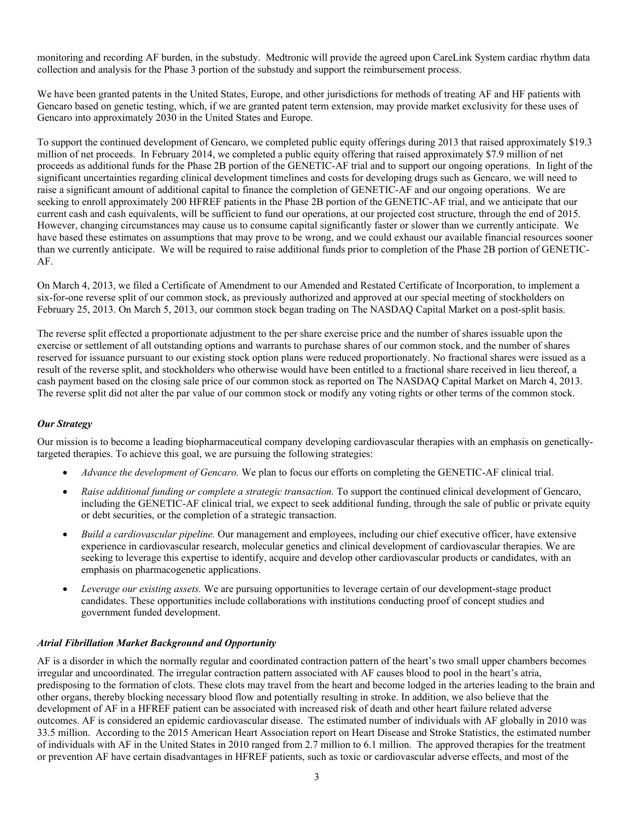monitoring and recording AF burden, in the substudy. Medtronic will provide the agreed upon CareLink System cardiac rhythm data collection and analysis for the Phase 3 portion of the substudy and support the reimbursement process.

We have been granted patents in the United States, Europe, and other jurisdictions for methods of treating AF and HF patients with Gencaro based on genetic testing, which, if we are granted patent term extension, may provide market exclusivity for these uses of Gencaro into approximately 2030 in the United States and Europe.

To support the continued development of Gencaro, we completed public equity offerings during 2013 that raised approximately \$19.3 million of net proceeds. In February 2014, we completed a public equity offering that raised approximately \$7.9 million of net proceeds as additional funds for the Phase 2B portion of the GENETIC-AF trial and to support our ongoing operations. In light of the significant uncertainties regarding clinical development timelines and costs for developing drugs such as Gencaro, we will need to raise a significant amount of additional capital to finance the completion of GENETIC-AF and our ongoing operations. We are seeking to enroll approximately 200 HFREF patients in the Phase 2B portion of the GENETIC-AF trial, and we anticipate that our current cash and cash equivalents, will be sufficient to fund our operations, at our projected cost structure, through the end of 2015. However, changing circumstances may cause us to consume capital significantly faster or slower than we currently anticipate. We have based these estimates on assumptions that may prove to be wrong, and we could exhaust our available financial resources sooner than we currently anticipate. We will be required to raise additional funds prior to completion of the Phase 2B portion of GENETIC-AF.

On March 4, 2013, we filed a Certificate of Amendment to our Amended and Restated Certificate of Incorporation, to implement a six-for-one reverse split of our common stock, as previously authorized and approved at our special meeting of stockholders on February 25, 2013. On March 5, 2013, our common stock began trading on The NASDAQ Capital Market on a post-split basis.

The reverse split effected a proportionate adjustment to the per share exercise price and the number of shares issuable upon the exercise or settlement of all outstanding options and warrants to purchase shares of our common stock, and the number of shares reserved for issuance pursuant to our existing stock option plans were reduced proportionately. No fractional shares were issued as a result of the reverse split, and stockholders who otherwise would have been entitled to a fractional share received in lieu thereof, a cash payment based on the closing sale price of our common stock as reported on The NASDAQ Capital Market on March 4, 2013. The reverse split did not alter the par value of our common stock or modify any voting rights or other terms of the common stock.

# *Our Strategy*

Our mission is to become a leading biopharmaceutical company developing cardiovascular therapies with an emphasis on geneticallytargeted therapies. To achieve this goal, we are pursuing the following strategies:

- *Advance the development of Gencaro.* We plan to focus our efforts on completing the GENETIC-AF clinical trial.
- *Raise additional funding or complete a strategic transaction.* To support the continued clinical development of Gencaro, including the GENETIC-AF clinical trial, we expect to seek additional funding, through the sale of public or private equity or debt securities, or the completion of a strategic transaction.
- *Build a cardiovascular pipeline.* Our management and employees, including our chief executive officer, have extensive experience in cardiovascular research, molecular genetics and clinical development of cardiovascular therapies. We are seeking to leverage this expertise to identify, acquire and develop other cardiovascular products or candidates, with an emphasis on pharmacogenetic applications.
- *Leverage our existing assets.* We are pursuing opportunities to leverage certain of our development-stage product candidates. These opportunities include collaborations with institutions conducting proof of concept studies and government funded development.

# *Atrial Fibrillation Market Background and Opportunity*

AF is a disorder in which the normally regular and coordinated contraction pattern of the heart's two small upper chambers becomes irregular and uncoordinated. The irregular contraction pattern associated with AF causes blood to pool in the heart's atria, predisposing to the formation of clots. These clots may travel from the heart and become lodged in the arteries leading to the brain and other organs, thereby blocking necessary blood flow and potentially resulting in stroke. In addition, we also believe that the development of AF in a HFREF patient can be associated with increased risk of death and other heart failure related adverse outcomes. AF is considered an epidemic cardiovascular disease. The estimated number of individuals with AF globally in 2010 was 33.5 million. According to the 2015 American Heart Association report on Heart Disease and Stroke Statistics, the estimated number of individuals with AF in the United States in 2010 ranged from 2.7 million to 6.1 million. The approved therapies for the treatment or prevention AF have certain disadvantages in HFREF patients, such as toxic or cardiovascular adverse effects, and most of the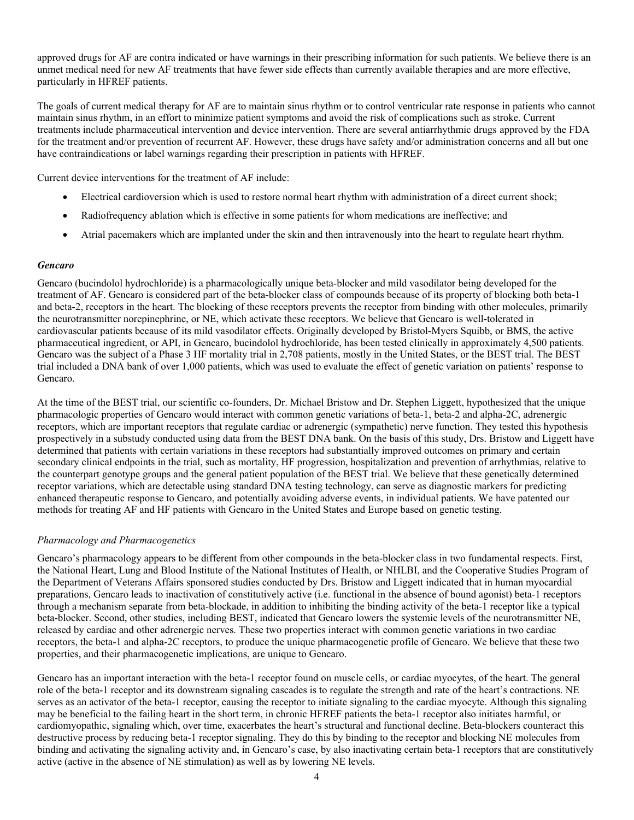approved drugs for AF are contra indicated or have warnings in their prescribing information for such patients. We believe there is an unmet medical need for new AF treatments that have fewer side effects than currently available therapies and are more effective, particularly in HFREF patients.

The goals of current medical therapy for AF are to maintain sinus rhythm or to control ventricular rate response in patients who cannot maintain sinus rhythm, in an effort to minimize patient symptoms and avoid the risk of complications such as stroke. Current treatments include pharmaceutical intervention and device intervention. There are several antiarrhythmic drugs approved by the FDA for the treatment and/or prevention of recurrent AF. However, these drugs have safety and/or administration concerns and all but one have contraindications or label warnings regarding their prescription in patients with HFREF.

Current device interventions for the treatment of AF include:

- Electrical cardioversion which is used to restore normal heart rhythm with administration of a direct current shock;
- Radiofrequency ablation which is effective in some patients for whom medications are ineffective; and
- Atrial pacemakers which are implanted under the skin and then intravenously into the heart to regulate heart rhythm.

#### *Gencaro*

Gencaro (bucindolol hydrochloride) is a pharmacologically unique beta-blocker and mild vasodilator being developed for the treatment of AF. Gencaro is considered part of the beta-blocker class of compounds because of its property of blocking both beta-1 and beta-2, receptors in the heart. The blocking of these receptors prevents the receptor from binding with other molecules, primarily the neurotransmitter norepinephrine, or NE, which activate these receptors. We believe that Gencaro is well-tolerated in cardiovascular patients because of its mild vasodilator effects. Originally developed by Bristol-Myers Squibb, or BMS, the active pharmaceutical ingredient, or API, in Gencaro, bucindolol hydrochloride, has been tested clinically in approximately 4,500 patients. Gencaro was the subject of a Phase 3 HF mortality trial in 2,708 patients, mostly in the United States, or the BEST trial. The BEST trial included a DNA bank of over 1,000 patients, which was used to evaluate the effect of genetic variation on patients' response to Gencaro.

At the time of the BEST trial, our scientific co-founders, Dr. Michael Bristow and Dr. Stephen Liggett, hypothesized that the unique pharmacologic properties of Gencaro would interact with common genetic variations of beta-1, beta-2 and alpha-2C, adrenergic receptors, which are important receptors that regulate cardiac or adrenergic (sympathetic) nerve function. They tested this hypothesis prospectively in a substudy conducted using data from the BEST DNA bank. On the basis of this study, Drs. Bristow and Liggett have determined that patients with certain variations in these receptors had substantially improved outcomes on primary and certain secondary clinical endpoints in the trial, such as mortality, HF progression, hospitalization and prevention of arrhythmias, relative to the counterpart genotype groups and the general patient population of the BEST trial. We believe that these genetically determined receptor variations, which are detectable using standard DNA testing technology, can serve as diagnostic markers for predicting enhanced therapeutic response to Gencaro, and potentially avoiding adverse events, in individual patients. We have patented our methods for treating AF and HF patients with Gencaro in the United States and Europe based on genetic testing.

#### *Pharmacology and Pharmacogenetics*

Gencaro's pharmacology appears to be different from other compounds in the beta-blocker class in two fundamental respects. First, the National Heart, Lung and Blood Institute of the National Institutes of Health, or NHLBI, and the Cooperative Studies Program of the Department of Veterans Affairs sponsored studies conducted by Drs. Bristow and Liggett indicated that in human myocardial preparations, Gencaro leads to inactivation of constitutively active (i.e. functional in the absence of bound agonist) beta-1 receptors through a mechanism separate from beta-blockade, in addition to inhibiting the binding activity of the beta-1 receptor like a typical beta-blocker. Second, other studies, including BEST, indicated that Gencaro lowers the systemic levels of the neurotransmitter NE, released by cardiac and other adrenergic nerves. These two properties interact with common genetic variations in two cardiac receptors, the beta-1 and alpha-2C receptors, to produce the unique pharmacogenetic profile of Gencaro. We believe that these two properties, and their pharmacogenetic implications, are unique to Gencaro.

Gencaro has an important interaction with the beta-1 receptor found on muscle cells, or cardiac myocytes, of the heart. The general role of the beta-1 receptor and its downstream signaling cascades is to regulate the strength and rate of the heart's contractions. NE serves as an activator of the beta-1 receptor, causing the receptor to initiate signaling to the cardiac myocyte. Although this signaling may be beneficial to the failing heart in the short term, in chronic HFREF patients the beta-1 receptor also initiates harmful, or cardiomyopathic, signaling which, over time, exacerbates the heart's structural and functional decline. Beta-blockers counteract this destructive process by reducing beta-1 receptor signaling. They do this by binding to the receptor and blocking NE molecules from binding and activating the signaling activity and, in Gencaro's case, by also inactivating certain beta-1 receptors that are constitutively active (active in the absence of NE stimulation) as well as by lowering NE levels.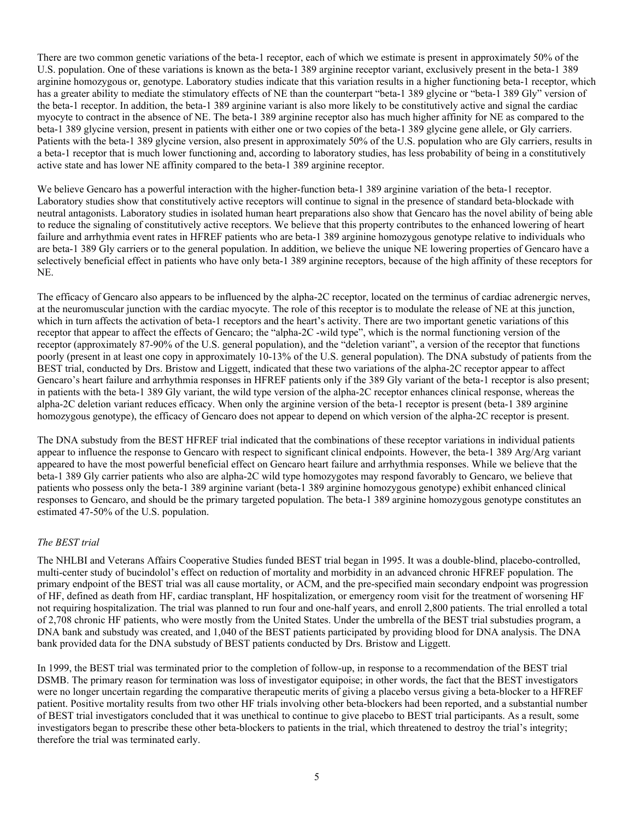There are two common genetic variations of the beta-1 receptor, each of which we estimate is present in approximately 50% of the U.S. population. One of these variations is known as the beta-1 389 arginine receptor variant, exclusively present in the beta-1 389 arginine homozygous or, genotype. Laboratory studies indicate that this variation results in a higher functioning beta-1 receptor, which has a greater ability to mediate the stimulatory effects of NE than the counterpart "beta-1 389 glycine or "beta-1 389 Gly" version of the beta-1 receptor. In addition, the beta-1 389 arginine variant is also more likely to be constitutively active and signal the cardiac myocyte to contract in the absence of NE. The beta-1 389 arginine receptor also has much higher affinity for NE as compared to the beta-1 389 glycine version, present in patients with either one or two copies of the beta-1 389 glycine gene allele, or Gly carriers. Patients with the beta-1 389 glycine version, also present in approximately 50% of the U.S. population who are Gly carriers, results in a beta-1 receptor that is much lower functioning and, according to laboratory studies, has less probability of being in a constitutively active state and has lower NE affinity compared to the beta-1 389 arginine receptor.

We believe Gencaro has a powerful interaction with the higher-function beta-1 389 arginine variation of the beta-1 receptor. Laboratory studies show that constitutively active receptors will continue to signal in the presence of standard beta-blockade with neutral antagonists. Laboratory studies in isolated human heart preparations also show that Gencaro has the novel ability of being able to reduce the signaling of constitutively active receptors. We believe that this property contributes to the enhanced lowering of heart failure and arrhythmia event rates in HFREF patients who are beta-1 389 arginine homozygous genotype relative to individuals who are beta-1 389 Gly carriers or to the general population. In addition, we believe the unique NE lowering properties of Gencaro have a selectively beneficial effect in patients who have only beta-1 389 arginine receptors, because of the high affinity of these receptors for NE.

The efficacy of Gencaro also appears to be influenced by the alpha-2C receptor, located on the terminus of cardiac adrenergic nerves, at the neuromuscular junction with the cardiac myocyte. The role of this receptor is to modulate the release of NE at this junction, which in turn affects the activation of beta-1 receptors and the heart's activity. There are two important genetic variations of this receptor that appear to affect the effects of Gencaro; the "alpha-2C -wild type", which is the normal functioning version of the receptor (approximately 87-90% of the U.S. general population), and the "deletion variant", a version of the receptor that functions poorly (present in at least one copy in approximately 10-13% of the U.S. general population). The DNA substudy of patients from the BEST trial, conducted by Drs. Bristow and Liggett, indicated that these two variations of the alpha-2C receptor appear to affect Gencaro's heart failure and arrhythmia responses in HFREF patients only if the 389 Gly variant of the beta-1 receptor is also present; in patients with the beta-1 389 Gly variant, the wild type version of the alpha-2C receptor enhances clinical response, whereas the alpha-2C deletion variant reduces efficacy. When only the arginine version of the beta-1 receptor is present (beta-1 389 arginine homozygous genotype), the efficacy of Gencaro does not appear to depend on which version of the alpha-2C receptor is present.

The DNA substudy from the BEST HFREF trial indicated that the combinations of these receptor variations in individual patients appear to influence the response to Gencaro with respect to significant clinical endpoints. However, the beta-1 389 Arg/Arg variant appeared to have the most powerful beneficial effect on Gencaro heart failure and arrhythmia responses. While we believe that the beta-1 389 Gly carrier patients who also are alpha-2C wild type homozygotes may respond favorably to Gencaro, we believe that patients who possess only the beta-1 389 arginine variant (beta-1 389 arginine homozygous genotype) exhibit enhanced clinical responses to Gencaro, and should be the primary targeted population. The beta-1 389 arginine homozygous genotype constitutes an estimated 47-50% of the U.S. population.

# *The BEST trial*

The NHLBI and Veterans Affairs Cooperative Studies funded BEST trial began in 1995. It was a double-blind, placebo-controlled, multi-center study of bucindolol's effect on reduction of mortality and morbidity in an advanced chronic HFREF population. The primary endpoint of the BEST trial was all cause mortality, or ACM, and the pre-specified main secondary endpoint was progression of HF, defined as death from HF, cardiac transplant, HF hospitalization, or emergency room visit for the treatment of worsening HF not requiring hospitalization. The trial was planned to run four and one-half years, and enroll 2,800 patients. The trial enrolled a total of 2,708 chronic HF patients, who were mostly from the United States. Under the umbrella of the BEST trial substudies program, a DNA bank and substudy was created, and 1,040 of the BEST patients participated by providing blood for DNA analysis. The DNA bank provided data for the DNA substudy of BEST patients conducted by Drs. Bristow and Liggett.

In 1999, the BEST trial was terminated prior to the completion of follow-up, in response to a recommendation of the BEST trial DSMB. The primary reason for termination was loss of investigator equipoise; in other words, the fact that the BEST investigators were no longer uncertain regarding the comparative therapeutic merits of giving a placebo versus giving a beta-blocker to a HFREF patient. Positive mortality results from two other HF trials involving other beta-blockers had been reported, and a substantial number of BEST trial investigators concluded that it was unethical to continue to give placebo to BEST trial participants. As a result, some investigators began to prescribe these other beta-blockers to patients in the trial, which threatened to destroy the trial's integrity; therefore the trial was terminated early.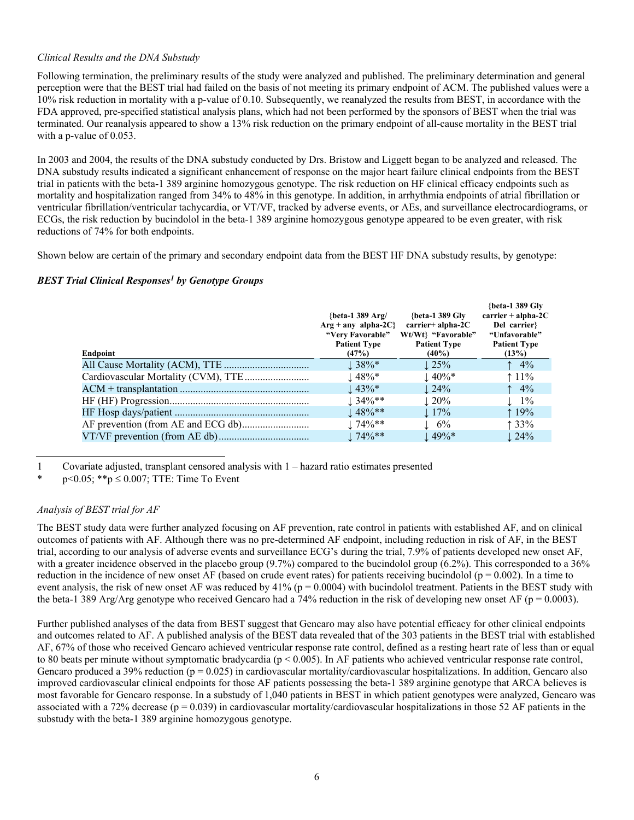# *Clinical Results and the DNA Substudy*

Following termination, the preliminary results of the study were analyzed and published. The preliminary determination and general perception were that the BEST trial had failed on the basis of not meeting its primary endpoint of ACM. The published values were a 10% risk reduction in mortality with a p-value of 0.10. Subsequently, we reanalyzed the results from BEST, in accordance with the FDA approved, pre-specified statistical analysis plans, which had not been performed by the sponsors of BEST when the trial was terminated. Our reanalysis appeared to show a 13% risk reduction on the primary endpoint of all-cause mortality in the BEST trial with a p-value of 0.053.

In 2003 and 2004, the results of the DNA substudy conducted by Drs. Bristow and Liggett began to be analyzed and released. The DNA substudy results indicated a significant enhancement of response on the major heart failure clinical endpoints from the BEST trial in patients with the beta-1 389 arginine homozygous genotype. The risk reduction on HF clinical efficacy endpoints such as mortality and hospitalization ranged from 34% to 48% in this genotype. In addition, in arrhythmia endpoints of atrial fibrillation or ventricular fibrillation/ventricular tachycardia, or VT/VF, tracked by adverse events, or AEs, and surveillance electrocardiograms, or ECGs, the risk reduction by bucindolol in the beta-1 389 arginine homozygous genotype appeared to be even greater, with risk reductions of 74% for both endpoints.

Shown below are certain of the primary and secondary endpoint data from the BEST HF DNA substudy results, by genotype:

# *BEST Trial Clinical Responses<sup>1</sup> by Genotype Groups*

| Endpoint | {beta-1 389 $Arg/$<br>$Arg + any alpha-2C$<br>"Very Favorable"<br><b>Patient Type</b><br>(47%) | {beta-1 389 Glv<br>$carrier + alpha-2C$<br>Wt/Wt} "Favorable"<br><b>Patient Type</b><br>$(40\%)$ | {beta-1 389 Gly<br>$\text{carrier} + \text{alpha-2C}$<br>Del carrier?<br>"Unfavorable"<br><b>Patient Type</b><br>(13%) |
|----------|------------------------------------------------------------------------------------------------|--------------------------------------------------------------------------------------------------|------------------------------------------------------------------------------------------------------------------------|
|          | $\downarrow$ 38%*                                                                              | $\pm 25\%$                                                                                       | $\uparrow$ 4%                                                                                                          |
|          | $\pm 48\%$ *                                                                                   | $\pm 40\%$ *                                                                                     | $\uparrow$ 11%                                                                                                         |
|          | $\pm 43\%$ *                                                                                   | $\perp$ 24%                                                                                      | $\uparrow$ 4%                                                                                                          |
|          | $1.34\%**$                                                                                     | $\pm 20\%$                                                                                       | $\perp$ 1%                                                                                                             |
|          | $148%$ **                                                                                      | $\perp$ 17%                                                                                      | $19\%$                                                                                                                 |
|          | $174\%**$                                                                                      | $\pm 6\%$                                                                                        | 133%                                                                                                                   |
|          | $174\%**$                                                                                      | $\pm 49\%$ *                                                                                     | $\pm 24\%$                                                                                                             |

1 Covariate adjusted, transplant censored analysis with 1 – hazard ratio estimates presented

\*  $p \le 0.05$ ; \*\*p  $\le 0.007$ ; TTE: Time To Event

# *Analysis of BEST trial for AF*

The BEST study data were further analyzed focusing on AF prevention, rate control in patients with established AF, and on clinical outcomes of patients with AF. Although there was no pre-determined AF endpoint, including reduction in risk of AF, in the BEST trial, according to our analysis of adverse events and surveillance ECG's during the trial, 7.9% of patients developed new onset AF, with a greater incidence observed in the placebo group (9.7%) compared to the bucindolol group (6.2%). This corresponded to a 36% reduction in the incidence of new onset AF (based on crude event rates) for patients receiving bucindolol ( $p = 0.002$ ). In a time to event analysis, the risk of new onset AF was reduced by  $41\%$  (p = 0.0004) with bucindolol treatment. Patients in the BEST study with the beta-1 389 Arg/Arg genotype who received Gencaro had a 74% reduction in the risk of developing new onset AF ( $p = 0.0003$ ).

Further published analyses of the data from BEST suggest that Gencaro may also have potential efficacy for other clinical endpoints and outcomes related to AF. A published analysis of the BEST data revealed that of the 303 patients in the BEST trial with established AF, 67% of those who received Gencaro achieved ventricular response rate control, defined as a resting heart rate of less than or equal to 80 beats per minute without symptomatic bradycardia (p < 0.005). In AF patients who achieved ventricular response rate control, Gencaro produced a 39% reduction ( $p = 0.025$ ) in cardiovascular mortality/cardiovascular hospitalizations. In addition, Gencaro also improved cardiovascular clinical endpoints for those AF patients possessing the beta-1 389 arginine genotype that ARCA believes is most favorable for Gencaro response. In a substudy of 1,040 patients in BEST in which patient genotypes were analyzed, Gencaro was associated with a 72% decrease ( $p = 0.039$ ) in cardiovascular mortality/cardiovascular hospitalizations in those 52 AF patients in the substudy with the beta-1 389 arginine homozygous genotype.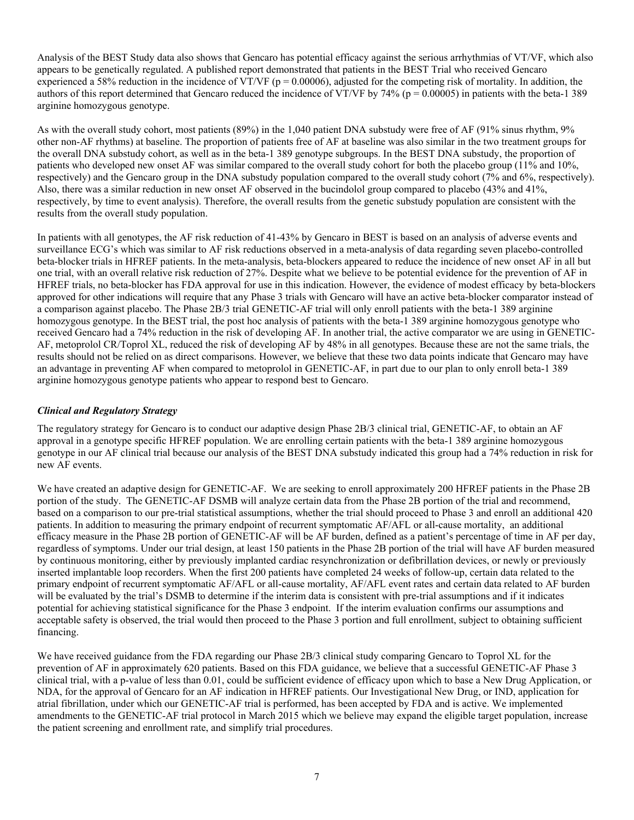Analysis of the BEST Study data also shows that Gencaro has potential efficacy against the serious arrhythmias of VT/VF, which also appears to be genetically regulated. A published report demonstrated that patients in the BEST Trial who received Gencaro experienced a 58% reduction in the incidence of VT/VF ( $p = 0.00006$ ), adjusted for the competing risk of mortality. In addition, the authors of this report determined that Gencaro reduced the incidence of VT/VF by 74% ( $p = 0.00005$ ) in patients with the beta-1 389 arginine homozygous genotype.

As with the overall study cohort, most patients (89%) in the 1,040 patient DNA substudy were free of AF (91% sinus rhythm, 9% other non-AF rhythms) at baseline. The proportion of patients free of AF at baseline was also similar in the two treatment groups for the overall DNA substudy cohort, as well as in the beta-1 389 genotype subgroups. In the BEST DNA substudy, the proportion of patients who developed new onset AF was similar compared to the overall study cohort for both the placebo group (11% and 10%, respectively) and the Gencaro group in the DNA substudy population compared to the overall study cohort (7% and 6%, respectively). Also, there was a similar reduction in new onset AF observed in the bucindolol group compared to placebo (43% and 41%, respectively, by time to event analysis). Therefore, the overall results from the genetic substudy population are consistent with the results from the overall study population.

In patients with all genotypes, the AF risk reduction of 41-43% by Gencaro in BEST is based on an analysis of adverse events and surveillance ECG's which was similar to AF risk reductions observed in a meta-analysis of data regarding seven placebo-controlled beta-blocker trials in HFREF patients. In the meta-analysis, beta-blockers appeared to reduce the incidence of new onset AF in all but one trial, with an overall relative risk reduction of 27%. Despite what we believe to be potential evidence for the prevention of AF in HFREF trials, no beta-blocker has FDA approval for use in this indication. However, the evidence of modest efficacy by beta-blockers approved for other indications will require that any Phase 3 trials with Gencaro will have an active beta-blocker comparator instead of a comparison against placebo. The Phase 2B/3 trial GENETIC-AF trial will only enroll patients with the beta-1 389 arginine homozygous genotype. In the BEST trial, the post hoc analysis of patients with the beta-1 389 arginine homozygous genotype who received Gencaro had a 74% reduction in the risk of developing AF. In another trial, the active comparator we are using in GENETIC-AF, metoprolol CR/Toprol XL, reduced the risk of developing AF by 48% in all genotypes. Because these are not the same trials, the results should not be relied on as direct comparisons. However, we believe that these two data points indicate that Gencaro may have an advantage in preventing AF when compared to metoprolol in GENETIC-AF, in part due to our plan to only enroll beta-1 389 arginine homozygous genotype patients who appear to respond best to Gencaro.

# *Clinical and Regulatory Strategy*

The regulatory strategy for Gencaro is to conduct our adaptive design Phase 2B/3 clinical trial, GENETIC-AF, to obtain an AF approval in a genotype specific HFREF population. We are enrolling certain patients with the beta-1 389 arginine homozygous genotype in our AF clinical trial because our analysis of the BEST DNA substudy indicated this group had a 74% reduction in risk for new AF events.

We have created an adaptive design for GENETIC-AF. We are seeking to enroll approximately 200 HFREF patients in the Phase 2B portion of the study. The GENETIC-AF DSMB will analyze certain data from the Phase 2B portion of the trial and recommend, based on a comparison to our pre-trial statistical assumptions, whether the trial should proceed to Phase 3 and enroll an additional 420 patients. In addition to measuring the primary endpoint of recurrent symptomatic AF/AFL or all-cause mortality, an additional efficacy measure in the Phase 2B portion of GENETIC-AF will be AF burden, defined as a patient's percentage of time in AF per day, regardless of symptoms. Under our trial design, at least 150 patients in the Phase 2B portion of the trial will have AF burden measured by continuous monitoring, either by previously implanted cardiac resynchronization or defibrillation devices, or newly or previously inserted implantable loop recorders. When the first 200 patients have completed 24 weeks of follow-up, certain data related to the primary endpoint of recurrent symptomatic AF/AFL or all-cause mortality, AF/AFL event rates and certain data related to AF burden will be evaluated by the trial's DSMB to determine if the interim data is consistent with pre-trial assumptions and if it indicates potential for achieving statistical significance for the Phase 3 endpoint. If the interim evaluation confirms our assumptions and acceptable safety is observed, the trial would then proceed to the Phase 3 portion and full enrollment, subject to obtaining sufficient financing.

We have received guidance from the FDA regarding our Phase 2B/3 clinical study comparing Gencaro to Toprol XL for the prevention of AF in approximately 620 patients. Based on this FDA guidance, we believe that a successful GENETIC-AF Phase 3 clinical trial, with a p-value of less than 0.01, could be sufficient evidence of efficacy upon which to base a New Drug Application, or NDA, for the approval of Gencaro for an AF indication in HFREF patients. Our Investigational New Drug, or IND, application for atrial fibrillation, under which our GENETIC-AF trial is performed, has been accepted by FDA and is active. We implemented amendments to the GENETIC-AF trial protocol in March 2015 which we believe may expand the eligible target population, increase the patient screening and enrollment rate, and simplify trial procedures.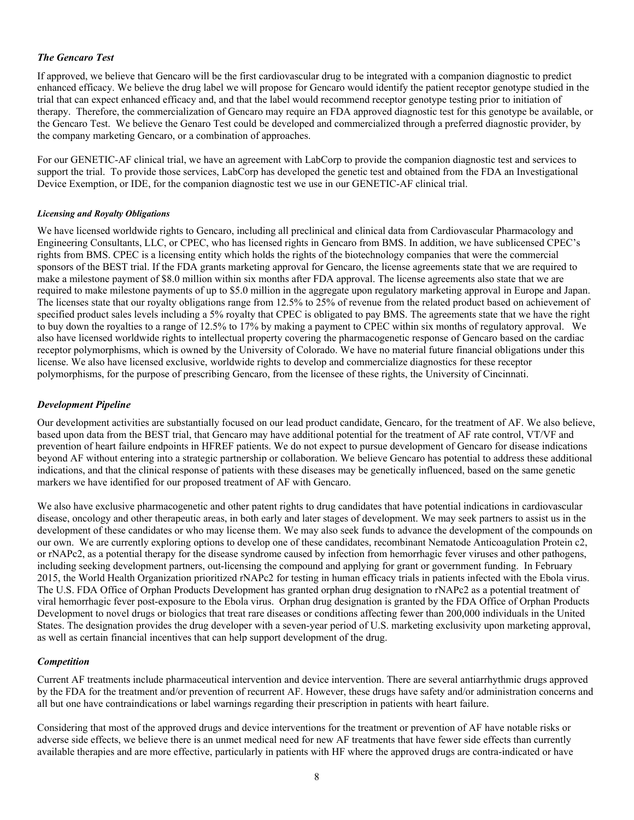# *The Gencaro Test*

If approved, we believe that Gencaro will be the first cardiovascular drug to be integrated with a companion diagnostic to predict enhanced efficacy. We believe the drug label we will propose for Gencaro would identify the patient receptor genotype studied in the trial that can expect enhanced efficacy and, and that the label would recommend receptor genotype testing prior to initiation of therapy. Therefore, the commercialization of Gencaro may require an FDA approved diagnostic test for this genotype be available, or the Gencaro Test. We believe the Genaro Test could be developed and commercialized through a preferred diagnostic provider, by the company marketing Gencaro, or a combination of approaches.

For our GENETIC-AF clinical trial, we have an agreement with LabCorp to provide the companion diagnostic test and services to support the trial. To provide those services, LabCorp has developed the genetic test and obtained from the FDA an Investigational Device Exemption, or IDE, for the companion diagnostic test we use in our GENETIC-AF clinical trial.

#### *Licensing and Royalty Obligations*

We have licensed worldwide rights to Gencaro, including all preclinical and clinical data from Cardiovascular Pharmacology and Engineering Consultants, LLC, or CPEC, who has licensed rights in Gencaro from BMS. In addition, we have sublicensed CPEC's rights from BMS. CPEC is a licensing entity which holds the rights of the biotechnology companies that were the commercial sponsors of the BEST trial. If the FDA grants marketing approval for Gencaro, the license agreements state that we are required to make a milestone payment of \$8.0 million within six months after FDA approval. The license agreements also state that we are required to make milestone payments of up to \$5.0 million in the aggregate upon regulatory marketing approval in Europe and Japan. The licenses state that our royalty obligations range from 12.5% to 25% of revenue from the related product based on achievement of specified product sales levels including a 5% royalty that CPEC is obligated to pay BMS. The agreements state that we have the right to buy down the royalties to a range of 12.5% to 17% by making a payment to CPEC within six months of regulatory approval. We also have licensed worldwide rights to intellectual property covering the pharmacogenetic response of Gencaro based on the cardiac receptor polymorphisms, which is owned by the University of Colorado. We have no material future financial obligations under this license. We also have licensed exclusive, worldwide rights to develop and commercialize diagnostics for these receptor polymorphisms, for the purpose of prescribing Gencaro, from the licensee of these rights, the University of Cincinnati.

# *Development Pipeline*

Our development activities are substantially focused on our lead product candidate, Gencaro, for the treatment of AF. We also believe, based upon data from the BEST trial, that Gencaro may have additional potential for the treatment of AF rate control, VT/VF and prevention of heart failure endpoints in HFREF patients. We do not expect to pursue development of Gencaro for disease indications beyond AF without entering into a strategic partnership or collaboration. We believe Gencaro has potential to address these additional indications, and that the clinical response of patients with these diseases may be genetically influenced, based on the same genetic markers we have identified for our proposed treatment of AF with Gencaro.

We also have exclusive pharmacogenetic and other patent rights to drug candidates that have potential indications in cardiovascular disease, oncology and other therapeutic areas, in both early and later stages of development. We may seek partners to assist us in the development of these candidates or who may license them. We may also seek funds to advance the development of the compounds on our own. We are currently exploring options to develop one of these candidates, recombinant Nematode Anticoagulation Protein c2, or rNAPc2, as a potential therapy for the disease syndrome caused by infection from hemorrhagic fever viruses and other pathogens, including seeking development partners, out-licensing the compound and applying for grant or government funding. In February 2015, the World Health Organization prioritized rNAPc2 for testing in human efficacy trials in patients infected with the Ebola virus. The U.S. FDA Office of Orphan Products Development has granted orphan drug designation to rNAPc2 as a potential treatment of viral hemorrhagic fever post-exposure to the Ebola virus. Orphan drug designation is granted by the FDA Office of Orphan Products Development to novel drugs or biologics that treat rare diseases or conditions affecting fewer than 200,000 individuals in the United States. The designation provides the drug developer with a seven-year period of U.S. marketing exclusivity upon marketing approval, as well as certain financial incentives that can help support development of the drug.

#### *Competition*

Current AF treatments include pharmaceutical intervention and device intervention. There are several antiarrhythmic drugs approved by the FDA for the treatment and/or prevention of recurrent AF. However, these drugs have safety and/or administration concerns and all but one have contraindications or label warnings regarding their prescription in patients with heart failure.

Considering that most of the approved drugs and device interventions for the treatment or prevention of AF have notable risks or adverse side effects, we believe there is an unmet medical need for new AF treatments that have fewer side effects than currently available therapies and are more effective, particularly in patients with HF where the approved drugs are contra-indicated or have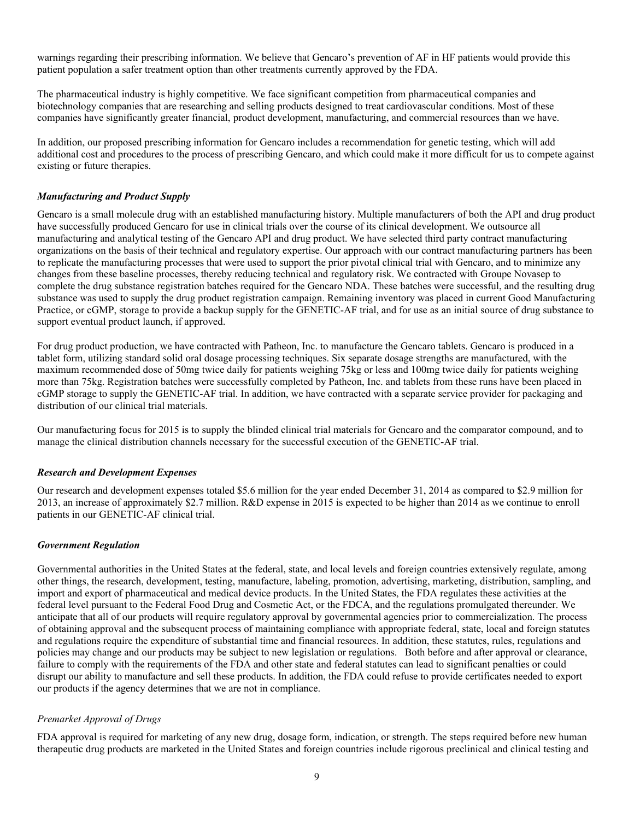warnings regarding their prescribing information. We believe that Gencaro's prevention of AF in HF patients would provide this patient population a safer treatment option than other treatments currently approved by the FDA.

The pharmaceutical industry is highly competitive. We face significant competition from pharmaceutical companies and biotechnology companies that are researching and selling products designed to treat cardiovascular conditions. Most of these companies have significantly greater financial, product development, manufacturing, and commercial resources than we have.

In addition, our proposed prescribing information for Gencaro includes a recommendation for genetic testing, which will add additional cost and procedures to the process of prescribing Gencaro, and which could make it more difficult for us to compete against existing or future therapies.

# *Manufacturing and Product Supply*

Gencaro is a small molecule drug with an established manufacturing history. Multiple manufacturers of both the API and drug product have successfully produced Gencaro for use in clinical trials over the course of its clinical development. We outsource all manufacturing and analytical testing of the Gencaro API and drug product. We have selected third party contract manufacturing organizations on the basis of their technical and regulatory expertise. Our approach with our contract manufacturing partners has been to replicate the manufacturing processes that were used to support the prior pivotal clinical trial with Gencaro, and to minimize any changes from these baseline processes, thereby reducing technical and regulatory risk. We contracted with Groupe Novasep to complete the drug substance registration batches required for the Gencaro NDA. These batches were successful, and the resulting drug substance was used to supply the drug product registration campaign. Remaining inventory was placed in current Good Manufacturing Practice, or cGMP, storage to provide a backup supply for the GENETIC-AF trial, and for use as an initial source of drug substance to support eventual product launch, if approved.

For drug product production, we have contracted with Patheon, Inc. to manufacture the Gencaro tablets. Gencaro is produced in a tablet form, utilizing standard solid oral dosage processing techniques. Six separate dosage strengths are manufactured, with the maximum recommended dose of 50mg twice daily for patients weighing 75kg or less and 100mg twice daily for patients weighing more than 75kg. Registration batches were successfully completed by Patheon, Inc. and tablets from these runs have been placed in cGMP storage to supply the GENETIC-AF trial. In addition, we have contracted with a separate service provider for packaging and distribution of our clinical trial materials.

Our manufacturing focus for 2015 is to supply the blinded clinical trial materials for Gencaro and the comparator compound, and to manage the clinical distribution channels necessary for the successful execution of the GENETIC-AF trial.

# *Research and Development Expenses*

Our research and development expenses totaled \$5.6 million for the year ended December 31, 2014 as compared to \$2.9 million for 2013, an increase of approximately \$2.7 million. R&D expense in 2015 is expected to be higher than 2014 as we continue to enroll patients in our GENETIC-AF clinical trial.

# *Government Regulation*

Governmental authorities in the United States at the federal, state, and local levels and foreign countries extensively regulate, among other things, the research, development, testing, manufacture, labeling, promotion, advertising, marketing, distribution, sampling, and import and export of pharmaceutical and medical device products. In the United States, the FDA regulates these activities at the federal level pursuant to the Federal Food Drug and Cosmetic Act, or the FDCA, and the regulations promulgated thereunder. We anticipate that all of our products will require regulatory approval by governmental agencies prior to commercialization. The process of obtaining approval and the subsequent process of maintaining compliance with appropriate federal, state, local and foreign statutes and regulations require the expenditure of substantial time and financial resources. In addition, these statutes, rules, regulations and policies may change and our products may be subject to new legislation or regulations. Both before and after approval or clearance, failure to comply with the requirements of the FDA and other state and federal statutes can lead to significant penalties or could disrupt our ability to manufacture and sell these products. In addition, the FDA could refuse to provide certificates needed to export our products if the agency determines that we are not in compliance.

# *Premarket Approval of Drugs*

FDA approval is required for marketing of any new drug, dosage form, indication, or strength. The steps required before new human therapeutic drug products are marketed in the United States and foreign countries include rigorous preclinical and clinical testing and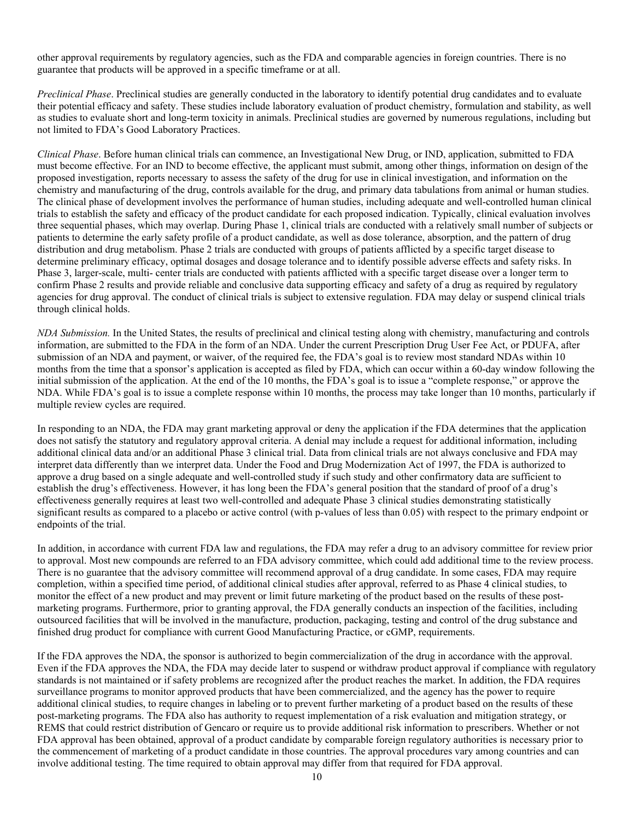other approval requirements by regulatory agencies, such as the FDA and comparable agencies in foreign countries. There is no guarantee that products will be approved in a specific timeframe or at all.

*Preclinical Phase*. Preclinical studies are generally conducted in the laboratory to identify potential drug candidates and to evaluate their potential efficacy and safety. These studies include laboratory evaluation of product chemistry, formulation and stability, as well as studies to evaluate short and long-term toxicity in animals. Preclinical studies are governed by numerous regulations, including but not limited to FDA's Good Laboratory Practices.

*Clinical Phase*. Before human clinical trials can commence, an Investigational New Drug, or IND, application, submitted to FDA must become effective. For an IND to become effective, the applicant must submit, among other things, information on design of the proposed investigation, reports necessary to assess the safety of the drug for use in clinical investigation, and information on the chemistry and manufacturing of the drug, controls available for the drug, and primary data tabulations from animal or human studies. The clinical phase of development involves the performance of human studies, including adequate and well-controlled human clinical trials to establish the safety and efficacy of the product candidate for each proposed indication. Typically, clinical evaluation involves three sequential phases, which may overlap. During Phase 1, clinical trials are conducted with a relatively small number of subjects or patients to determine the early safety profile of a product candidate, as well as dose tolerance, absorption, and the pattern of drug distribution and drug metabolism. Phase 2 trials are conducted with groups of patients afflicted by a specific target disease to determine preliminary efficacy, optimal dosages and dosage tolerance and to identify possible adverse effects and safety risks. In Phase 3, larger-scale, multi- center trials are conducted with patients afflicted with a specific target disease over a longer term to confirm Phase 2 results and provide reliable and conclusive data supporting efficacy and safety of a drug as required by regulatory agencies for drug approval. The conduct of clinical trials is subject to extensive regulation. FDA may delay or suspend clinical trials through clinical holds.

*NDA Submission.* In the United States, the results of preclinical and clinical testing along with chemistry, manufacturing and controls information, are submitted to the FDA in the form of an NDA. Under the current Prescription Drug User Fee Act, or PDUFA, after submission of an NDA and payment, or waiver, of the required fee, the FDA's goal is to review most standard NDAs within 10 months from the time that a sponsor's application is accepted as filed by FDA, which can occur within a 60-day window following the initial submission of the application. At the end of the 10 months, the FDA's goal is to issue a "complete response," or approve the NDA. While FDA's goal is to issue a complete response within 10 months, the process may take longer than 10 months, particularly if multiple review cycles are required.

In responding to an NDA, the FDA may grant marketing approval or deny the application if the FDA determines that the application does not satisfy the statutory and regulatory approval criteria. A denial may include a request for additional information, including additional clinical data and/or an additional Phase 3 clinical trial. Data from clinical trials are not always conclusive and FDA may interpret data differently than we interpret data. Under the Food and Drug Modernization Act of 1997, the FDA is authorized to approve a drug based on a single adequate and well-controlled study if such study and other confirmatory data are sufficient to establish the drug's effectiveness. However, it has long been the FDA's general position that the standard of proof of a drug's effectiveness generally requires at least two well-controlled and adequate Phase 3 clinical studies demonstrating statistically significant results as compared to a placebo or active control (with p-values of less than 0.05) with respect to the primary endpoint or endpoints of the trial.

In addition, in accordance with current FDA law and regulations, the FDA may refer a drug to an advisory committee for review prior to approval. Most new compounds are referred to an FDA advisory committee, which could add additional time to the review process. There is no guarantee that the advisory committee will recommend approval of a drug candidate. In some cases, FDA may require completion, within a specified time period, of additional clinical studies after approval, referred to as Phase 4 clinical studies, to monitor the effect of a new product and may prevent or limit future marketing of the product based on the results of these postmarketing programs. Furthermore, prior to granting approval, the FDA generally conducts an inspection of the facilities, including outsourced facilities that will be involved in the manufacture, production, packaging, testing and control of the drug substance and finished drug product for compliance with current Good Manufacturing Practice, or cGMP, requirements.

If the FDA approves the NDA, the sponsor is authorized to begin commercialization of the drug in accordance with the approval. Even if the FDA approves the NDA, the FDA may decide later to suspend or withdraw product approval if compliance with regulatory standards is not maintained or if safety problems are recognized after the product reaches the market. In addition, the FDA requires surveillance programs to monitor approved products that have been commercialized, and the agency has the power to require additional clinical studies, to require changes in labeling or to prevent further marketing of a product based on the results of these post-marketing programs. The FDA also has authority to request implementation of a risk evaluation and mitigation strategy, or REMS that could restrict distribution of Gencaro or require us to provide additional risk information to prescribers. Whether or not FDA approval has been obtained, approval of a product candidate by comparable foreign regulatory authorities is necessary prior to the commencement of marketing of a product candidate in those countries. The approval procedures vary among countries and can involve additional testing. The time required to obtain approval may differ from that required for FDA approval.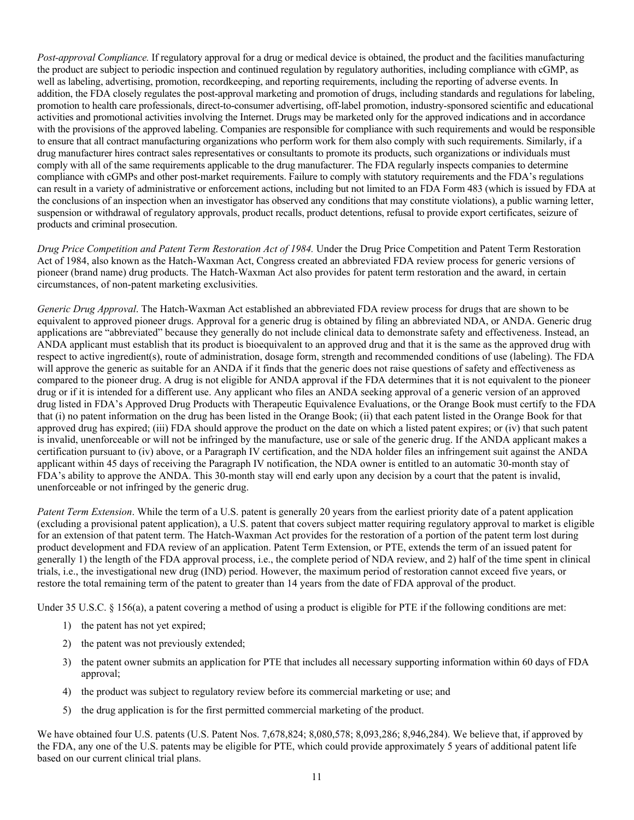*Post-approval Compliance.* If regulatory approval for a drug or medical device is obtained, the product and the facilities manufacturing the product are subject to periodic inspection and continued regulation by regulatory authorities, including compliance with cGMP, as well as labeling, advertising, promotion, recordkeeping, and reporting requirements, including the reporting of adverse events. In addition, the FDA closely regulates the post-approval marketing and promotion of drugs, including standards and regulations for labeling, promotion to health care professionals, direct-to-consumer advertising, off-label promotion, industry-sponsored scientific and educational activities and promotional activities involving the Internet. Drugs may be marketed only for the approved indications and in accordance with the provisions of the approved labeling. Companies are responsible for compliance with such requirements and would be responsible to ensure that all contract manufacturing organizations who perform work for them also comply with such requirements. Similarly, if a drug manufacturer hires contract sales representatives or consultants to promote its products, such organizations or individuals must comply with all of the same requirements applicable to the drug manufacturer. The FDA regularly inspects companies to determine compliance with cGMPs and other post-market requirements. Failure to comply with statutory requirements and the FDA's regulations can result in a variety of administrative or enforcement actions, including but not limited to an FDA Form 483 (which is issued by FDA at the conclusions of an inspection when an investigator has observed any conditions that may constitute violations), a public warning letter, suspension or withdrawal of regulatory approvals, product recalls, product detentions, refusal to provide export certificates, seizure of products and criminal prosecution.

*Drug Price Competition and Patent Term Restoration Act of 1984.* Under the Drug Price Competition and Patent Term Restoration Act of 1984, also known as the Hatch-Waxman Act, Congress created an abbreviated FDA review process for generic versions of pioneer (brand name) drug products. The Hatch-Waxman Act also provides for patent term restoration and the award, in certain circumstances, of non-patent marketing exclusivities.

*Generic Drug Approval*. The Hatch-Waxman Act established an abbreviated FDA review process for drugs that are shown to be equivalent to approved pioneer drugs. Approval for a generic drug is obtained by filing an abbreviated NDA, or ANDA. Generic drug applications are "abbreviated" because they generally do not include clinical data to demonstrate safety and effectiveness. Instead, an ANDA applicant must establish that its product is bioequivalent to an approved drug and that it is the same as the approved drug with respect to active ingredient(s), route of administration, dosage form, strength and recommended conditions of use (labeling). The FDA will approve the generic as suitable for an ANDA if it finds that the generic does not raise questions of safety and effectiveness as compared to the pioneer drug. A drug is not eligible for ANDA approval if the FDA determines that it is not equivalent to the pioneer drug or if it is intended for a different use. Any applicant who files an ANDA seeking approval of a generic version of an approved drug listed in FDA's Approved Drug Products with Therapeutic Equivalence Evaluations, or the Orange Book must certify to the FDA that (i) no patent information on the drug has been listed in the Orange Book; (ii) that each patent listed in the Orange Book for that approved drug has expired; (iii) FDA should approve the product on the date on which a listed patent expires; or (iv) that such patent is invalid, unenforceable or will not be infringed by the manufacture, use or sale of the generic drug. If the ANDA applicant makes a certification pursuant to (iv) above, or a Paragraph IV certification, and the NDA holder files an infringement suit against the ANDA applicant within 45 days of receiving the Paragraph IV notification, the NDA owner is entitled to an automatic 30-month stay of FDA's ability to approve the ANDA. This 30-month stay will end early upon any decision by a court that the patent is invalid, unenforceable or not infringed by the generic drug.

*Patent Term Extension*. While the term of a U.S. patent is generally 20 years from the earliest priority date of a patent application (excluding a provisional patent application), a U.S. patent that covers subject matter requiring regulatory approval to market is eligible for an extension of that patent term. The Hatch-Waxman Act provides for the restoration of a portion of the patent term lost during product development and FDA review of an application. Patent Term Extension, or PTE, extends the term of an issued patent for generally 1) the length of the FDA approval process, i.e., the complete period of NDA review, and 2) half of the time spent in clinical trials, i.e., the investigational new drug (IND) period. However, the maximum period of restoration cannot exceed five years, or restore the total remaining term of the patent to greater than 14 years from the date of FDA approval of the product.

Under 35 U.S.C. § 156(a), a patent covering a method of using a product is eligible for PTE if the following conditions are met:

- 1) the patent has not yet expired;
- 2) the patent was not previously extended;
- 3) the patent owner submits an application for PTE that includes all necessary supporting information within 60 days of FDA approval;
- 4) the product was subject to regulatory review before its commercial marketing or use; and
- 5) the drug application is for the first permitted commercial marketing of the product.

We have obtained four U.S. patents (U.S. Patent Nos. 7,678,824; 8,080,578; 8,093,286; 8,946,284). We believe that, if approved by the FDA, any one of the U.S. patents may be eligible for PTE, which could provide approximately 5 years of additional patent life based on our current clinical trial plans.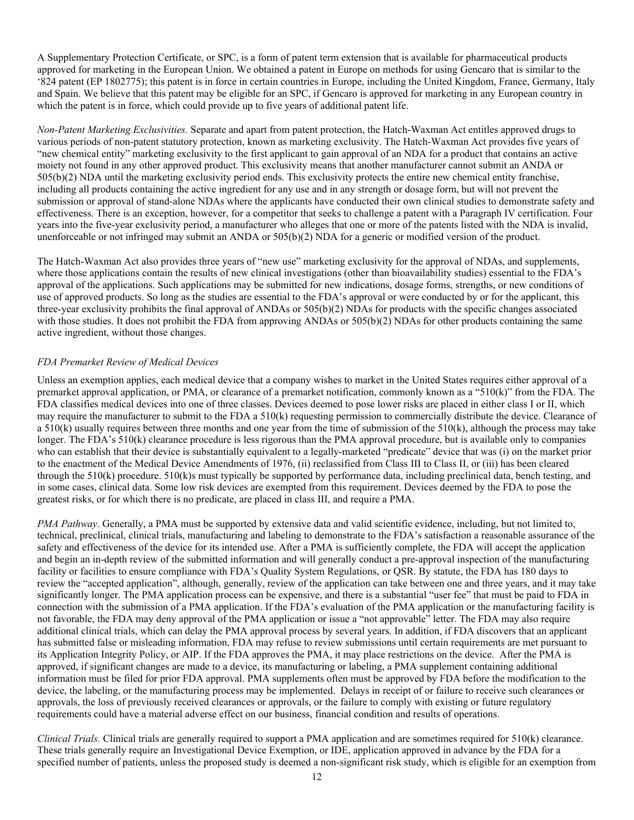A Supplementary Protection Certificate, or SPC, is a form of patent term extension that is available for pharmaceutical products approved for marketing in the European Union. We obtained a patent in Europe on methods for using Gencaro that is similar to the '824 patent (EP 1802775); this patent is in force in certain countries in Europe, including the United Kingdom, France, Germany, Italy and Spain. We believe that this patent may be eligible for an SPC, if Gencaro is approved for marketing in any European country in which the patent is in force, which could provide up to five years of additional patent life.

*Non-Patent Marketing Exclusivities.* Separate and apart from patent protection, the Hatch-Waxman Act entitles approved drugs to various periods of non-patent statutory protection, known as marketing exclusivity. The Hatch-Waxman Act provides five years of "new chemical entity" marketing exclusivity to the first applicant to gain approval of an NDA for a product that contains an active moiety not found in any other approved product. This exclusivity means that another manufacturer cannot submit an ANDA or 505(b)(2) NDA until the marketing exclusivity period ends. This exclusivity protects the entire new chemical entity franchise, including all products containing the active ingredient for any use and in any strength or dosage form, but will not prevent the submission or approval of stand-alone NDAs where the applicants have conducted their own clinical studies to demonstrate safety and effectiveness. There is an exception, however, for a competitor that seeks to challenge a patent with a Paragraph IV certification. Four years into the five-year exclusivity period, a manufacturer who alleges that one or more of the patents listed with the NDA is invalid, unenforceable or not infringed may submit an ANDA or 505(b)(2) NDA for a generic or modified version of the product.

The Hatch-Waxman Act also provides three years of "new use" marketing exclusivity for the approval of NDAs, and supplements, where those applications contain the results of new clinical investigations (other than bioavailability studies) essential to the FDA's approval of the applications. Such applications may be submitted for new indications, dosage forms, strengths, or new conditions of use of approved products. So long as the studies are essential to the FDA's approval or were conducted by or for the applicant, this three-year exclusivity prohibits the final approval of ANDAs or 505(b)(2) NDAs for products with the specific changes associated with those studies. It does not prohibit the FDA from approving ANDAs or 505(b)(2) NDAs for other products containing the same active ingredient, without those changes.

# *FDA Premarket Review of Medical Devices*

Unless an exemption applies, each medical device that a company wishes to market in the United States requires either approval of a premarket approval application, or PMA, or clearance of a premarket notification, commonly known as a "510(k)" from the FDA. The FDA classifies medical devices into one of three classes. Devices deemed to pose lower risks are placed in either class I or II, which may require the manufacturer to submit to the FDA a 510(k) requesting permission to commercially distribute the device. Clearance of a  $510(k)$  usually requires between three months and one year from the time of submission of the  $510(k)$ , although the process may take longer. The FDA's 510(k) clearance procedure is less rigorous than the PMA approval procedure, but is available only to companies who can establish that their device is substantially equivalent to a legally-marketed "predicate" device that was (i) on the market prior to the enactment of the Medical Device Amendments of 1976, (ii) reclassified from Class III to Class II, or (iii) has been cleared through the 510(k) procedure. 510(k)s must typically be supported by performance data, including preclinical data, bench testing, and in some cases, clinical data. Some low risk devices are exempted from this requirement. Devices deemed by the FDA to pose the greatest risks, or for which there is no predicate, are placed in class III, and require a PMA.

*PMA Pathway*. Generally, a PMA must be supported by extensive data and valid scientific evidence, including, but not limited to, technical, preclinical, clinical trials, manufacturing and labeling to demonstrate to the FDA's satisfaction a reasonable assurance of the safety and effectiveness of the device for its intended use. After a PMA is sufficiently complete, the FDA will accept the application and begin an in-depth review of the submitted information and will generally conduct a pre-approval inspection of the manufacturing facility or facilities to ensure compliance with FDA's Quality System Regulations, or QSR. By statute, the FDA has 180 days to review the "accepted application", although, generally, review of the application can take between one and three years, and it may take significantly longer. The PMA application process can be expensive, and there is a substantial "user fee" that must be paid to FDA in connection with the submission of a PMA application. If the FDA's evaluation of the PMA application or the manufacturing facility is not favorable, the FDA may deny approval of the PMA application or issue a "not approvable" letter. The FDA may also require additional clinical trials, which can delay the PMA approval process by several years. In addition, if FDA discovers that an applicant has submitted false or misleading information, FDA may refuse to review submissions until certain requirements are met pursuant to its Application Integrity Policy, or AIP. If the FDA approves the PMA, it may place restrictions on the device. After the PMA is approved, if significant changes are made to a device, its manufacturing or labeling, a PMA supplement containing additional information must be filed for prior FDA approval. PMA supplements often must be approved by FDA before the modification to the device, the labeling, or the manufacturing process may be implemented. Delays in receipt of or failure to receive such clearances or approvals, the loss of previously received clearances or approvals, or the failure to comply with existing or future regulatory requirements could have a material adverse effect on our business, financial condition and results of operations.

*Clinical Trials.* Clinical trials are generally required to support a PMA application and are sometimes required for 510(k) clearance. These trials generally require an Investigational Device Exemption, or IDE, application approved in advance by the FDA for a specified number of patients, unless the proposed study is deemed a non-significant risk study, which is eligible for an exemption from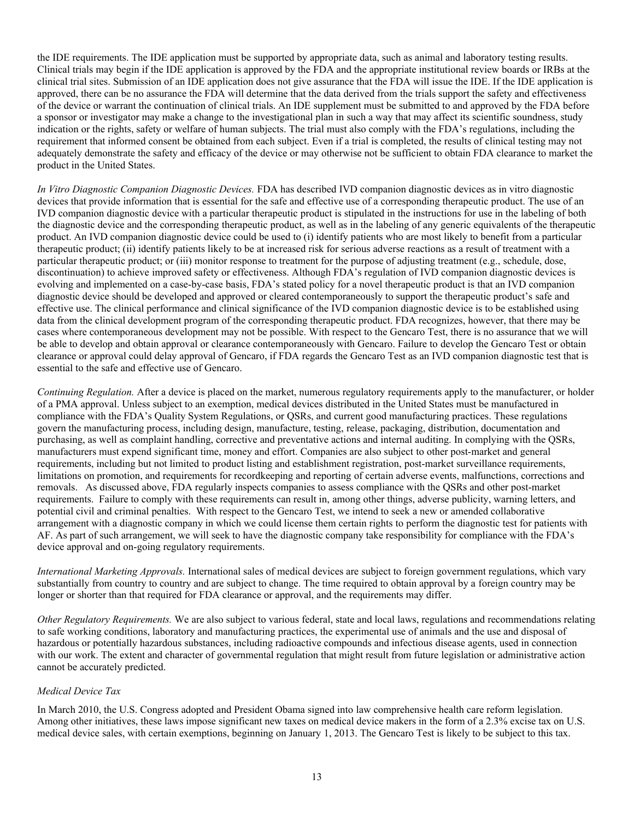the IDE requirements. The IDE application must be supported by appropriate data, such as animal and laboratory testing results. Clinical trials may begin if the IDE application is approved by the FDA and the appropriate institutional review boards or IRBs at the clinical trial sites. Submission of an IDE application does not give assurance that the FDA will issue the IDE. If the IDE application is approved, there can be no assurance the FDA will determine that the data derived from the trials support the safety and effectiveness of the device or warrant the continuation of clinical trials. An IDE supplement must be submitted to and approved by the FDA before a sponsor or investigator may make a change to the investigational plan in such a way that may affect its scientific soundness, study indication or the rights, safety or welfare of human subjects. The trial must also comply with the FDA's regulations, including the requirement that informed consent be obtained from each subject. Even if a trial is completed, the results of clinical testing may not adequately demonstrate the safety and efficacy of the device or may otherwise not be sufficient to obtain FDA clearance to market the product in the United States.

*In Vitro Diagnostic Companion Diagnostic Devices.* FDA has described IVD companion diagnostic devices as in vitro diagnostic devices that provide information that is essential for the safe and effective use of a corresponding therapeutic product. The use of an IVD companion diagnostic device with a particular therapeutic product is stipulated in the instructions for use in the labeling of both the diagnostic device and the corresponding therapeutic product, as well as in the labeling of any generic equivalents of the therapeutic product. An IVD companion diagnostic device could be used to (i) identify patients who are most likely to benefit from a particular therapeutic product; (ii) identify patients likely to be at increased risk for serious adverse reactions as a result of treatment with a particular therapeutic product; or (iii) monitor response to treatment for the purpose of adjusting treatment (e.g., schedule, dose, discontinuation) to achieve improved safety or effectiveness. Although FDA's regulation of IVD companion diagnostic devices is evolving and implemented on a case-by-case basis, FDA's stated policy for a novel therapeutic product is that an IVD companion diagnostic device should be developed and approved or cleared contemporaneously to support the therapeutic product's safe and effective use. The clinical performance and clinical significance of the IVD companion diagnostic device is to be established using data from the clinical development program of the corresponding therapeutic product. FDA recognizes, however, that there may be cases where contemporaneous development may not be possible. With respect to the Gencaro Test, there is no assurance that we will be able to develop and obtain approval or clearance contemporaneously with Gencaro. Failure to develop the Gencaro Test or obtain clearance or approval could delay approval of Gencaro, if FDA regards the Gencaro Test as an IVD companion diagnostic test that is essential to the safe and effective use of Gencaro.

*Continuing Regulation.* After a device is placed on the market, numerous regulatory requirements apply to the manufacturer, or holder of a PMA approval. Unless subject to an exemption, medical devices distributed in the United States must be manufactured in compliance with the FDA's Quality System Regulations, or QSRs, and current good manufacturing practices. These regulations govern the manufacturing process, including design, manufacture, testing, release, packaging, distribution, documentation and purchasing, as well as complaint handling, corrective and preventative actions and internal auditing. In complying with the QSRs, manufacturers must expend significant time, money and effort. Companies are also subject to other post-market and general requirements, including but not limited to product listing and establishment registration, post-market surveillance requirements, limitations on promotion, and requirements for recordkeeping and reporting of certain adverse events, malfunctions, corrections and removals. As discussed above, FDA regularly inspects companies to assess compliance with the QSRs and other post-market requirements. Failure to comply with these requirements can result in, among other things, adverse publicity, warning letters, and potential civil and criminal penalties. With respect to the Gencaro Test, we intend to seek a new or amended collaborative arrangement with a diagnostic company in which we could license them certain rights to perform the diagnostic test for patients with AF. As part of such arrangement, we will seek to have the diagnostic company take responsibility for compliance with the FDA's device approval and on-going regulatory requirements.

*International Marketing Approvals.* International sales of medical devices are subject to foreign government regulations, which vary substantially from country to country and are subject to change. The time required to obtain approval by a foreign country may be longer or shorter than that required for FDA clearance or approval, and the requirements may differ.

*Other Regulatory Requirements.* We are also subject to various federal, state and local laws, regulations and recommendations relating to safe working conditions, laboratory and manufacturing practices, the experimental use of animals and the use and disposal of hazardous or potentially hazardous substances, including radioactive compounds and infectious disease agents, used in connection with our work. The extent and character of governmental regulation that might result from future legislation or administrative action cannot be accurately predicted.

# *Medical Device Tax*

In March 2010, the U.S. Congress adopted and President Obama signed into law comprehensive health care reform legislation. Among other initiatives, these laws impose significant new taxes on medical device makers in the form of a 2.3% excise tax on U.S. medical device sales, with certain exemptions, beginning on January 1, 2013. The Gencaro Test is likely to be subject to this tax.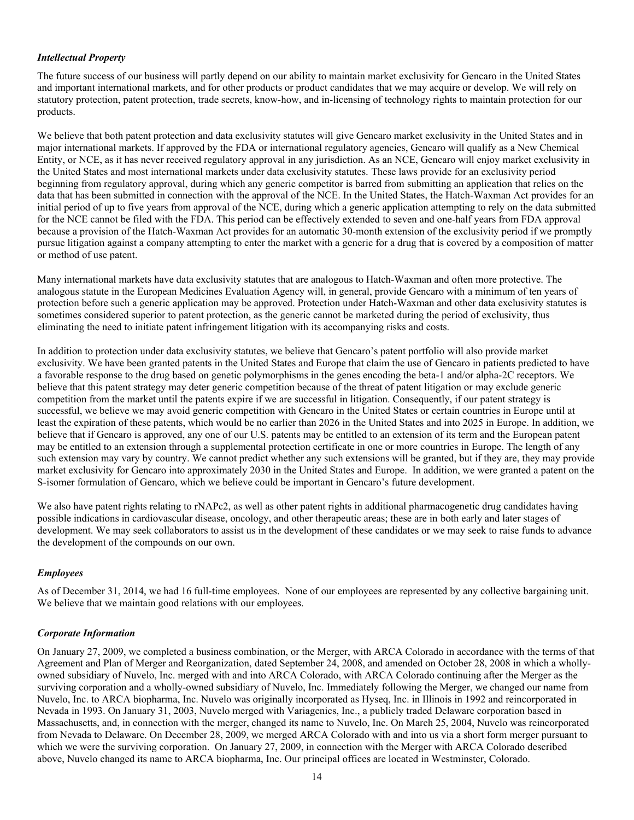# *Intellectual Property*

The future success of our business will partly depend on our ability to maintain market exclusivity for Gencaro in the United States and important international markets, and for other products or product candidates that we may acquire or develop. We will rely on statutory protection, patent protection, trade secrets, know-how, and in-licensing of technology rights to maintain protection for our products.

We believe that both patent protection and data exclusivity statutes will give Gencaro market exclusivity in the United States and in major international markets. If approved by the FDA or international regulatory agencies, Gencaro will qualify as a New Chemical Entity, or NCE, as it has never received regulatory approval in any jurisdiction. As an NCE, Gencaro will enjoy market exclusivity in the United States and most international markets under data exclusivity statutes. These laws provide for an exclusivity period beginning from regulatory approval, during which any generic competitor is barred from submitting an application that relies on the data that has been submitted in connection with the approval of the NCE. In the United States, the Hatch-Waxman Act provides for an initial period of up to five years from approval of the NCE, during which a generic application attempting to rely on the data submitted for the NCE cannot be filed with the FDA. This period can be effectively extended to seven and one-half years from FDA approval because a provision of the Hatch-Waxman Act provides for an automatic 30-month extension of the exclusivity period if we promptly pursue litigation against a company attempting to enter the market with a generic for a drug that is covered by a composition of matter or method of use patent.

Many international markets have data exclusivity statutes that are analogous to Hatch-Waxman and often more protective. The analogous statute in the European Medicines Evaluation Agency will, in general, provide Gencaro with a minimum of ten years of protection before such a generic application may be approved. Protection under Hatch-Waxman and other data exclusivity statutes is sometimes considered superior to patent protection, as the generic cannot be marketed during the period of exclusivity, thus eliminating the need to initiate patent infringement litigation with its accompanying risks and costs.

In addition to protection under data exclusivity statutes, we believe that Gencaro's patent portfolio will also provide market exclusivity. We have been granted patents in the United States and Europe that claim the use of Gencaro in patients predicted to have a favorable response to the drug based on genetic polymorphisms in the genes encoding the beta-1 and/or alpha-2C receptors. We believe that this patent strategy may deter generic competition because of the threat of patent litigation or may exclude generic competition from the market until the patents expire if we are successful in litigation. Consequently, if our patent strategy is successful, we believe we may avoid generic competition with Gencaro in the United States or certain countries in Europe until at least the expiration of these patents, which would be no earlier than 2026 in the United States and into 2025 in Europe. In addition, we believe that if Gencaro is approved, any one of our U.S. patents may be entitled to an extension of its term and the European patent may be entitled to an extension through a supplemental protection certificate in one or more countries in Europe. The length of any such extension may vary by country. We cannot predict whether any such extensions will be granted, but if they are, they may provide market exclusivity for Gencaro into approximately 2030 in the United States and Europe. In addition, we were granted a patent on the S-isomer formulation of Gencaro, which we believe could be important in Gencaro's future development.

We also have patent rights relating to rNAPc2, as well as other patent rights in additional pharmacogenetic drug candidates having possible indications in cardiovascular disease, oncology, and other therapeutic areas; these are in both early and later stages of development. We may seek collaborators to assist us in the development of these candidates or we may seek to raise funds to advance the development of the compounds on our own.

# *Employees*

As of December 31, 2014, we had 16 full-time employees. None of our employees are represented by any collective bargaining unit. We believe that we maintain good relations with our employees.

# *Corporate Information*

On January 27, 2009, we completed a business combination, or the Merger, with ARCA Colorado in accordance with the terms of that Agreement and Plan of Merger and Reorganization, dated September 24, 2008, and amended on October 28, 2008 in which a whollyowned subsidiary of Nuvelo, Inc. merged with and into ARCA Colorado, with ARCA Colorado continuing after the Merger as the surviving corporation and a wholly-owned subsidiary of Nuvelo, Inc. Immediately following the Merger, we changed our name from Nuvelo, Inc. to ARCA biopharma, Inc. Nuvelo was originally incorporated as Hyseq, Inc. in Illinois in 1992 and reincorporated in Nevada in 1993. On January 31, 2003, Nuvelo merged with Variagenics, Inc., a publicly traded Delaware corporation based in Massachusetts, and, in connection with the merger, changed its name to Nuvelo, Inc. On March 25, 2004, Nuvelo was reincorporated from Nevada to Delaware. On December 28, 2009, we merged ARCA Colorado with and into us via a short form merger pursuant to which we were the surviving corporation. On January 27, 2009, in connection with the Merger with ARCA Colorado described above, Nuvelo changed its name to ARCA biopharma, Inc. Our principal offices are located in Westminster, Colorado.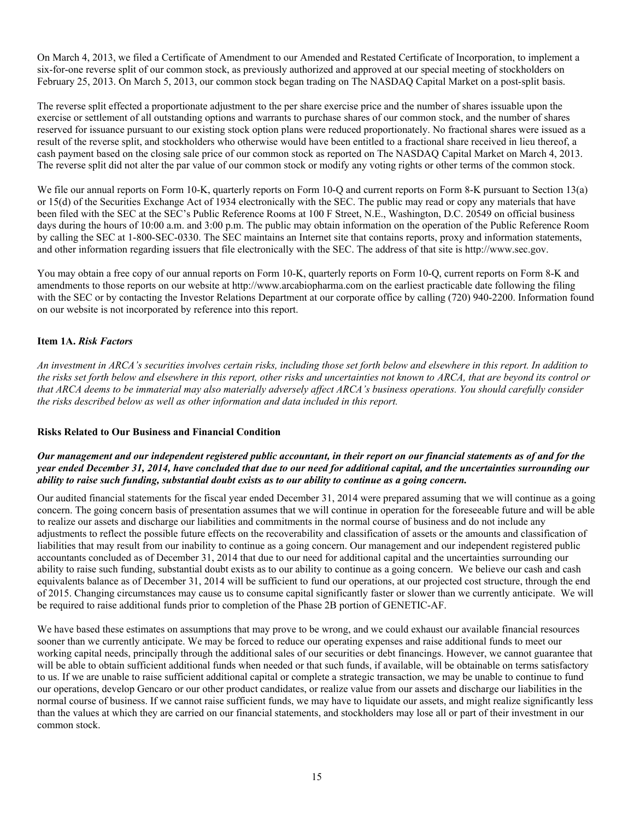On March 4, 2013, we filed a Certificate of Amendment to our Amended and Restated Certificate of Incorporation, to implement a six-for-one reverse split of our common stock, as previously authorized and approved at our special meeting of stockholders on February 25, 2013. On March 5, 2013, our common stock began trading on The NASDAQ Capital Market on a post-split basis.

The reverse split effected a proportionate adjustment to the per share exercise price and the number of shares issuable upon the exercise or settlement of all outstanding options and warrants to purchase shares of our common stock, and the number of shares reserved for issuance pursuant to our existing stock option plans were reduced proportionately. No fractional shares were issued as a result of the reverse split, and stockholders who otherwise would have been entitled to a fractional share received in lieu thereof, a cash payment based on the closing sale price of our common stock as reported on The NASDAQ Capital Market on March 4, 2013. The reverse split did not alter the par value of our common stock or modify any voting rights or other terms of the common stock.

We file our annual reports on Form 10-K, quarterly reports on Form 10-Q and current reports on Form 8-K pursuant to Section 13(a) or 15(d) of the Securities Exchange Act of 1934 electronically with the SEC. The public may read or copy any materials that have been filed with the SEC at the SEC's Public Reference Rooms at 100 F Street, N.E., Washington, D.C. 20549 on official business days during the hours of 10:00 a.m. and 3:00 p.m. The public may obtain information on the operation of the Public Reference Room by calling the SEC at 1-800-SEC-0330. The SEC maintains an Internet site that contains reports, proxy and information statements, and other information regarding issuers that file electronically with the SEC. The address of that site is http://www.sec.gov.

You may obtain a free copy of our annual reports on Form 10-K, quarterly reports on Form 10-Q, current reports on Form 8-K and amendments to those reports on our website at http://www.arcabiopharma.com on the earliest practicable date following the filing with the SEC or by contacting the Investor Relations Department at our corporate office by calling (720) 940-2200. Information found on our website is not incorporated by reference into this report.

# <span id="page-16-0"></span>**Item 1A.** *Risk Factors*

An investment in ARCA's securities involves certain risks, including those set forth below and elsewhere in this report. In addition to the risks set forth below and elsewhere in this report, other risks and uncertainties not known to ARCA, that are beyond its control or that ARCA deems to be immaterial may also materially adversely affect ARCA's business operations. You should carefully consider *the risks described below as well as other information and data included in this report.*

# **Risks Related to Our Business and Financial Condition**

## Our management and our independent registered public accountant, in their report on our financial statements as of and for the year ended December 31, 2014, have concluded that due to our need for additional capital, and the uncertainties surrounding our ability to raise such funding, substantial doubt exists as to our ability to continue as a going concern.

Our audited financial statements for the fiscal year ended December 31, 2014 were prepared assuming that we will continue as a going concern. The going concern basis of presentation assumes that we will continue in operation for the foreseeable future and will be able to realize our assets and discharge our liabilities and commitments in the normal course of business and do not include any adjustments to reflect the possible future effects on the recoverability and classification of assets or the amounts and classification of liabilities that may result from our inability to continue as a going concern. Our management and our independent registered public accountants concluded as of December 31, 2014 that due to our need for additional capital and the uncertainties surrounding our ability to raise such funding, substantial doubt exists as to our ability to continue as a going concern. We believe our cash and cash equivalents balance as of December 31, 2014 will be sufficient to fund our operations, at our projected cost structure, through the end of 2015. Changing circumstances may cause us to consume capital significantly faster or slower than we currently anticipate. We will be required to raise additional funds prior to completion of the Phase 2B portion of GENETIC-AF.

We have based these estimates on assumptions that may prove to be wrong, and we could exhaust our available financial resources sooner than we currently anticipate. We may be forced to reduce our operating expenses and raise additional funds to meet our working capital needs, principally through the additional sales of our securities or debt financings. However, we cannot guarantee that will be able to obtain sufficient additional funds when needed or that such funds, if available, will be obtainable on terms satisfactory to us. If we are unable to raise sufficient additional capital or complete a strategic transaction, we may be unable to continue to fund our operations, develop Gencaro or our other product candidates, or realize value from our assets and discharge our liabilities in the normal course of business. If we cannot raise sufficient funds, we may have to liquidate our assets, and might realize significantly less than the values at which they are carried on our financial statements, and stockholders may lose all or part of their investment in our common stock.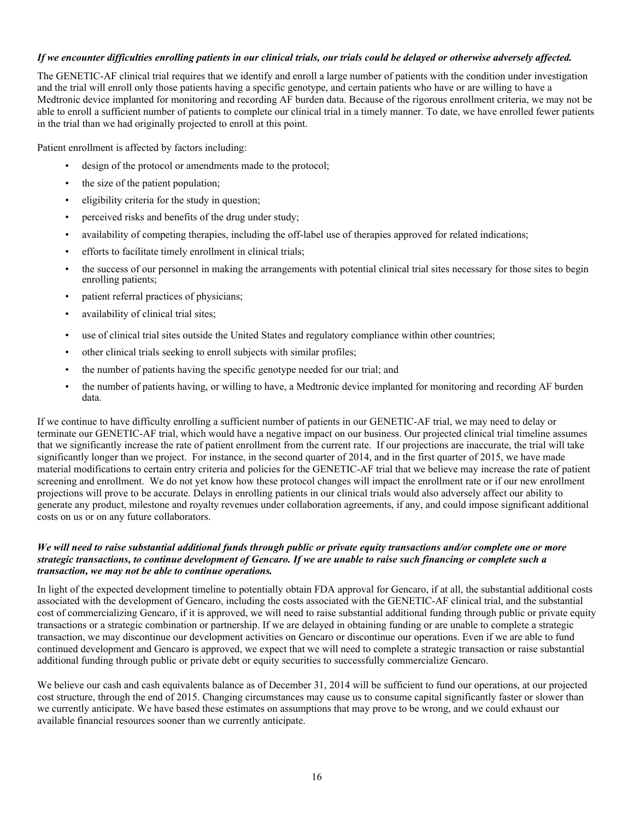# If we encounter difficulties enrolling patients in our clinical trials, our trials could be delayed or otherwise adversely affected.

The GENETIC-AF clinical trial requires that we identify and enroll a large number of patients with the condition under investigation and the trial will enroll only those patients having a specific genotype, and certain patients who have or are willing to have a Medtronic device implanted for monitoring and recording AF burden data. Because of the rigorous enrollment criteria, we may not be able to enroll a sufficient number of patients to complete our clinical trial in a timely manner. To date, we have enrolled fewer patients in the trial than we had originally projected to enroll at this point.

Patient enrollment is affected by factors including:

- design of the protocol or amendments made to the protocol;
- the size of the patient population;
- eligibility criteria for the study in question;
- perceived risks and benefits of the drug under study;
- availability of competing therapies, including the off-label use of therapies approved for related indications;
- efforts to facilitate timely enrollment in clinical trials;
- the success of our personnel in making the arrangements with potential clinical trial sites necessary for those sites to begin enrolling patients;
- patient referral practices of physicians;
- availability of clinical trial sites;
- use of clinical trial sites outside the United States and regulatory compliance within other countries;
- other clinical trials seeking to enroll subjects with similar profiles;
- the number of patients having the specific genotype needed for our trial; and
- the number of patients having, or willing to have, a Medtronic device implanted for monitoring and recording AF burden data.

If we continue to have difficulty enrolling a sufficient number of patients in our GENETIC-AF trial, we may need to delay or terminate our GENETIC-AF trial, which would have a negative impact on our business. Our projected clinical trial timeline assumes that we significantly increase the rate of patient enrollment from the current rate. If our projections are inaccurate, the trial will take significantly longer than we project. For instance, in the second quarter of 2014, and in the first quarter of 2015, we have made material modifications to certain entry criteria and policies for the GENETIC-AF trial that we believe may increase the rate of patient screening and enrollment. We do not yet know how these protocol changes will impact the enrollment rate or if our new enrollment projections will prove to be accurate. Delays in enrolling patients in our clinical trials would also adversely affect our ability to generate any product, milestone and royalty revenues under collaboration agreements, if any, and could impose significant additional costs on us or on any future collaborators.

# We will need to raise substantial additional funds through public or private equity transactions and/or complete one or more strategic transactions, to continue development of Gencaro. If we are unable to raise such financing or complete such a *transaction, we may not be able to continue operations.*

In light of the expected development timeline to potentially obtain FDA approval for Gencaro, if at all, the substantial additional costs associated with the development of Gencaro, including the costs associated with the GENETIC-AF clinical trial, and the substantial cost of commercializing Gencaro, if it is approved, we will need to raise substantial additional funding through public or private equity transactions or a strategic combination or partnership. If we are delayed in obtaining funding or are unable to complete a strategic transaction, we may discontinue our development activities on Gencaro or discontinue our operations. Even if we are able to fund continued development and Gencaro is approved, we expect that we will need to complete a strategic transaction or raise substantial additional funding through public or private debt or equity securities to successfully commercialize Gencaro.

We believe our cash and cash equivalents balance as of December 31, 2014 will be sufficient to fund our operations, at our projected cost structure, through the end of 2015. Changing circumstances may cause us to consume capital significantly faster or slower than we currently anticipate. We have based these estimates on assumptions that may prove to be wrong, and we could exhaust our available financial resources sooner than we currently anticipate.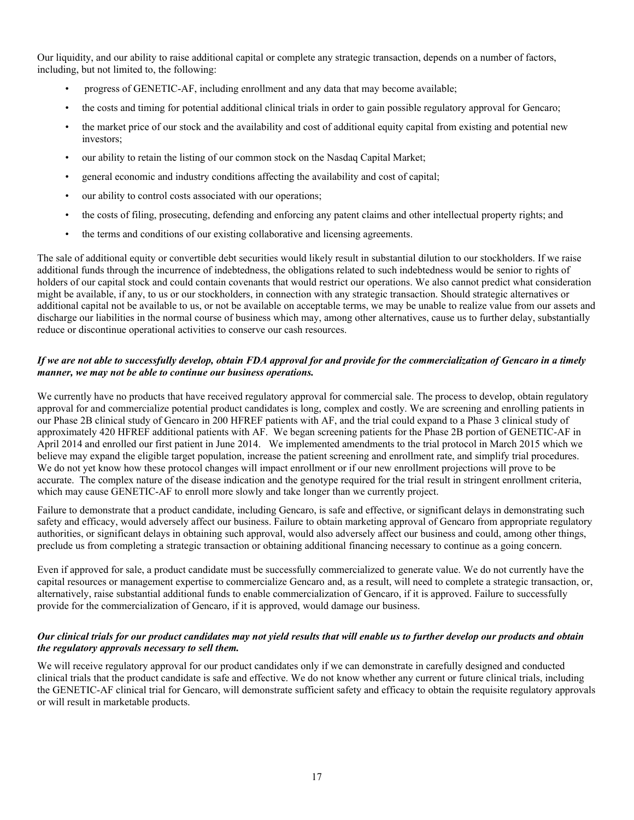Our liquidity, and our ability to raise additional capital or complete any strategic transaction, depends on a number of factors, including, but not limited to, the following:

- progress of GENETIC-AF, including enrollment and any data that may become available;
- the costs and timing for potential additional clinical trials in order to gain possible regulatory approval for Gencaro;
- the market price of our stock and the availability and cost of additional equity capital from existing and potential new investors;
- our ability to retain the listing of our common stock on the Nasdaq Capital Market;
- general economic and industry conditions affecting the availability and cost of capital;
- our ability to control costs associated with our operations;
- the costs of filing, prosecuting, defending and enforcing any patent claims and other intellectual property rights; and
- the terms and conditions of our existing collaborative and licensing agreements.

The sale of additional equity or convertible debt securities would likely result in substantial dilution to our stockholders. If we raise additional funds through the incurrence of indebtedness, the obligations related to such indebtedness would be senior to rights of holders of our capital stock and could contain covenants that would restrict our operations. We also cannot predict what consideration might be available, if any, to us or our stockholders, in connection with any strategic transaction. Should strategic alternatives or additional capital not be available to us, or not be available on acceptable terms, we may be unable to realize value from our assets and discharge our liabilities in the normal course of business which may, among other alternatives, cause us to further delay, substantially reduce or discontinue operational activities to conserve our cash resources.

# If we are not able to successfully develop, obtain FDA approval for and provide for the commercialization of Gencaro in a timely *manner, we may not be able to continue our business operations.*

We currently have no products that have received regulatory approval for commercial sale. The process to develop, obtain regulatory approval for and commercialize potential product candidates is long, complex and costly. We are screening and enrolling patients in our Phase 2B clinical study of Gencaro in 200 HFREF patients with AF, and the trial could expand to a Phase 3 clinical study of approximately 420 HFREF additional patients with AF. We began screening patients for the Phase 2B portion of GENETIC-AF in April 2014 and enrolled our first patient in June 2014. We implemented amendments to the trial protocol in March 2015 which we believe may expand the eligible target population, increase the patient screening and enrollment rate, and simplify trial procedures. We do not yet know how these protocol changes will impact enrollment or if our new enrollment projections will prove to be accurate. The complex nature of the disease indication and the genotype required for the trial result in stringent enrollment criteria, which may cause GENETIC-AF to enroll more slowly and take longer than we currently project.

Failure to demonstrate that a product candidate, including Gencaro, is safe and effective, or significant delays in demonstrating such safety and efficacy, would adversely affect our business. Failure to obtain marketing approval of Gencaro from appropriate regulatory authorities, or significant delays in obtaining such approval, would also adversely affect our business and could, among other things, preclude us from completing a strategic transaction or obtaining additional financing necessary to continue as a going concern.

Even if approved for sale, a product candidate must be successfully commercialized to generate value. We do not currently have the capital resources or management expertise to commercialize Gencaro and, as a result, will need to complete a strategic transaction, or, alternatively, raise substantial additional funds to enable commercialization of Gencaro, if it is approved. Failure to successfully provide for the commercialization of Gencaro, if it is approved, would damage our business.

# Our clinical trials for our product candidates may not yield results that will enable us to further develop our products and obtain *the regulatory approvals necessary to sell them.*

We will receive regulatory approval for our product candidates only if we can demonstrate in carefully designed and conducted clinical trials that the product candidate is safe and effective. We do not know whether any current or future clinical trials, including the GENETIC-AF clinical trial for Gencaro, will demonstrate sufficient safety and efficacy to obtain the requisite regulatory approvals or will result in marketable products.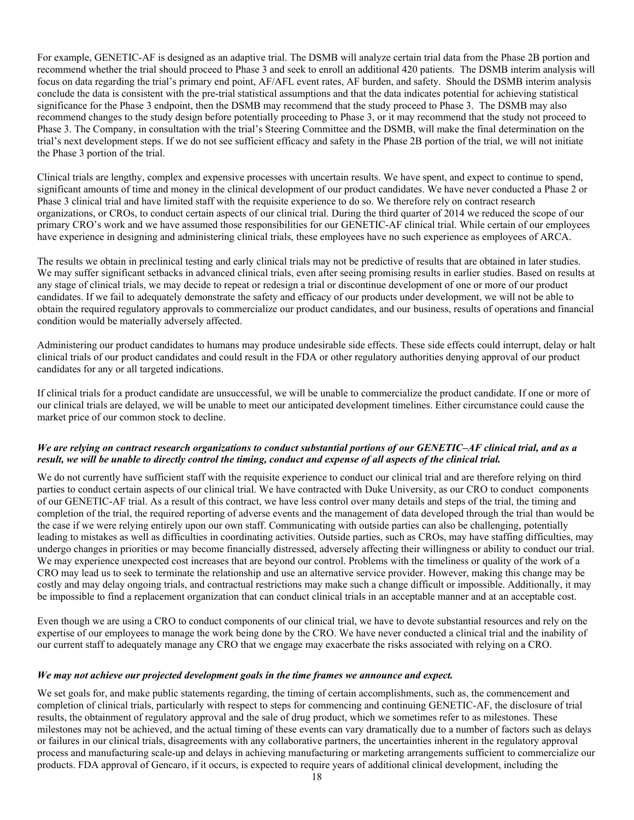For example, GENETIC-AF is designed as an adaptive trial. The DSMB will analyze certain trial data from the Phase 2B portion and recommend whether the trial should proceed to Phase 3 and seek to enroll an additional 420 patients. The DSMB interim analysis will focus on data regarding the trial's primary end point, AF/AFL event rates, AF burden, and safety. Should the DSMB interim analysis conclude the data is consistent with the pre-trial statistical assumptions and that the data indicates potential for achieving statistical significance for the Phase 3 endpoint, then the DSMB may recommend that the study proceed to Phase 3. The DSMB may also recommend changes to the study design before potentially proceeding to Phase 3, or it may recommend that the study not proceed to Phase 3. The Company, in consultation with the trial's Steering Committee and the DSMB, will make the final determination on the trial's next development steps. If we do not see sufficient efficacy and safety in the Phase 2B portion of the trial, we will not initiate the Phase 3 portion of the trial.

Clinical trials are lengthy, complex and expensive processes with uncertain results. We have spent, and expect to continue to spend, significant amounts of time and money in the clinical development of our product candidates. We have never conducted a Phase 2 or Phase 3 clinical trial and have limited staff with the requisite experience to do so. We therefore rely on contract research organizations, or CROs, to conduct certain aspects of our clinical trial. During the third quarter of 2014 we reduced the scope of our primary CRO's work and we have assumed those responsibilities for our GENETIC-AF clinical trial. While certain of our employees have experience in designing and administering clinical trials, these employees have no such experience as employees of ARCA.

The results we obtain in preclinical testing and early clinical trials may not be predictive of results that are obtained in later studies. We may suffer significant setbacks in advanced clinical trials, even after seeing promising results in earlier studies. Based on results at any stage of clinical trials, we may decide to repeat or redesign a trial or discontinue development of one or more of our product candidates. If we fail to adequately demonstrate the safety and efficacy of our products under development, we will not be able to obtain the required regulatory approvals to commercialize our product candidates, and our business, results of operations and financial condition would be materially adversely affected.

Administering our product candidates to humans may produce undesirable side effects. These side effects could interrupt, delay or halt clinical trials of our product candidates and could result in the FDA or other regulatory authorities denying approval of our product candidates for any or all targeted indications.

If clinical trials for a product candidate are unsuccessful, we will be unable to commercialize the product candidate. If one or more of our clinical trials are delayed, we will be unable to meet our anticipated development timelines. Either circumstance could cause the market price of our common stock to decline.

# We are relying on contract research organizations to conduct substantial portions of our GENETIC-AF clinical trial, and as a result, we will be unable to directly control the timing, conduct and expense of all aspects of the clinical trial.

We do not currently have sufficient staff with the requisite experience to conduct our clinical trial and are therefore relying on third parties to conduct certain aspects of our clinical trial. We have contracted with Duke University, as our CRO to conduct components of our GENETIC-AF trial. As a result of this contract, we have less control over many details and steps of the trial, the timing and completion of the trial, the required reporting of adverse events and the management of data developed through the trial than would be the case if we were relying entirely upon our own staff. Communicating with outside parties can also be challenging, potentially leading to mistakes as well as difficulties in coordinating activities. Outside parties, such as CROs, may have staffing difficulties, may undergo changes in priorities or may become financially distressed, adversely affecting their willingness or ability to conduct our trial. We may experience unexpected cost increases that are beyond our control. Problems with the timeliness or quality of the work of a CRO may lead us to seek to terminate the relationship and use an alternative service provider. However, making this change may be costly and may delay ongoing trials, and contractual restrictions may make such a change difficult or impossible. Additionally, it may be impossible to find a replacement organization that can conduct clinical trials in an acceptable manner and at an acceptable cost.

Even though we are using a CRO to conduct components of our clinical trial, we have to devote substantial resources and rely on the expertise of our employees to manage the work being done by the CRO. We have never conducted a clinical trial and the inability of our current staff to adequately manage any CRO that we engage may exacerbate the risks associated with relying on a CRO.

# *We may not achieve our projected development goals in the time frames we announce and expect.*

We set goals for, and make public statements regarding, the timing of certain accomplishments, such as, the commencement and completion of clinical trials, particularly with respect to steps for commencing and continuing GENETIC-AF, the disclosure of trial results, the obtainment of regulatory approval and the sale of drug product, which we sometimes refer to as milestones. These milestones may not be achieved, and the actual timing of these events can vary dramatically due to a number of factors such as delays or failures in our clinical trials, disagreements with any collaborative partners, the uncertainties inherent in the regulatory approval process and manufacturing scale-up and delays in achieving manufacturing or marketing arrangements sufficient to commercialize our products. FDA approval of Gencaro, if it occurs, is expected to require years of additional clinical development, including the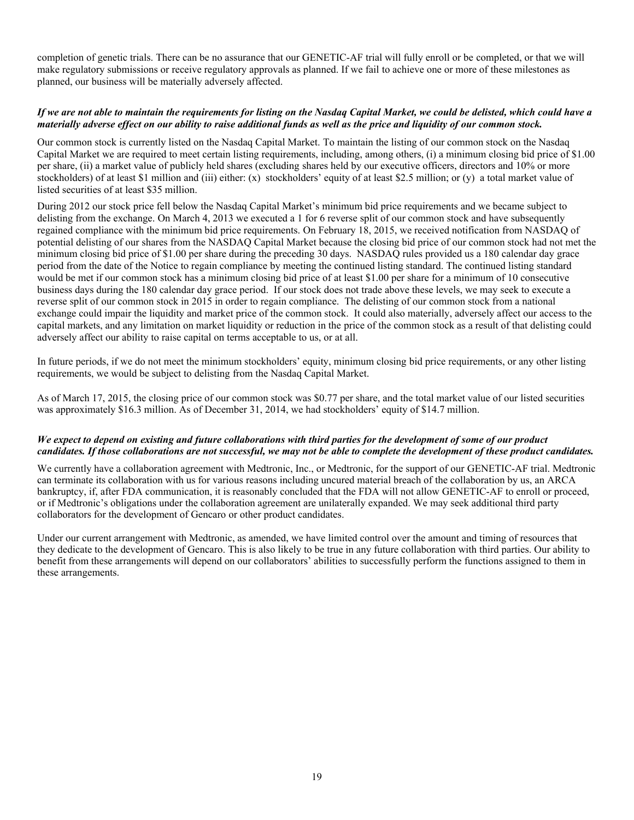completion of genetic trials. There can be no assurance that our GENETIC-AF trial will fully enroll or be completed, or that we will make regulatory submissions or receive regulatory approvals as planned. If we fail to achieve one or more of these milestones as planned, our business will be materially adversely affected.

# If we are not able to maintain the requirements for listing on the Nasdaq Capital Market, we could be delisted, which could have a materially adverse effect on our ability to raise additional funds as well as the price and liquidity of our common stock.

Our common stock is currently listed on the Nasdaq Capital Market. To maintain the listing of our common stock on the Nasdaq Capital Market we are required to meet certain listing requirements, including, among others, (i) a minimum closing bid price of \$1.00 per share, (ii) a market value of publicly held shares (excluding shares held by our executive officers, directors and 10% or more stockholders) of at least \$1 million and (iii) either: (x) stockholders' equity of at least \$2.5 million; or (y) a total market value of listed securities of at least \$35 million.

During 2012 our stock price fell below the Nasdaq Capital Market's minimum bid price requirements and we became subject to delisting from the exchange. On March 4, 2013 we executed a 1 for 6 reverse split of our common stock and have subsequently regained compliance with the minimum bid price requirements. On February 18, 2015, we received notification from NASDAQ of potential delisting of our shares from the NASDAQ Capital Market because the closing bid price of our common stock had not met the minimum closing bid price of \$1.00 per share during the preceding 30 days. NASDAQ rules provided us a 180 calendar day grace period from the date of the Notice to regain compliance by meeting the continued listing standard. The continued listing standard would be met if our common stock has a minimum closing bid price of at least \$1.00 per share for a minimum of 10 consecutive business days during the 180 calendar day grace period. If our stock does not trade above these levels, we may seek to execute a reverse split of our common stock in 2015 in order to regain compliance. The delisting of our common stock from a national exchange could impair the liquidity and market price of the common stock. It could also materially, adversely affect our access to the capital markets, and any limitation on market liquidity or reduction in the price of the common stock as a result of that delisting could adversely affect our ability to raise capital on terms acceptable to us, or at all.

In future periods, if we do not meet the minimum stockholders' equity, minimum closing bid price requirements, or any other listing requirements, we would be subject to delisting from the Nasdaq Capital Market.

As of March 17, 2015, the closing price of our common stock was \$0.77 per share, and the total market value of our listed securities was approximately \$16.3 million. As of December 31, 2014, we had stockholders' equity of \$14.7 million.

#### We expect to depend on existing and future collaborations with third parties for the development of some of our product candidates. If those collaborations are not successful, we may not be able to complete the development of these product candidates.

We currently have a collaboration agreement with Medtronic, Inc., or Medtronic, for the support of our GENETIC-AF trial. Medtronic can terminate its collaboration with us for various reasons including uncured material breach of the collaboration by us, an ARCA bankruptcy, if, after FDA communication, it is reasonably concluded that the FDA will not allow GENETIC-AF to enroll or proceed, or if Medtronic's obligations under the collaboration agreement are unilaterally expanded. We may seek additional third party collaborators for the development of Gencaro or other product candidates.

Under our current arrangement with Medtronic, as amended, we have limited control over the amount and timing of resources that they dedicate to the development of Gencaro. This is also likely to be true in any future collaboration with third parties. Our ability to benefit from these arrangements will depend on our collaborators' abilities to successfully perform the functions assigned to them in these arrangements.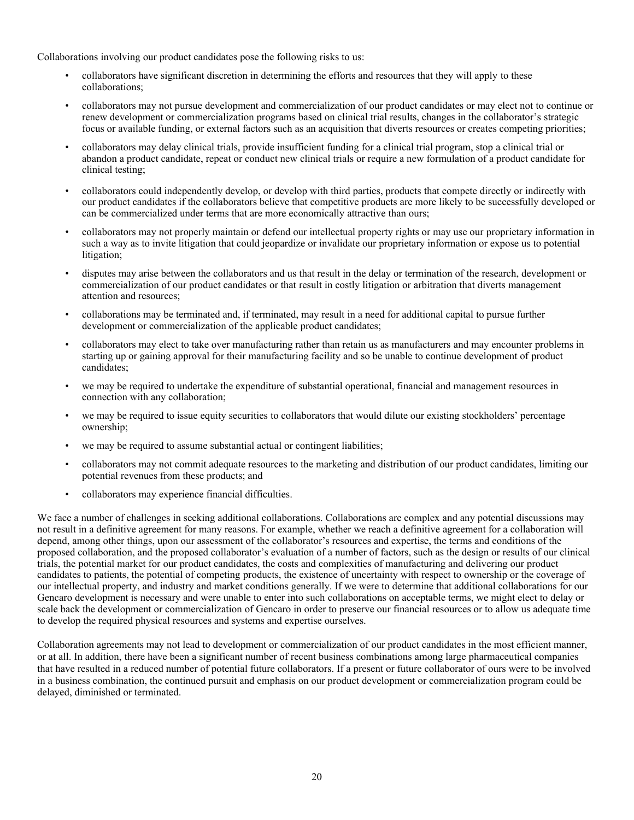Collaborations involving our product candidates pose the following risks to us:

- collaborators have significant discretion in determining the efforts and resources that they will apply to these collaborations;
- collaborators may not pursue development and commercialization of our product candidates or may elect not to continue or renew development or commercialization programs based on clinical trial results, changes in the collaborator's strategic focus or available funding, or external factors such as an acquisition that diverts resources or creates competing priorities;
- collaborators may delay clinical trials, provide insufficient funding for a clinical trial program, stop a clinical trial or abandon a product candidate, repeat or conduct new clinical trials or require a new formulation of a product candidate for clinical testing;
- collaborators could independently develop, or develop with third parties, products that compete directly or indirectly with our product candidates if the collaborators believe that competitive products are more likely to be successfully developed or can be commercialized under terms that are more economically attractive than ours;
- collaborators may not properly maintain or defend our intellectual property rights or may use our proprietary information in such a way as to invite litigation that could jeopardize or invalidate our proprietary information or expose us to potential litigation;
- disputes may arise between the collaborators and us that result in the delay or termination of the research, development or commercialization of our product candidates or that result in costly litigation or arbitration that diverts management attention and resources;
- collaborations may be terminated and, if terminated, may result in a need for additional capital to pursue further development or commercialization of the applicable product candidates;
- collaborators may elect to take over manufacturing rather than retain us as manufacturers and may encounter problems in starting up or gaining approval for their manufacturing facility and so be unable to continue development of product candidates;
- we may be required to undertake the expenditure of substantial operational, financial and management resources in connection with any collaboration;
- we may be required to issue equity securities to collaborators that would dilute our existing stockholders' percentage ownership;
- we may be required to assume substantial actual or contingent liabilities;
- collaborators may not commit adequate resources to the marketing and distribution of our product candidates, limiting our potential revenues from these products; and
- collaborators may experience financial difficulties.

We face a number of challenges in seeking additional collaborations. Collaborations are complex and any potential discussions may not result in a definitive agreement for many reasons. For example, whether we reach a definitive agreement for a collaboration will depend, among other things, upon our assessment of the collaborator's resources and expertise, the terms and conditions of the proposed collaboration, and the proposed collaborator's evaluation of a number of factors, such as the design or results of our clinical trials, the potential market for our product candidates, the costs and complexities of manufacturing and delivering our product candidates to patients, the potential of competing products, the existence of uncertainty with respect to ownership or the coverage of our intellectual property, and industry and market conditions generally. If we were to determine that additional collaborations for our Gencaro development is necessary and were unable to enter into such collaborations on acceptable terms, we might elect to delay or scale back the development or commercialization of Gencaro in order to preserve our financial resources or to allow us adequate time to develop the required physical resources and systems and expertise ourselves.

Collaboration agreements may not lead to development or commercialization of our product candidates in the most efficient manner, or at all. In addition, there have been a significant number of recent business combinations among large pharmaceutical companies that have resulted in a reduced number of potential future collaborators. If a present or future collaborator of ours were to be involved in a business combination, the continued pursuit and emphasis on our product development or commercialization program could be delayed, diminished or terminated.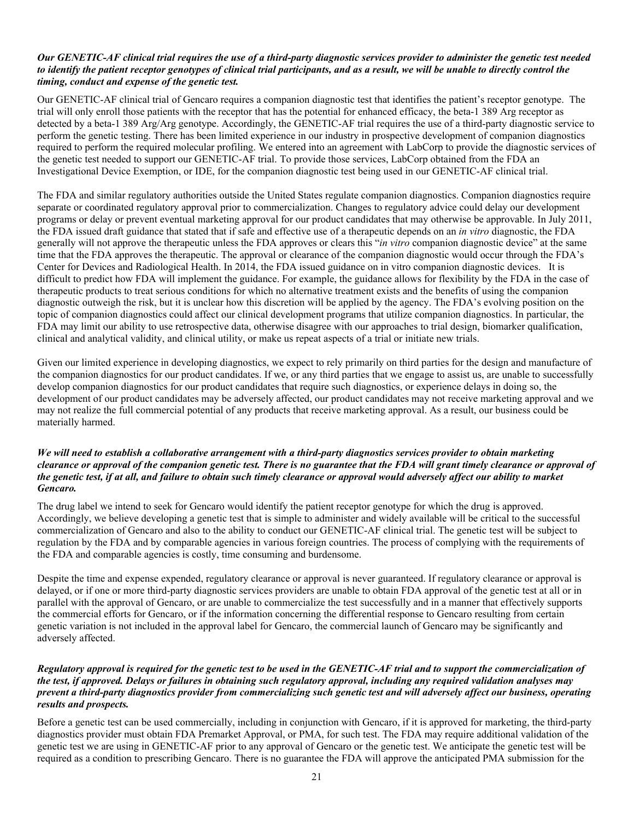# Our GENETIC-AF clinical trial requires the use of a third-party diagnostic services provider to administer the genetic test needed to identify the patient receptor genotypes of clinical trial participants, and as a result, we will be unable to directly control the *timing, conduct and expense of the genetic test.*

Our GENETIC-AF clinical trial of Gencaro requires a companion diagnostic test that identifies the patient's receptor genotype. The trial will only enroll those patients with the receptor that has the potential for enhanced efficacy, the beta-1 389 Arg receptor as detected by a beta-1 389 Arg/Arg genotype. Accordingly, the GENETIC-AF trial requires the use of a third-party diagnostic service to perform the genetic testing. There has been limited experience in our industry in prospective development of companion diagnostics required to perform the required molecular profiling. We entered into an agreement with LabCorp to provide the diagnostic services of the genetic test needed to support our GENETIC-AF trial. To provide those services, LabCorp obtained from the FDA an Investigational Device Exemption, or IDE, for the companion diagnostic test being used in our GENETIC-AF clinical trial.

The FDA and similar regulatory authorities outside the United States regulate companion diagnostics. Companion diagnostics require separate or coordinated regulatory approval prior to commercialization. Changes to regulatory advice could delay our development programs or delay or prevent eventual marketing approval for our product candidates that may otherwise be approvable. In July 2011, the FDA issued draft guidance that stated that if safe and effective use of a therapeutic depends on an *in vitro* diagnostic, the FDA generally will not approve the therapeutic unless the FDA approves or clears this "*in vitro* companion diagnostic device" at the same time that the FDA approves the therapeutic. The approval or clearance of the companion diagnostic would occur through the FDA's Center for Devices and Radiological Health. In 2014, the FDA issued guidance on in vitro companion diagnostic devices. It is difficult to predict how FDA will implement the guidance. For example, the guidance allows for flexibility by the FDA in the case of therapeutic products to treat serious conditions for which no alternative treatment exists and the benefits of using the companion diagnostic outweigh the risk, but it is unclear how this discretion will be applied by the agency. The FDA's evolving position on the topic of companion diagnostics could affect our clinical development programs that utilize companion diagnostics. In particular, the FDA may limit our ability to use retrospective data, otherwise disagree with our approaches to trial design, biomarker qualification, clinical and analytical validity, and clinical utility, or make us repeat aspects of a trial or initiate new trials.

Given our limited experience in developing diagnostics, we expect to rely primarily on third parties for the design and manufacture of the companion diagnostics for our product candidates. If we, or any third parties that we engage to assist us, are unable to successfully develop companion diagnostics for our product candidates that require such diagnostics, or experience delays in doing so, the development of our product candidates may be adversely affected, our product candidates may not receive marketing approval and we may not realize the full commercial potential of any products that receive marketing approval. As a result, our business could be materially harmed.

# We will need to establish a collaborative arrangement with a third-party diagnostics services provider to obtain marketing clearance or approval of the companion genetic test. There is no guarantee that the FDA will grant timely clearance or approval of the genetic test, if at all, and failure to obtain such timely clearance or approval would adversely affect our ability to market *Gencaro.*

The drug label we intend to seek for Gencaro would identify the patient receptor genotype for which the drug is approved. Accordingly, we believe developing a genetic test that is simple to administer and widely available will be critical to the successful commercialization of Gencaro and also to the ability to conduct our GENETIC-AF clinical trial. The genetic test will be subject to regulation by the FDA and by comparable agencies in various foreign countries. The process of complying with the requirements of the FDA and comparable agencies is costly, time consuming and burdensome.

Despite the time and expense expended, regulatory clearance or approval is never guaranteed. If regulatory clearance or approval is delayed, or if one or more third-party diagnostic services providers are unable to obtain FDA approval of the genetic test at all or in parallel with the approval of Gencaro, or are unable to commercialize the test successfully and in a manner that effectively supports the commercial efforts for Gencaro, or if the information concerning the differential response to Gencaro resulting from certain genetic variation is not included in the approval label for Gencaro, the commercial launch of Gencaro may be significantly and adversely affected.

# Regulatory approval is required for the genetic test to be used in the GENETIC-AF trial and to support the commercialization of the test, if approved. Delays or failures in obtaining such regulatory approval, including any required validation analyses may prevent a third-party diagnostics provider from commercializing such genetic test and will adversely affect our business, operating *results and prospects.*

Before a genetic test can be used commercially, including in conjunction with Gencaro, if it is approved for marketing, the third-party diagnostics provider must obtain FDA Premarket Approval, or PMA, for such test. The FDA may require additional validation of the genetic test we are using in GENETIC-AF prior to any approval of Gencaro or the genetic test. We anticipate the genetic test will be required as a condition to prescribing Gencaro. There is no guarantee the FDA will approve the anticipated PMA submission for the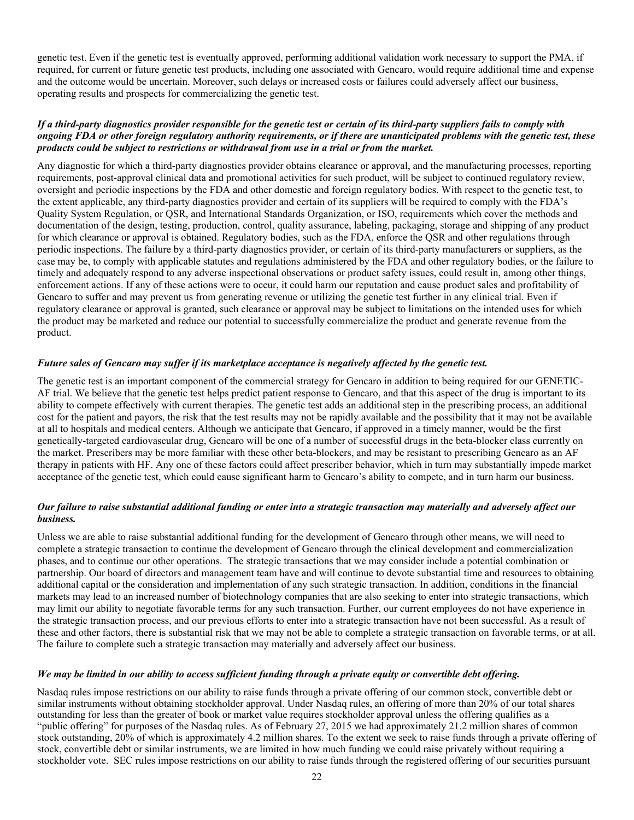genetic test. Even if the genetic test is eventually approved, performing additional validation work necessary to support the PMA, if required, for current or future genetic test products, including one associated with Gencaro, would require additional time and expense and the outcome would be uncertain. Moreover, such delays or increased costs or failures could adversely affect our business, operating results and prospects for commercializing the genetic test.

# If a third-party diagnostics provider responsible for the genetic test or certain of its third-party suppliers fails to comply with ongoing FDA or other foreign regulatory authority requirements, or if there are unanticipated problems with the genetic test, these *products could be subject to restrictions or withdrawal from use in a trial or from the market.*

Any diagnostic for which a third-party diagnostics provider obtains clearance or approval, and the manufacturing processes, reporting requirements, post-approval clinical data and promotional activities for such product, will be subject to continued regulatory review, oversight and periodic inspections by the FDA and other domestic and foreign regulatory bodies. With respect to the genetic test, to the extent applicable, any third-party diagnostics provider and certain of its suppliers will be required to comply with the FDA's Quality System Regulation, or QSR, and International Standards Organization, or ISO, requirements which cover the methods and documentation of the design, testing, production, control, quality assurance, labeling, packaging, storage and shipping of any product for which clearance or approval is obtained. Regulatory bodies, such as the FDA, enforce the QSR and other regulations through periodic inspections. The failure by a third-party diagnostics provider, or certain of its third-party manufacturers or suppliers, as the case may be, to comply with applicable statutes and regulations administered by the FDA and other regulatory bodies, or the failure to timely and adequately respond to any adverse inspectional observations or product safety issues, could result in, among other things, enforcement actions. If any of these actions were to occur, it could harm our reputation and cause product sales and profitability of Gencaro to suffer and may prevent us from generating revenue or utilizing the genetic test further in any clinical trial. Even if regulatory clearance or approval is granted, such clearance or approval may be subject to limitations on the intended uses for which the product may be marketed and reduce our potential to successfully commercialize the product and generate revenue from the product.

#### Future sales of Gencaro may suffer if its marketplace acceptance is negatively affected by the genetic test.

The genetic test is an important component of the commercial strategy for Gencaro in addition to being required for our GENETIC-AF trial. We believe that the genetic test helps predict patient response to Gencaro, and that this aspect of the drug is important to its ability to compete effectively with current therapies. The genetic test adds an additional step in the prescribing process, an additional cost for the patient and payors, the risk that the test results may not be rapidly available and the possibility that it may not be available at all to hospitals and medical centers. Although we anticipate that Gencaro, if approved in a timely manner, would be the first genetically-targeted cardiovascular drug, Gencaro will be one of a number of successful drugs in the beta-blocker class currently on the market. Prescribers may be more familiar with these other beta-blockers, and may be resistant to prescribing Gencaro as an AF therapy in patients with HF. Any one of these factors could affect prescriber behavior, which in turn may substantially impede market acceptance of the genetic test, which could cause significant harm to Gencaro's ability to compete, and in turn harm our business.

# Our failure to raise substantial additional funding or enter into a strategic transaction may materially and adversely affect our *business.*

Unless we are able to raise substantial additional funding for the development of Gencaro through other means, we will need to complete a strategic transaction to continue the development of Gencaro through the clinical development and commercialization phases, and to continue our other operations. The strategic transactions that we may consider include a potential combination or partnership. Our board of directors and management team have and will continue to devote substantial time and resources to obtaining additional capital or the consideration and implementation of any such strategic transaction. In addition, conditions in the financial markets may lead to an increased number of biotechnology companies that are also seeking to enter into strategic transactions, which may limit our ability to negotiate favorable terms for any such transaction. Further, our current employees do not have experience in the strategic transaction process, and our previous efforts to enter into a strategic transaction have not been successful. As a result of these and other factors, there is substantial risk that we may not be able to complete a strategic transaction on favorable terms, or at all. The failure to complete such a strategic transaction may materially and adversely affect our business.

#### We may be limited in our ability to access sufficient funding through a private equity or convertible debt offering.

Nasdaq rules impose restrictions on our ability to raise funds through a private offering of our common stock, convertible debt or similar instruments without obtaining stockholder approval. Under Nasdaq rules, an offering of more than 20% of our total shares outstanding for less than the greater of book or market value requires stockholder approval unless the offering qualifies as a "public offering" for purposes of the Nasdaq rules. As of February 27, 2015 we had approximately 21.2 million shares of common stock outstanding, 20% of which is approximately 4.2 million shares. To the extent we seek to raise funds through a private offering of stock, convertible debt or similar instruments, we are limited in how much funding we could raise privately without requiring a stockholder vote. SEC rules impose restrictions on our ability to raise funds through the registered offering of our securities pursuant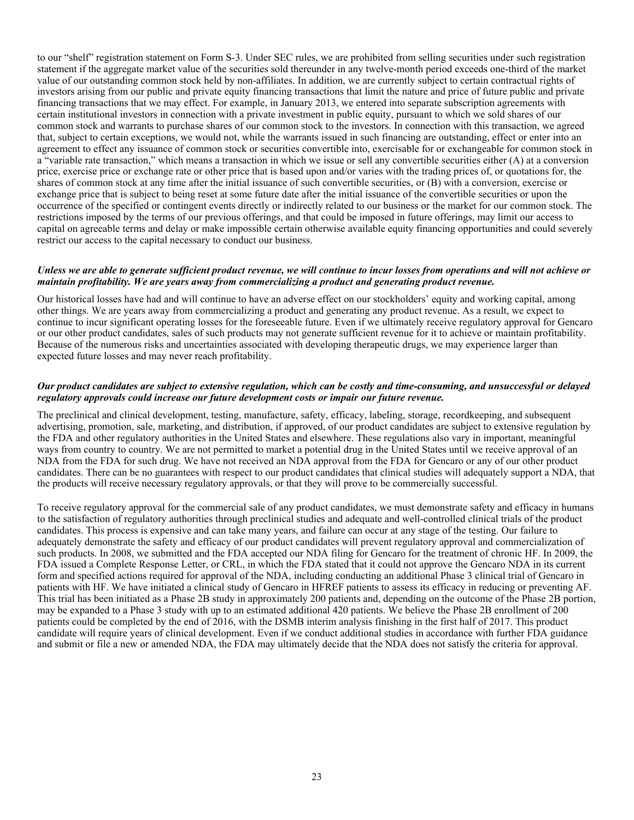to our "shelf" registration statement on Form S-3. Under SEC rules, we are prohibited from selling securities under such registration statement if the aggregate market value of the securities sold thereunder in any twelve-month period exceeds one-third of the market value of our outstanding common stock held by non-affiliates. In addition, we are currently subject to certain contractual rights of investors arising from our public and private equity financing transactions that limit the nature and price of future public and private financing transactions that we may effect. For example, in January 2013, we entered into separate subscription agreements with certain institutional investors in connection with a private investment in public equity, pursuant to which we sold shares of our common stock and warrants to purchase shares of our common stock to the investors. In connection with this transaction, we agreed that, subject to certain exceptions, we would not, while the warrants issued in such financing are outstanding, effect or enter into an agreement to effect any issuance of common stock or securities convertible into, exercisable for or exchangeable for common stock in a "variable rate transaction," which means a transaction in which we issue or sell any convertible securities either (A) at a conversion price, exercise price or exchange rate or other price that is based upon and/or varies with the trading prices of, or quotations for, the shares of common stock at any time after the initial issuance of such convertible securities, or (B) with a conversion, exercise or exchange price that is subject to being reset at some future date after the initial issuance of the convertible securities or upon the occurrence of the specified or contingent events directly or indirectly related to our business or the market for our common stock. The restrictions imposed by the terms of our previous offerings, and that could be imposed in future offerings, may limit our access to capital on agreeable terms and delay or make impossible certain otherwise available equity financing opportunities and could severely restrict our access to the capital necessary to conduct our business.

#### Unless we are able to generate sufficient product revenue, we will continue to incur losses from operations and will not achieve or *maintain profitability. We are years away from commercializing a product and generating product revenue.*

Our historical losses have had and will continue to have an adverse effect on our stockholders' equity and working capital, among other things. We are years away from commercializing a product and generating any product revenue. As a result, we expect to continue to incur significant operating losses for the foreseeable future. Even if we ultimately receive regulatory approval for Gencaro or our other product candidates, sales of such products may not generate sufficient revenue for it to achieve or maintain profitability. Because of the numerous risks and uncertainties associated with developing therapeutic drugs, we may experience larger than expected future losses and may never reach profitability.

#### Our product candidates are subject to extensive regulation, which can be costly and time-consuming, and unsuccessful or delayed *regulatory approvals could increase our future development costs or impair our future revenue.*

The preclinical and clinical development, testing, manufacture, safety, efficacy, labeling, storage, recordkeeping, and subsequent advertising, promotion, sale, marketing, and distribution, if approved, of our product candidates are subject to extensive regulation by the FDA and other regulatory authorities in the United States and elsewhere. These regulations also vary in important, meaningful ways from country to country. We are not permitted to market a potential drug in the United States until we receive approval of an NDA from the FDA for such drug. We have not received an NDA approval from the FDA for Gencaro or any of our other product candidates. There can be no guarantees with respect to our product candidates that clinical studies will adequately support a NDA, that the products will receive necessary regulatory approvals, or that they will prove to be commercially successful.

To receive regulatory approval for the commercial sale of any product candidates, we must demonstrate safety and efficacy in humans to the satisfaction of regulatory authorities through preclinical studies and adequate and well-controlled clinical trials of the product candidates. This process is expensive and can take many years, and failure can occur at any stage of the testing. Our failure to adequately demonstrate the safety and efficacy of our product candidates will prevent regulatory approval and commercialization of such products. In 2008, we submitted and the FDA accepted our NDA filing for Gencaro for the treatment of chronic HF. In 2009, the FDA issued a Complete Response Letter, or CRL, in which the FDA stated that it could not approve the Gencaro NDA in its current form and specified actions required for approval of the NDA, including conducting an additional Phase 3 clinical trial of Gencaro in patients with HF. We have initiated a clinical study of Gencaro in HFREF patients to assess its efficacy in reducing or preventing AF. This trial has been initiated as a Phase 2B study in approximately 200 patients and, depending on the outcome of the Phase 2B portion, may be expanded to a Phase 3 study with up to an estimated additional 420 patients. We believe the Phase 2B enrollment of 200 patients could be completed by the end of 2016, with the DSMB interim analysis finishing in the first half of 2017. This product candidate will require years of clinical development. Even if we conduct additional studies in accordance with further FDA guidance and submit or file a new or amended NDA, the FDA may ultimately decide that the NDA does not satisfy the criteria for approval.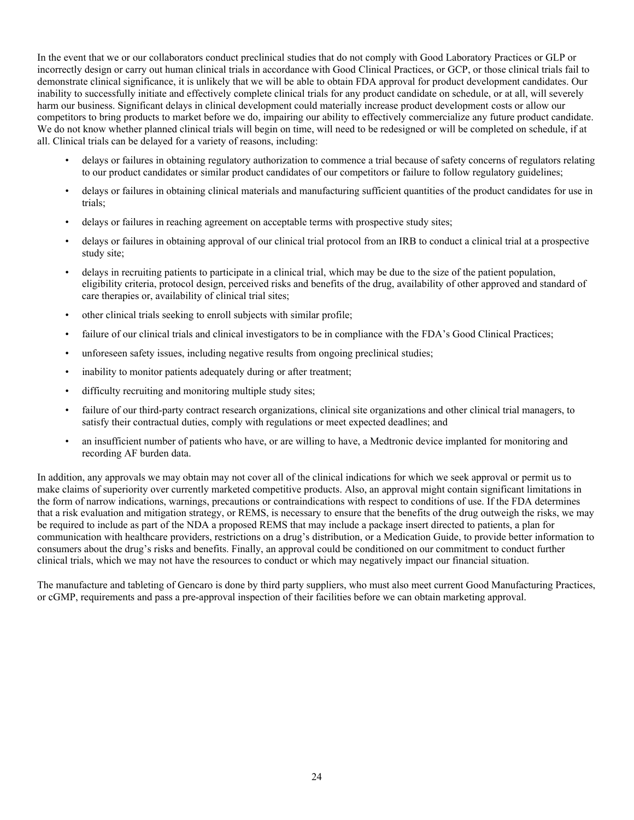In the event that we or our collaborators conduct preclinical studies that do not comply with Good Laboratory Practices or GLP or incorrectly design or carry out human clinical trials in accordance with Good Clinical Practices, or GCP, or those clinical trials fail to demonstrate clinical significance, it is unlikely that we will be able to obtain FDA approval for product development candidates. Our inability to successfully initiate and effectively complete clinical trials for any product candidate on schedule, or at all, will severely harm our business. Significant delays in clinical development could materially increase product development costs or allow our competitors to bring products to market before we do, impairing our ability to effectively commercialize any future product candidate. We do not know whether planned clinical trials will begin on time, will need to be redesigned or will be completed on schedule, if at all. Clinical trials can be delayed for a variety of reasons, including:

- delays or failures in obtaining regulatory authorization to commence a trial because of safety concerns of regulators relating to our product candidates or similar product candidates of our competitors or failure to follow regulatory guidelines;
- delays or failures in obtaining clinical materials and manufacturing sufficient quantities of the product candidates for use in trials;
- delays or failures in reaching agreement on acceptable terms with prospective study sites;
- delays or failures in obtaining approval of our clinical trial protocol from an IRB to conduct a clinical trial at a prospective study site;
- delays in recruiting patients to participate in a clinical trial, which may be due to the size of the patient population, eligibility criteria, protocol design, perceived risks and benefits of the drug, availability of other approved and standard of care therapies or, availability of clinical trial sites;
- other clinical trials seeking to enroll subjects with similar profile;
- failure of our clinical trials and clinical investigators to be in compliance with the FDA's Good Clinical Practices;
- unforeseen safety issues, including negative results from ongoing preclinical studies;
- inability to monitor patients adequately during or after treatment;
- difficulty recruiting and monitoring multiple study sites;
- failure of our third-party contract research organizations, clinical site organizations and other clinical trial managers, to satisfy their contractual duties, comply with regulations or meet expected deadlines; and
- an insufficient number of patients who have, or are willing to have, a Medtronic device implanted for monitoring and recording AF burden data.

In addition, any approvals we may obtain may not cover all of the clinical indications for which we seek approval or permit us to make claims of superiority over currently marketed competitive products. Also, an approval might contain significant limitations in the form of narrow indications, warnings, precautions or contraindications with respect to conditions of use. If the FDA determines that a risk evaluation and mitigation strategy, or REMS, is necessary to ensure that the benefits of the drug outweigh the risks, we may be required to include as part of the NDA a proposed REMS that may include a package insert directed to patients, a plan for communication with healthcare providers, restrictions on a drug's distribution, or a Medication Guide, to provide better information to consumers about the drug's risks and benefits. Finally, an approval could be conditioned on our commitment to conduct further clinical trials, which we may not have the resources to conduct or which may negatively impact our financial situation.

The manufacture and tableting of Gencaro is done by third party suppliers, who must also meet current Good Manufacturing Practices, or cGMP, requirements and pass a pre-approval inspection of their facilities before we can obtain marketing approval.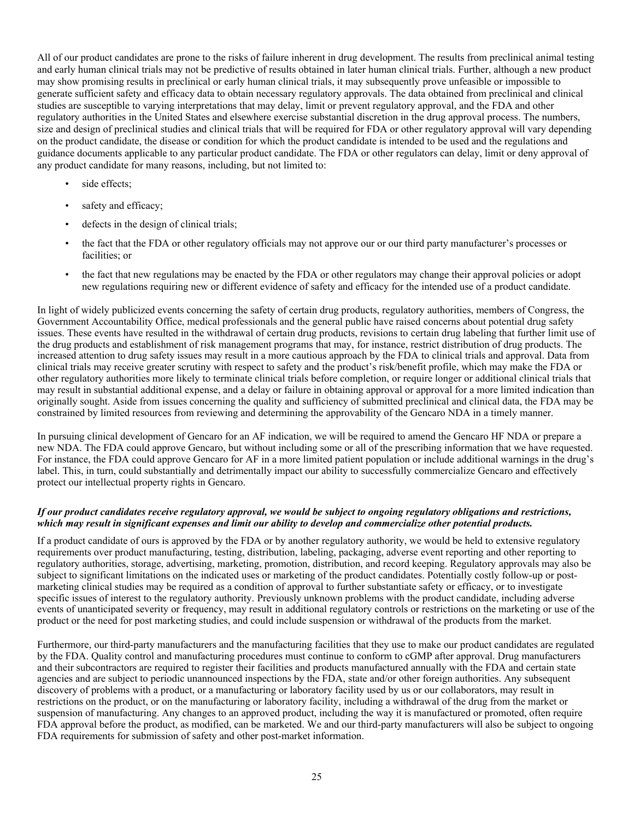All of our product candidates are prone to the risks of failure inherent in drug development. The results from preclinical animal testing and early human clinical trials may not be predictive of results obtained in later human clinical trials. Further, although a new product may show promising results in preclinical or early human clinical trials, it may subsequently prove unfeasible or impossible to generate sufficient safety and efficacy data to obtain necessary regulatory approvals. The data obtained from preclinical and clinical studies are susceptible to varying interpretations that may delay, limit or prevent regulatory approval, and the FDA and other regulatory authorities in the United States and elsewhere exercise substantial discretion in the drug approval process. The numbers, size and design of preclinical studies and clinical trials that will be required for FDA or other regulatory approval will vary depending on the product candidate, the disease or condition for which the product candidate is intended to be used and the regulations and guidance documents applicable to any particular product candidate. The FDA or other regulators can delay, limit or deny approval of any product candidate for many reasons, including, but not limited to:

- side effects;
- safety and efficacy;
- defects in the design of clinical trials;
- the fact that the FDA or other regulatory officials may not approve our or our third party manufacturer's processes or facilities; or
- the fact that new regulations may be enacted by the FDA or other regulators may change their approval policies or adopt new regulations requiring new or different evidence of safety and efficacy for the intended use of a product candidate.

In light of widely publicized events concerning the safety of certain drug products, regulatory authorities, members of Congress, the Government Accountability Office, medical professionals and the general public have raised concerns about potential drug safety issues. These events have resulted in the withdrawal of certain drug products, revisions to certain drug labeling that further limit use of the drug products and establishment of risk management programs that may, for instance, restrict distribution of drug products. The increased attention to drug safety issues may result in a more cautious approach by the FDA to clinical trials and approval. Data from clinical trials may receive greater scrutiny with respect to safety and the product's risk/benefit profile, which may make the FDA or other regulatory authorities more likely to terminate clinical trials before completion, or require longer or additional clinical trials that may result in substantial additional expense, and a delay or failure in obtaining approval or approval for a more limited indication than originally sought. Aside from issues concerning the quality and sufficiency of submitted preclinical and clinical data, the FDA may be constrained by limited resources from reviewing and determining the approvability of the Gencaro NDA in a timely manner.

In pursuing clinical development of Gencaro for an AF indication, we will be required to amend the Gencaro HF NDA or prepare a new NDA. The FDA could approve Gencaro, but without including some or all of the prescribing information that we have requested. For instance, the FDA could approve Gencaro for AF in a more limited patient population or include additional warnings in the drug's label. This, in turn, could substantially and detrimentally impact our ability to successfully commercialize Gencaro and effectively protect our intellectual property rights in Gencaro.

#### If our product candidates receive regulatory approval, we would be subject to ongoing regulatory obligations and restrictions, which may result in significant expenses and limit our ability to develop and commercialize other potential products.

If a product candidate of ours is approved by the FDA or by another regulatory authority, we would be held to extensive regulatory requirements over product manufacturing, testing, distribution, labeling, packaging, adverse event reporting and other reporting to regulatory authorities, storage, advertising, marketing, promotion, distribution, and record keeping. Regulatory approvals may also be subject to significant limitations on the indicated uses or marketing of the product candidates. Potentially costly follow-up or postmarketing clinical studies may be required as a condition of approval to further substantiate safety or efficacy, or to investigate specific issues of interest to the regulatory authority. Previously unknown problems with the product candidate, including adverse events of unanticipated severity or frequency, may result in additional regulatory controls or restrictions on the marketing or use of the product or the need for post marketing studies, and could include suspension or withdrawal of the products from the market.

Furthermore, our third-party manufacturers and the manufacturing facilities that they use to make our product candidates are regulated by the FDA. Quality control and manufacturing procedures must continue to conform to cGMP after approval. Drug manufacturers and their subcontractors are required to register their facilities and products manufactured annually with the FDA and certain state agencies and are subject to periodic unannounced inspections by the FDA, state and/or other foreign authorities. Any subsequent discovery of problems with a product, or a manufacturing or laboratory facility used by us or our collaborators, may result in restrictions on the product, or on the manufacturing or laboratory facility, including a withdrawal of the drug from the market or suspension of manufacturing. Any changes to an approved product, including the way it is manufactured or promoted, often require FDA approval before the product, as modified, can be marketed. We and our third-party manufacturers will also be subject to ongoing FDA requirements for submission of safety and other post-market information.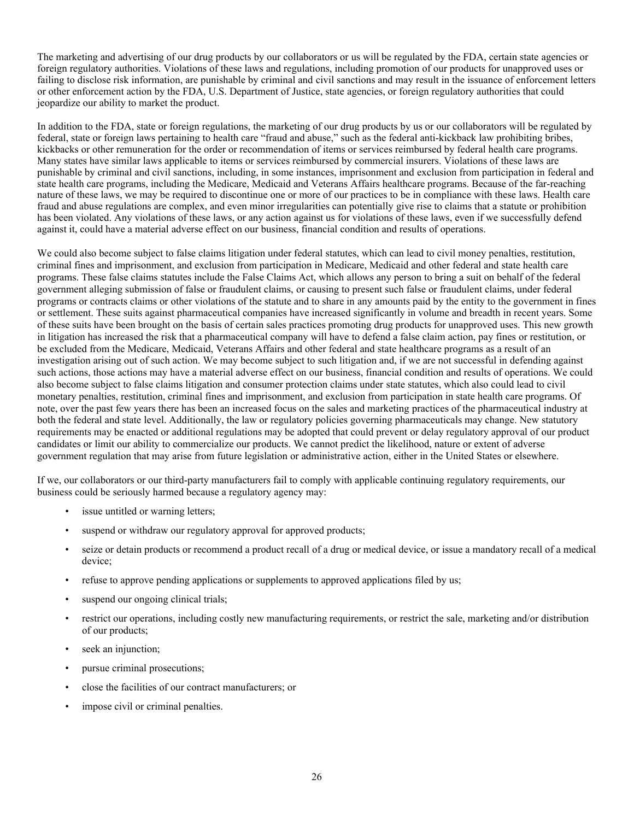The marketing and advertising of our drug products by our collaborators or us will be regulated by the FDA, certain state agencies or foreign regulatory authorities. Violations of these laws and regulations, including promotion of our products for unapproved uses or failing to disclose risk information, are punishable by criminal and civil sanctions and may result in the issuance of enforcement letters or other enforcement action by the FDA, U.S. Department of Justice, state agencies, or foreign regulatory authorities that could jeopardize our ability to market the product.

In addition to the FDA, state or foreign regulations, the marketing of our drug products by us or our collaborators will be regulated by federal, state or foreign laws pertaining to health care "fraud and abuse," such as the federal anti-kickback law prohibiting bribes, kickbacks or other remuneration for the order or recommendation of items or services reimbursed by federal health care programs. Many states have similar laws applicable to items or services reimbursed by commercial insurers. Violations of these laws are punishable by criminal and civil sanctions, including, in some instances, imprisonment and exclusion from participation in federal and state health care programs, including the Medicare, Medicaid and Veterans Affairs healthcare programs. Because of the far-reaching nature of these laws, we may be required to discontinue one or more of our practices to be in compliance with these laws. Health care fraud and abuse regulations are complex, and even minor irregularities can potentially give rise to claims that a statute or prohibition has been violated. Any violations of these laws, or any action against us for violations of these laws, even if we successfully defend against it, could have a material adverse effect on our business, financial condition and results of operations.

We could also become subject to false claims litigation under federal statutes, which can lead to civil money penalties, restitution, criminal fines and imprisonment, and exclusion from participation in Medicare, Medicaid and other federal and state health care programs. These false claims statutes include the False Claims Act, which allows any person to bring a suit on behalf of the federal government alleging submission of false or fraudulent claims, or causing to present such false or fraudulent claims, under federal programs or contracts claims or other violations of the statute and to share in any amounts paid by the entity to the government in fines or settlement. These suits against pharmaceutical companies have increased significantly in volume and breadth in recent years. Some of these suits have been brought on the basis of certain sales practices promoting drug products for unapproved uses. This new growth in litigation has increased the risk that a pharmaceutical company will have to defend a false claim action, pay fines or restitution, or be excluded from the Medicare, Medicaid, Veterans Affairs and other federal and state healthcare programs as a result of an investigation arising out of such action. We may become subject to such litigation and, if we are not successful in defending against such actions, those actions may have a material adverse effect on our business, financial condition and results of operations. We could also become subject to false claims litigation and consumer protection claims under state statutes, which also could lead to civil monetary penalties, restitution, criminal fines and imprisonment, and exclusion from participation in state health care programs. Of note, over the past few years there has been an increased focus on the sales and marketing practices of the pharmaceutical industry at both the federal and state level. Additionally, the law or regulatory policies governing pharmaceuticals may change. New statutory requirements may be enacted or additional regulations may be adopted that could prevent or delay regulatory approval of our product candidates or limit our ability to commercialize our products. We cannot predict the likelihood, nature or extent of adverse government regulation that may arise from future legislation or administrative action, either in the United States or elsewhere.

If we, our collaborators or our third-party manufacturers fail to comply with applicable continuing regulatory requirements, our business could be seriously harmed because a regulatory agency may:

- issue untitled or warning letters;
- suspend or withdraw our regulatory approval for approved products;
- seize or detain products or recommend a product recall of a drug or medical device, or issue a mandatory recall of a medical device;
- refuse to approve pending applications or supplements to approved applications filed by us;
- suspend our ongoing clinical trials;
- restrict our operations, including costly new manufacturing requirements, or restrict the sale, marketing and/or distribution of our products;
- seek an injunction;
- pursue criminal prosecutions;
- close the facilities of our contract manufacturers; or
- impose civil or criminal penalties.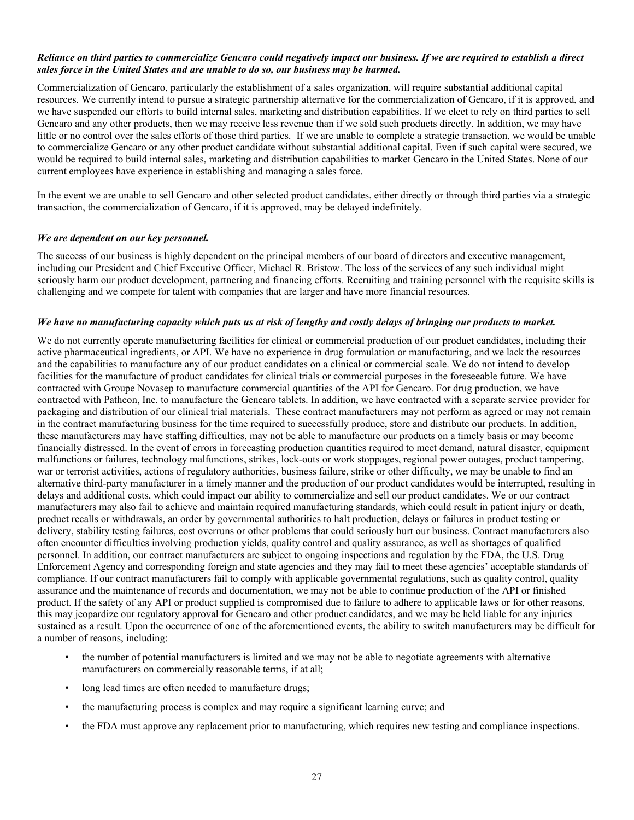## Reliance on third parties to commercialize Gencaro could negatively impact our business. If we are required to establish a direct *sales force in the United States and are unable to do so, our business may be harmed.*

Commercialization of Gencaro, particularly the establishment of a sales organization, will require substantial additional capital resources. We currently intend to pursue a strategic partnership alternative for the commercialization of Gencaro, if it is approved, and we have suspended our efforts to build internal sales, marketing and distribution capabilities. If we elect to rely on third parties to sell Gencaro and any other products, then we may receive less revenue than if we sold such products directly. In addition, we may have little or no control over the sales efforts of those third parties. If we are unable to complete a strategic transaction, we would be unable to commercialize Gencaro or any other product candidate without substantial additional capital. Even if such capital were secured, we would be required to build internal sales, marketing and distribution capabilities to market Gencaro in the United States. None of our current employees have experience in establishing and managing a sales force.

In the event we are unable to sell Gencaro and other selected product candidates, either directly or through third parties via a strategic transaction, the commercialization of Gencaro, if it is approved, may be delayed indefinitely.

# *We are dependent on our key personnel.*

The success of our business is highly dependent on the principal members of our board of directors and executive management, including our President and Chief Executive Officer, Michael R. Bristow. The loss of the services of any such individual might seriously harm our product development, partnering and financing efforts. Recruiting and training personnel with the requisite skills is challenging and we compete for talent with companies that are larger and have more financial resources.

#### We have no manufacturing capacity which puts us at risk of lengthy and costly delays of bringing our products to market.

We do not currently operate manufacturing facilities for clinical or commercial production of our product candidates, including their active pharmaceutical ingredients, or API. We have no experience in drug formulation or manufacturing, and we lack the resources and the capabilities to manufacture any of our product candidates on a clinical or commercial scale. We do not intend to develop facilities for the manufacture of product candidates for clinical trials or commercial purposes in the foreseeable future. We have contracted with Groupe Novasep to manufacture commercial quantities of the API for Gencaro. For drug production, we have contracted with Patheon, Inc. to manufacture the Gencaro tablets. In addition, we have contracted with a separate service provider for packaging and distribution of our clinical trial materials. These contract manufacturers may not perform as agreed or may not remain in the contract manufacturing business for the time required to successfully produce, store and distribute our products. In addition, these manufacturers may have staffing difficulties, may not be able to manufacture our products on a timely basis or may become financially distressed. In the event of errors in forecasting production quantities required to meet demand, natural disaster, equipment malfunctions or failures, technology malfunctions, strikes, lock-outs or work stoppages, regional power outages, product tampering, war or terrorist activities, actions of regulatory authorities, business failure, strike or other difficulty, we may be unable to find an alternative third-party manufacturer in a timely manner and the production of our product candidates would be interrupted, resulting in delays and additional costs, which could impact our ability to commercialize and sell our product candidates. We or our contract manufacturers may also fail to achieve and maintain required manufacturing standards, which could result in patient injury or death, product recalls or withdrawals, an order by governmental authorities to halt production, delays or failures in product testing or delivery, stability testing failures, cost overruns or other problems that could seriously hurt our business. Contract manufacturers also often encounter difficulties involving production yields, quality control and quality assurance, as well as shortages of qualified personnel. In addition, our contract manufacturers are subject to ongoing inspections and regulation by the FDA, the U.S. Drug Enforcement Agency and corresponding foreign and state agencies and they may fail to meet these agencies' acceptable standards of compliance. If our contract manufacturers fail to comply with applicable governmental regulations, such as quality control, quality assurance and the maintenance of records and documentation, we may not be able to continue production of the API or finished product. If the safety of any API or product supplied is compromised due to failure to adhere to applicable laws or for other reasons, this may jeopardize our regulatory approval for Gencaro and other product candidates, and we may be held liable for any injuries sustained as a result. Upon the occurrence of one of the aforementioned events, the ability to switch manufacturers may be difficult for a number of reasons, including:

- the number of potential manufacturers is limited and we may not be able to negotiate agreements with alternative manufacturers on commercially reasonable terms, if at all;
- long lead times are often needed to manufacture drugs;
- the manufacturing process is complex and may require a significant learning curve; and
- the FDA must approve any replacement prior to manufacturing, which requires new testing and compliance inspections.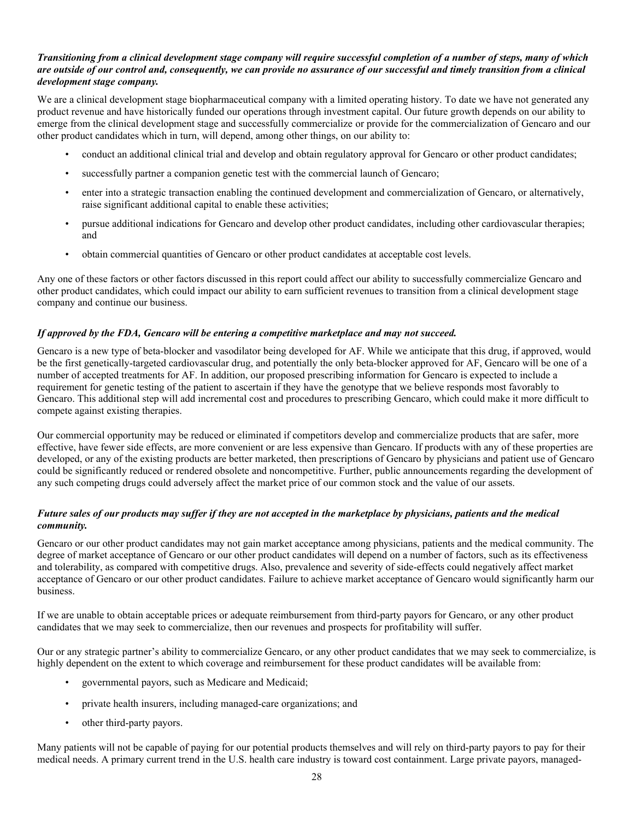# Transitioning from a clinical development stage company will require successful completion of a number of steps, many of which are outside of our control and, consequently, we can provide no assurance of our successful and timely transition from a clinical *development stage company.*

We are a clinical development stage biopharmaceutical company with a limited operating history. To date we have not generated any product revenue and have historically funded our operations through investment capital. Our future growth depends on our ability to emerge from the clinical development stage and successfully commercialize or provide for the commercialization of Gencaro and our other product candidates which in turn, will depend, among other things, on our ability to:

- conduct an additional clinical trial and develop and obtain regulatory approval for Gencaro or other product candidates;
- successfully partner a companion genetic test with the commercial launch of Gencaro;
- enter into a strategic transaction enabling the continued development and commercialization of Gencaro, or alternatively, raise significant additional capital to enable these activities;
- pursue additional indications for Gencaro and develop other product candidates, including other cardiovascular therapies; and
- obtain commercial quantities of Gencaro or other product candidates at acceptable cost levels.

Any one of these factors or other factors discussed in this report could affect our ability to successfully commercialize Gencaro and other product candidates, which could impact our ability to earn sufficient revenues to transition from a clinical development stage company and continue our business.

# *If approved by the FDA, Gencaro will be entering a competitive marketplace and may not succeed.*

Gencaro is a new type of beta-blocker and vasodilator being developed for AF. While we anticipate that this drug, if approved, would be the first genetically-targeted cardiovascular drug, and potentially the only beta-blocker approved for AF, Gencaro will be one of a number of accepted treatments for AF. In addition, our proposed prescribing information for Gencaro is expected to include a requirement for genetic testing of the patient to ascertain if they have the genotype that we believe responds most favorably to Gencaro. This additional step will add incremental cost and procedures to prescribing Gencaro, which could make it more difficult to compete against existing therapies.

Our commercial opportunity may be reduced or eliminated if competitors develop and commercialize products that are safer, more effective, have fewer side effects, are more convenient or are less expensive than Gencaro. If products with any of these properties are developed, or any of the existing products are better marketed, then prescriptions of Gencaro by physicians and patient use of Gencaro could be significantly reduced or rendered obsolete and noncompetitive. Further, public announcements regarding the development of any such competing drugs could adversely affect the market price of our common stock and the value of our assets.

# Future sales of our products may suffer if they are not accepted in the marketplace by physicians, patients and the medical *community.*

Gencaro or our other product candidates may not gain market acceptance among physicians, patients and the medical community. The degree of market acceptance of Gencaro or our other product candidates will depend on a number of factors, such as its effectiveness and tolerability, as compared with competitive drugs. Also, prevalence and severity of side-effects could negatively affect market acceptance of Gencaro or our other product candidates. Failure to achieve market acceptance of Gencaro would significantly harm our business.

If we are unable to obtain acceptable prices or adequate reimbursement from third-party payors for Gencaro, or any other product candidates that we may seek to commercialize, then our revenues and prospects for profitability will suffer.

Our or any strategic partner's ability to commercialize Gencaro, or any other product candidates that we may seek to commercialize, is highly dependent on the extent to which coverage and reimbursement for these product candidates will be available from:

- governmental payors, such as Medicare and Medicaid;
- private health insurers, including managed-care organizations; and
- other third-party payors.

Many patients will not be capable of paying for our potential products themselves and will rely on third-party payors to pay for their medical needs. A primary current trend in the U.S. health care industry is toward cost containment. Large private payors, managed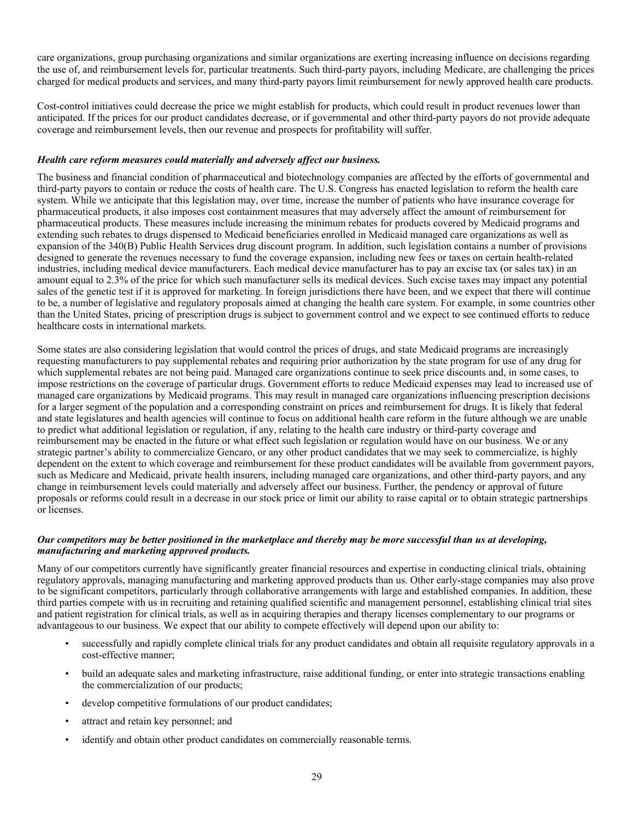care organizations, group purchasing organizations and similar organizations are exerting increasing influence on decisions regarding the use of, and reimbursement levels for, particular treatments. Such third-party payors, including Medicare, are challenging the prices charged for medical products and services, and many third-party payors limit reimbursement for newly approved health care products.

Cost-control initiatives could decrease the price we might establish for products, which could result in product revenues lower than anticipated. If the prices for our product candidates decrease, or if governmental and other third-party payors do not provide adequate coverage and reimbursement levels, then our revenue and prospects for profitability will suffer.

# *Health care reform measures could materially and adversely affect our business.*

The business and financial condition of pharmaceutical and biotechnology companies are affected by the efforts of governmental and third-party payors to contain or reduce the costs of health care. The U.S. Congress has enacted legislation to reform the health care system. While we anticipate that this legislation may, over time, increase the number of patients who have insurance coverage for pharmaceutical products, it also imposes cost containment measures that may adversely affect the amount of reimbursement for pharmaceutical products. These measures include increasing the minimum rebates for products covered by Medicaid programs and extending such rebates to drugs dispensed to Medicaid beneficiaries enrolled in Medicaid managed care organizations as well as expansion of the 340(B) Public Health Services drug discount program. In addition, such legislation contains a number of provisions designed to generate the revenues necessary to fund the coverage expansion, including new fees or taxes on certain health-related industries, including medical device manufacturers. Each medical device manufacturer has to pay an excise tax (or sales tax) in an amount equal to 2.3% of the price for which such manufacturer sells its medical devices. Such excise taxes may impact any potential sales of the genetic test if it is approved for marketing. In foreign jurisdictions there have been, and we expect that there will continue to be, a number of legislative and regulatory proposals aimed at changing the health care system. For example, in some countries other than the United States, pricing of prescription drugs is subject to government control and we expect to see continued efforts to reduce healthcare costs in international markets.

Some states are also considering legislation that would control the prices of drugs, and state Medicaid programs are increasingly requesting manufacturers to pay supplemental rebates and requiring prior authorization by the state program for use of any drug for which supplemental rebates are not being paid. Managed care organizations continue to seek price discounts and, in some cases, to impose restrictions on the coverage of particular drugs. Government efforts to reduce Medicaid expenses may lead to increased use of managed care organizations by Medicaid programs. This may result in managed care organizations influencing prescription decisions for a larger segment of the population and a corresponding constraint on prices and reimbursement for drugs. It is likely that federal and state legislatures and health agencies will continue to focus on additional health care reform in the future although we are unable to predict what additional legislation or regulation, if any, relating to the health care industry or third-party coverage and reimbursement may be enacted in the future or what effect such legislation or regulation would have on our business. We or any strategic partner's ability to commercialize Gencaro, or any other product candidates that we may seek to commercialize, is highly dependent on the extent to which coverage and reimbursement for these product candidates will be available from government payors, such as Medicare and Medicaid, private health insurers, including managed care organizations, and other third-party payors, and any change in reimbursement levels could materially and adversely affect our business. Further, the pendency or approval of future proposals or reforms could result in a decrease in our stock price or limit our ability to raise capital or to obtain strategic partnerships or licenses.

# Our competitors may be better positioned in the marketplace and thereby may be more successful than us at developing, *manufacturing and marketing approved products.*

Many of our competitors currently have significantly greater financial resources and expertise in conducting clinical trials, obtaining regulatory approvals, managing manufacturing and marketing approved products than us. Other early-stage companies may also prove to be significant competitors, particularly through collaborative arrangements with large and established companies. In addition, these third parties compete with us in recruiting and retaining qualified scientific and management personnel, establishing clinical trial sites and patient registration for clinical trials, as well as in acquiring therapies and therapy licenses complementary to our programs or advantageous to our business. We expect that our ability to compete effectively will depend upon our ability to:

- successfully and rapidly complete clinical trials for any product candidates and obtain all requisite regulatory approvals in a cost-effective manner;
- build an adequate sales and marketing infrastructure, raise additional funding, or enter into strategic transactions enabling the commercialization of our products;
- develop competitive formulations of our product candidates;
- attract and retain key personnel; and
- identify and obtain other product candidates on commercially reasonable terms.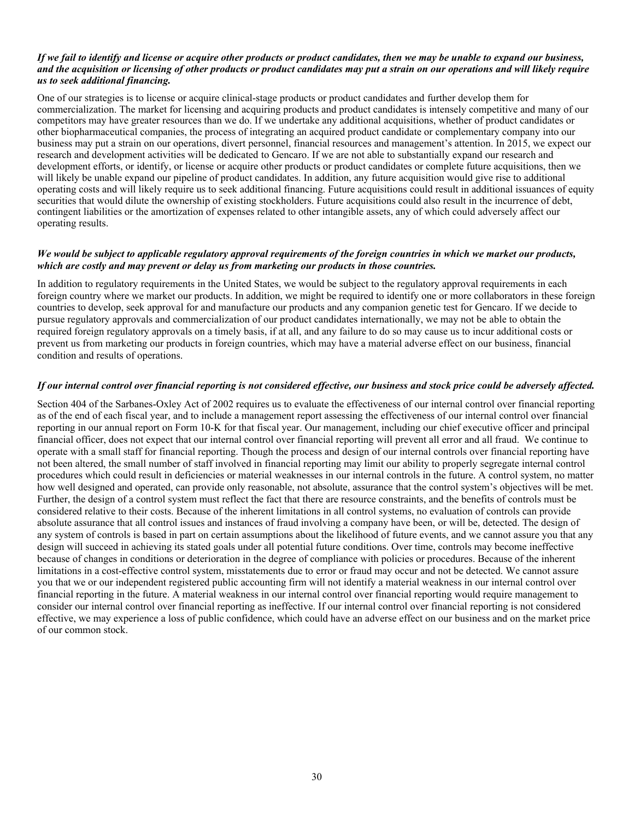#### If we fail to identify and license or acquire other products or product candidates, then we may be unable to expand our business, and the acquisition or licensing of other products or product candidates may put a strain on our operations and will likely require *us to seek additional financing.*

One of our strategies is to license or acquire clinical-stage products or product candidates and further develop them for commercialization. The market for licensing and acquiring products and product candidates is intensely competitive and many of our competitors may have greater resources than we do. If we undertake any additional acquisitions, whether of product candidates or other biopharmaceutical companies, the process of integrating an acquired product candidate or complementary company into our business may put a strain on our operations, divert personnel, financial resources and management's attention. In 2015, we expect our research and development activities will be dedicated to Gencaro. If we are not able to substantially expand our research and development efforts, or identify, or license or acquire other products or product candidates or complete future acquisitions, then we will likely be unable expand our pipeline of product candidates. In addition, any future acquisition would give rise to additional operating costs and will likely require us to seek additional financing. Future acquisitions could result in additional issuances of equity securities that would dilute the ownership of existing stockholders. Future acquisitions could also result in the incurrence of debt, contingent liabilities or the amortization of expenses related to other intangible assets, any of which could adversely affect our operating results.

# We would be subject to applicable regulatory approval requirements of the foreign countries in which we market our products, *which are costly and may prevent or delay us from marketing our products in those countries.*

In addition to regulatory requirements in the United States, we would be subject to the regulatory approval requirements in each foreign country where we market our products. In addition, we might be required to identify one or more collaborators in these foreign countries to develop, seek approval for and manufacture our products and any companion genetic test for Gencaro. If we decide to pursue regulatory approvals and commercialization of our product candidates internationally, we may not be able to obtain the required foreign regulatory approvals on a timely basis, if at all, and any failure to do so may cause us to incur additional costs or prevent us from marketing our products in foreign countries, which may have a material adverse effect on our business, financial condition and results of operations.

#### If our internal control over financial reporting is not considered effective, our business and stock price could be adversely affected.

Section 404 of the Sarbanes-Oxley Act of 2002 requires us to evaluate the effectiveness of our internal control over financial reporting as of the end of each fiscal year, and to include a management report assessing the effectiveness of our internal control over financial reporting in our annual report on Form 10-K for that fiscal year. Our management, including our chief executive officer and principal financial officer, does not expect that our internal control over financial reporting will prevent all error and all fraud. We continue to operate with a small staff for financial reporting. Though the process and design of our internal controls over financial reporting have not been altered, the small number of staff involved in financial reporting may limit our ability to properly segregate internal control procedures which could result in deficiencies or material weaknesses in our internal controls in the future. A control system, no matter how well designed and operated, can provide only reasonable, not absolute, assurance that the control system's objectives will be met. Further, the design of a control system must reflect the fact that there are resource constraints, and the benefits of controls must be considered relative to their costs. Because of the inherent limitations in all control systems, no evaluation of controls can provide absolute assurance that all control issues and instances of fraud involving a company have been, or will be, detected. The design of any system of controls is based in part on certain assumptions about the likelihood of future events, and we cannot assure you that any design will succeed in achieving its stated goals under all potential future conditions. Over time, controls may become ineffective because of changes in conditions or deterioration in the degree of compliance with policies or procedures. Because of the inherent limitations in a cost-effective control system, misstatements due to error or fraud may occur and not be detected. We cannot assure you that we or our independent registered public accounting firm will not identify a material weakness in our internal control over financial reporting in the future. A material weakness in our internal control over financial reporting would require management to consider our internal control over financial reporting as ineffective. If our internal control over financial reporting is not considered effective, we may experience a loss of public confidence, which could have an adverse effect on our business and on the market price of our common stock.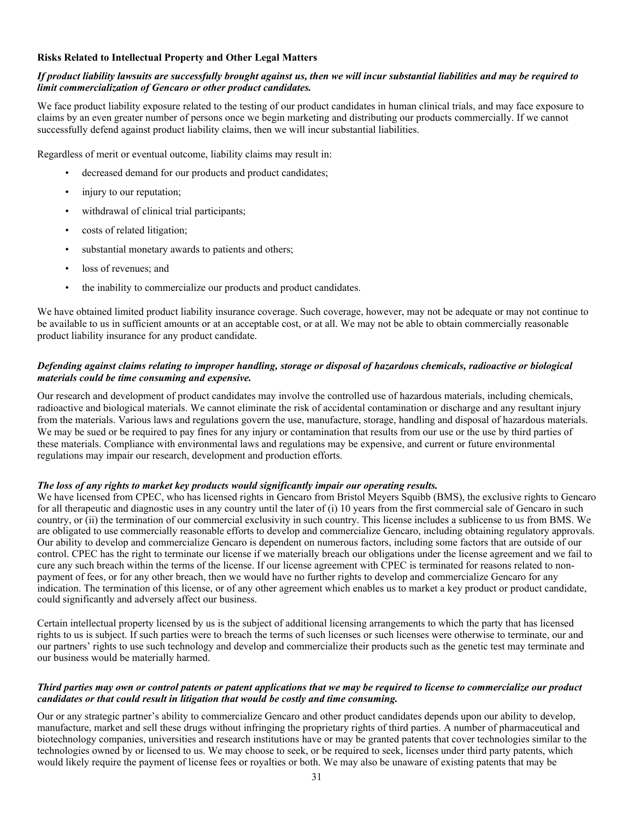## **Risks Related to Intellectual Property and Other Legal Matters**

# If product liability lawsuits are successfully brought against us, then we will incur substantial liabilities and may be required to *limit commercialization of Gencaro or other product candidates.*

We face product liability exposure related to the testing of our product candidates in human clinical trials, and may face exposure to claims by an even greater number of persons once we begin marketing and distributing our products commercially. If we cannot successfully defend against product liability claims, then we will incur substantial liabilities.

Regardless of merit or eventual outcome, liability claims may result in:

- decreased demand for our products and product candidates;
- injury to our reputation;
- withdrawal of clinical trial participants;
- costs of related litigation;
- substantial monetary awards to patients and others;
- loss of revenues; and
- the inability to commercialize our products and product candidates.

We have obtained limited product liability insurance coverage. Such coverage, however, may not be adequate or may not continue to be available to us in sufficient amounts or at an acceptable cost, or at all. We may not be able to obtain commercially reasonable product liability insurance for any product candidate.

# Defending against claims relating to improper handling, storage or disposal of hazardous chemicals, radioactive or biological *materials could be time consuming and expensive.*

Our research and development of product candidates may involve the controlled use of hazardous materials, including chemicals, radioactive and biological materials. We cannot eliminate the risk of accidental contamination or discharge and any resultant injury from the materials. Various laws and regulations govern the use, manufacture, storage, handling and disposal of hazardous materials. We may be sued or be required to pay fines for any injury or contamination that results from our use or the use by third parties of these materials. Compliance with environmental laws and regulations may be expensive, and current or future environmental regulations may impair our research, development and production efforts.

# *The loss of any rights to market key products would significantly impair our operating results.*

We have licensed from CPEC, who has licensed rights in Gencaro from Bristol Meyers Squibb (BMS), the exclusive rights to Gencaro for all therapeutic and diagnostic uses in any country until the later of (i) 10 years from the first commercial sale of Gencaro in such country, or (ii) the termination of our commercial exclusivity in such country. This license includes a sublicense to us from BMS. We are obligated to use commercially reasonable efforts to develop and commercialize Gencaro, including obtaining regulatory approvals. Our ability to develop and commercialize Gencaro is dependent on numerous factors, including some factors that are outside of our control. CPEC has the right to terminate our license if we materially breach our obligations under the license agreement and we fail to cure any such breach within the terms of the license. If our license agreement with CPEC is terminated for reasons related to nonpayment of fees, or for any other breach, then we would have no further rights to develop and commercialize Gencaro for any indication. The termination of this license, or of any other agreement which enables us to market a key product or product candidate, could significantly and adversely affect our business.

Certain intellectual property licensed by us is the subject of additional licensing arrangements to which the party that has licensed rights to us is subject. If such parties were to breach the terms of such licenses or such licenses were otherwise to terminate, our and our partners' rights to use such technology and develop and commercialize their products such as the genetic test may terminate and our business would be materially harmed.

#### Third parties may own or control patents or patent applications that we may be required to license to commercialize our product *candidates or that could result in litigation that would be costly and time consuming.*

Our or any strategic partner's ability to commercialize Gencaro and other product candidates depends upon our ability to develop, manufacture, market and sell these drugs without infringing the proprietary rights of third parties. A number of pharmaceutical and biotechnology companies, universities and research institutions have or may be granted patents that cover technologies similar to the technologies owned by or licensed to us. We may choose to seek, or be required to seek, licenses under third party patents, which would likely require the payment of license fees or royalties or both. We may also be unaware of existing patents that may be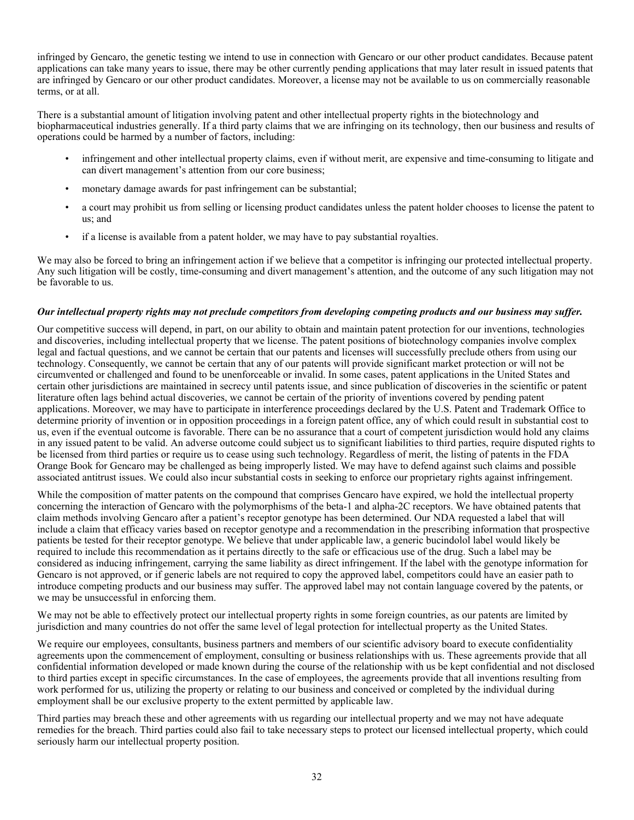infringed by Gencaro, the genetic testing we intend to use in connection with Gencaro or our other product candidates. Because patent applications can take many years to issue, there may be other currently pending applications that may later result in issued patents that are infringed by Gencaro or our other product candidates. Moreover, a license may not be available to us on commercially reasonable terms, or at all.

There is a substantial amount of litigation involving patent and other intellectual property rights in the biotechnology and biopharmaceutical industries generally. If a third party claims that we are infringing on its technology, then our business and results of operations could be harmed by a number of factors, including:

- infringement and other intellectual property claims, even if without merit, are expensive and time-consuming to litigate and can divert management's attention from our core business;
- monetary damage awards for past infringement can be substantial;
- a court may prohibit us from selling or licensing product candidates unless the patent holder chooses to license the patent to us; and
- if a license is available from a patent holder, we may have to pay substantial royalties.

We may also be forced to bring an infringement action if we believe that a competitor is infringing our protected intellectual property. Any such litigation will be costly, time-consuming and divert management's attention, and the outcome of any such litigation may not be favorable to us.

#### Our intellectual property rights may not preclude competitors from developing competing products and our business may suffer.

Our competitive success will depend, in part, on our ability to obtain and maintain patent protection for our inventions, technologies and discoveries, including intellectual property that we license. The patent positions of biotechnology companies involve complex legal and factual questions, and we cannot be certain that our patents and licenses will successfully preclude others from using our technology. Consequently, we cannot be certain that any of our patents will provide significant market protection or will not be circumvented or challenged and found to be unenforceable or invalid. In some cases, patent applications in the United States and certain other jurisdictions are maintained in secrecy until patents issue, and since publication of discoveries in the scientific or patent literature often lags behind actual discoveries, we cannot be certain of the priority of inventions covered by pending patent applications. Moreover, we may have to participate in interference proceedings declared by the U.S. Patent and Trademark Office to determine priority of invention or in opposition proceedings in a foreign patent office, any of which could result in substantial cost to us, even if the eventual outcome is favorable. There can be no assurance that a court of competent jurisdiction would hold any claims in any issued patent to be valid. An adverse outcome could subject us to significant liabilities to third parties, require disputed rights to be licensed from third parties or require us to cease using such technology. Regardless of merit, the listing of patents in the FDA Orange Book for Gencaro may be challenged as being improperly listed. We may have to defend against such claims and possible associated antitrust issues. We could also incur substantial costs in seeking to enforce our proprietary rights against infringement.

While the composition of matter patents on the compound that comprises Gencaro have expired, we hold the intellectual property concerning the interaction of Gencaro with the polymorphisms of the beta-1 and alpha-2C receptors. We have obtained patents that claim methods involving Gencaro after a patient's receptor genotype has been determined. Our NDA requested a label that will include a claim that efficacy varies based on receptor genotype and a recommendation in the prescribing information that prospective patients be tested for their receptor genotype. We believe that under applicable law, a generic bucindolol label would likely be required to include this recommendation as it pertains directly to the safe or efficacious use of the drug. Such a label may be considered as inducing infringement, carrying the same liability as direct infringement. If the label with the genotype information for Gencaro is not approved, or if generic labels are not required to copy the approved label, competitors could have an easier path to introduce competing products and our business may suffer. The approved label may not contain language covered by the patents, or we may be unsuccessful in enforcing them.

We may not be able to effectively protect our intellectual property rights in some foreign countries, as our patents are limited by jurisdiction and many countries do not offer the same level of legal protection for intellectual property as the United States.

We require our employees, consultants, business partners and members of our scientific advisory board to execute confidentiality agreements upon the commencement of employment, consulting or business relationships with us. These agreements provide that all confidential information developed or made known during the course of the relationship with us be kept confidential and not disclosed to third parties except in specific circumstances. In the case of employees, the agreements provide that all inventions resulting from work performed for us, utilizing the property or relating to our business and conceived or completed by the individual during employment shall be our exclusive property to the extent permitted by applicable law.

Third parties may breach these and other agreements with us regarding our intellectual property and we may not have adequate remedies for the breach. Third parties could also fail to take necessary steps to protect our licensed intellectual property, which could seriously harm our intellectual property position.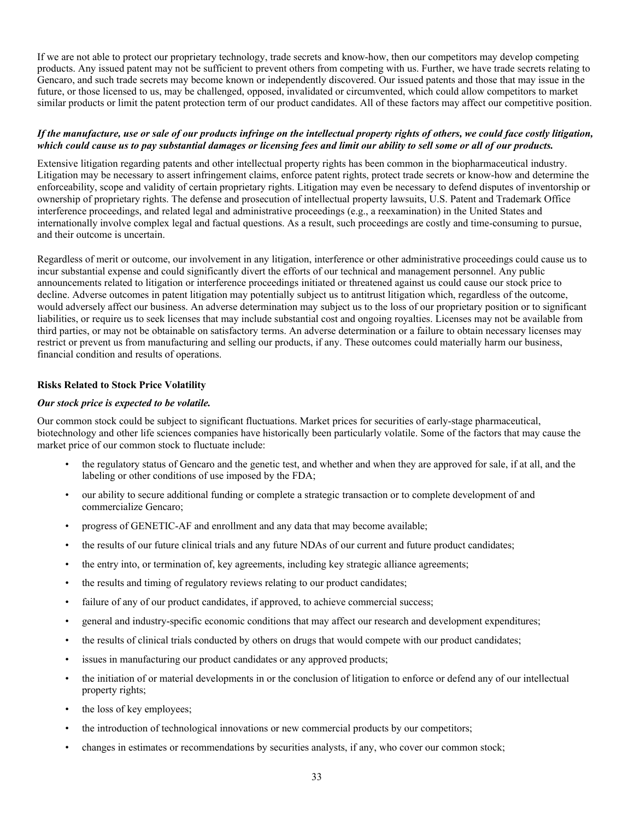If we are not able to protect our proprietary technology, trade secrets and know-how, then our competitors may develop competing products. Any issued patent may not be sufficient to prevent others from competing with us. Further, we have trade secrets relating to Gencaro, and such trade secrets may become known or independently discovered. Our issued patents and those that may issue in the future, or those licensed to us, may be challenged, opposed, invalidated or circumvented, which could allow competitors to market similar products or limit the patent protection term of our product candidates. All of these factors may affect our competitive position.

# If the manufacture, use or sale of our products infringe on the intellectual property rights of others, we could face costly litigation, which could cause us to pay substantial damages or licensing fees and limit our ability to sell some or all of our products.

Extensive litigation regarding patents and other intellectual property rights has been common in the biopharmaceutical industry. Litigation may be necessary to assert infringement claims, enforce patent rights, protect trade secrets or know-how and determine the enforceability, scope and validity of certain proprietary rights. Litigation may even be necessary to defend disputes of inventorship or ownership of proprietary rights. The defense and prosecution of intellectual property lawsuits, U.S. Patent and Trademark Office interference proceedings, and related legal and administrative proceedings (e.g., a reexamination) in the United States and internationally involve complex legal and factual questions. As a result, such proceedings are costly and time-consuming to pursue, and their outcome is uncertain.

Regardless of merit or outcome, our involvement in any litigation, interference or other administrative proceedings could cause us to incur substantial expense and could significantly divert the efforts of our technical and management personnel. Any public announcements related to litigation or interference proceedings initiated or threatened against us could cause our stock price to decline. Adverse outcomes in patent litigation may potentially subject us to antitrust litigation which, regardless of the outcome, would adversely affect our business. An adverse determination may subject us to the loss of our proprietary position or to significant liabilities, or require us to seek licenses that may include substantial cost and ongoing royalties. Licenses may not be available from third parties, or may not be obtainable on satisfactory terms. An adverse determination or a failure to obtain necessary licenses may restrict or prevent us from manufacturing and selling our products, if any. These outcomes could materially harm our business, financial condition and results of operations.

# **Risks Related to Stock Price Volatility**

# *Our stock price is expected to be volatile.*

Our common stock could be subject to significant fluctuations. Market prices for securities of early-stage pharmaceutical, biotechnology and other life sciences companies have historically been particularly volatile. Some of the factors that may cause the market price of our common stock to fluctuate include:

- the regulatory status of Gencaro and the genetic test, and whether and when they are approved for sale, if at all, and the labeling or other conditions of use imposed by the FDA;
- our ability to secure additional funding or complete a strategic transaction or to complete development of and commercialize Gencaro;
- progress of GENETIC-AF and enrollment and any data that may become available;
- the results of our future clinical trials and any future NDAs of our current and future product candidates;
- the entry into, or termination of, key agreements, including key strategic alliance agreements;
- the results and timing of regulatory reviews relating to our product candidates;
- failure of any of our product candidates, if approved, to achieve commercial success;
- general and industry-specific economic conditions that may affect our research and development expenditures;
- the results of clinical trials conducted by others on drugs that would compete with our product candidates;
- issues in manufacturing our product candidates or any approved products;
- the initiation of or material developments in or the conclusion of litigation to enforce or defend any of our intellectual property rights;
- the loss of key employees;
- the introduction of technological innovations or new commercial products by our competitors;
- changes in estimates or recommendations by securities analysts, if any, who cover our common stock;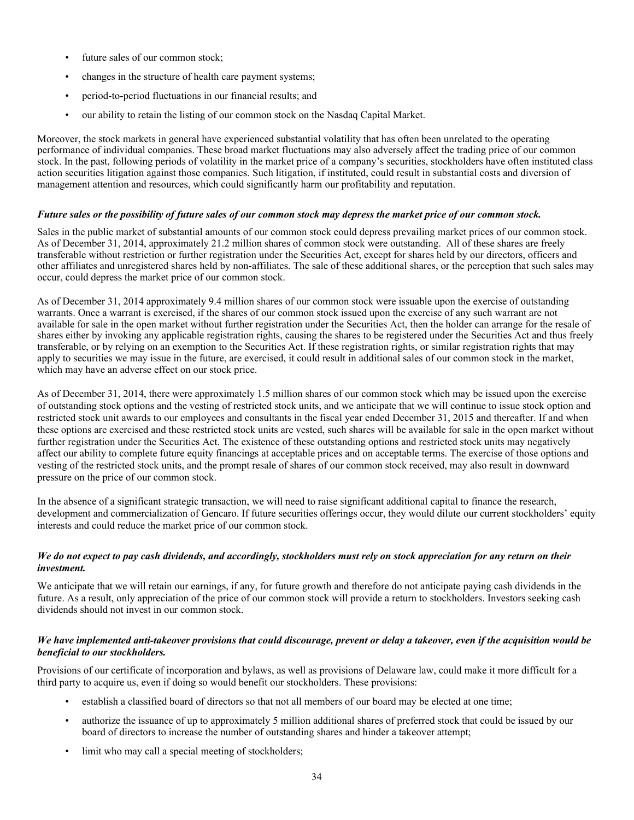- future sales of our common stock;
- changes in the structure of health care payment systems;
- period-to-period fluctuations in our financial results; and
- our ability to retain the listing of our common stock on the Nasdaq Capital Market.

Moreover, the stock markets in general have experienced substantial volatility that has often been unrelated to the operating performance of individual companies. These broad market fluctuations may also adversely affect the trading price of our common stock. In the past, following periods of volatility in the market price of a company's securities, stockholders have often instituted class action securities litigation against those companies. Such litigation, if instituted, could result in substantial costs and diversion of management attention and resources, which could significantly harm our profitability and reputation.

# Future sales or the possibility of future sales of our common stock may depress the market price of our common stock.

Sales in the public market of substantial amounts of our common stock could depress prevailing market prices of our common stock. As of December 31, 2014, approximately 21.2 million shares of common stock were outstanding. All of these shares are freely transferable without restriction or further registration under the Securities Act, except for shares held by our directors, officers and other affiliates and unregistered shares held by non-affiliates. The sale of these additional shares, or the perception that such sales may occur, could depress the market price of our common stock.

As of December 31, 2014 approximately 9.4 million shares of our common stock were issuable upon the exercise of outstanding warrants. Once a warrant is exercised, if the shares of our common stock issued upon the exercise of any such warrant are not available for sale in the open market without further registration under the Securities Act, then the holder can arrange for the resale of shares either by invoking any applicable registration rights, causing the shares to be registered under the Securities Act and thus freely transferable, or by relying on an exemption to the Securities Act. If these registration rights, or similar registration rights that may apply to securities we may issue in the future, are exercised, it could result in additional sales of our common stock in the market, which may have an adverse effect on our stock price.

As of December 31, 2014, there were approximately 1.5 million shares of our common stock which may be issued upon the exercise of outstanding stock options and the vesting of restricted stock units, and we anticipate that we will continue to issue stock option and restricted stock unit awards to our employees and consultants in the fiscal year ended December 31, 2015 and thereafter. If and when these options are exercised and these restricted stock units are vested, such shares will be available for sale in the open market without further registration under the Securities Act. The existence of these outstanding options and restricted stock units may negatively affect our ability to complete future equity financings at acceptable prices and on acceptable terms. The exercise of those options and vesting of the restricted stock units, and the prompt resale of shares of our common stock received, may also result in downward pressure on the price of our common stock.

In the absence of a significant strategic transaction, we will need to raise significant additional capital to finance the research, development and commercialization of Gencaro. If future securities offerings occur, they would dilute our current stockholders' equity interests and could reduce the market price of our common stock.

# We do not expect to pay cash dividends, and accordingly, stockholders must rely on stock appreciation for any return on their *investment.*

We anticipate that we will retain our earnings, if any, for future growth and therefore do not anticipate paying cash dividends in the future. As a result, only appreciation of the price of our common stock will provide a return to stockholders. Investors seeking cash dividends should not invest in our common stock.

#### We have implemented anti-takeover provisions that could discourage, prevent or delay a takeover, even if the acquisition would be *beneficial to our stockholders.*

Provisions of our certificate of incorporation and bylaws, as well as provisions of Delaware law, could make it more difficult for a third party to acquire us, even if doing so would benefit our stockholders. These provisions:

- establish a classified board of directors so that not all members of our board may be elected at one time;
- authorize the issuance of up to approximately 5 million additional shares of preferred stock that could be issued by our board of directors to increase the number of outstanding shares and hinder a takeover attempt;
- limit who may call a special meeting of stockholders;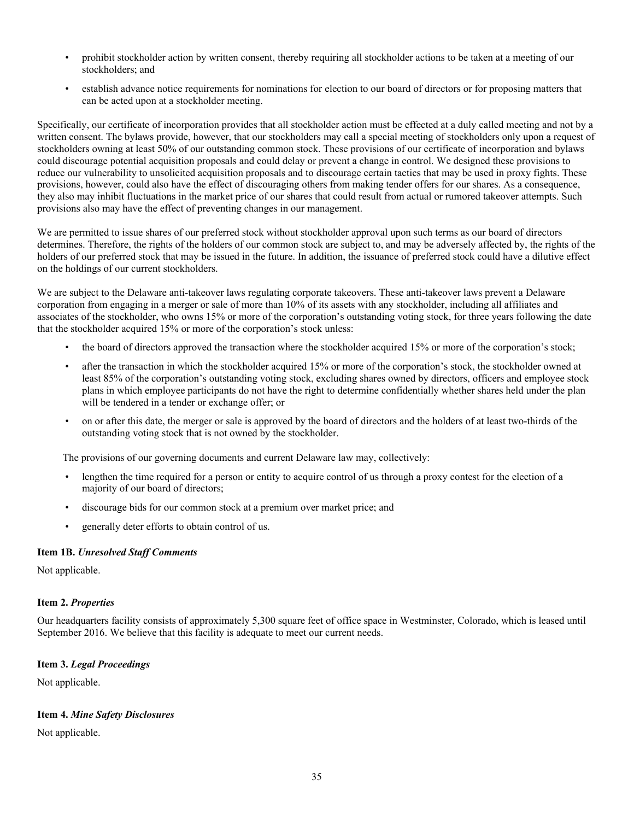- prohibit stockholder action by written consent, thereby requiring all stockholder actions to be taken at a meeting of our stockholders; and
- establish advance notice requirements for nominations for election to our board of directors or for proposing matters that can be acted upon at a stockholder meeting.

Specifically, our certificate of incorporation provides that all stockholder action must be effected at a duly called meeting and not by a written consent. The bylaws provide, however, that our stockholders may call a special meeting of stockholders only upon a request of stockholders owning at least 50% of our outstanding common stock. These provisions of our certificate of incorporation and bylaws could discourage potential acquisition proposals and could delay or prevent a change in control. We designed these provisions to reduce our vulnerability to unsolicited acquisition proposals and to discourage certain tactics that may be used in proxy fights. These provisions, however, could also have the effect of discouraging others from making tender offers for our shares. As a consequence, they also may inhibit fluctuations in the market price of our shares that could result from actual or rumored takeover attempts. Such provisions also may have the effect of preventing changes in our management.

We are permitted to issue shares of our preferred stock without stockholder approval upon such terms as our board of directors determines. Therefore, the rights of the holders of our common stock are subject to, and may be adversely affected by, the rights of the holders of our preferred stock that may be issued in the future. In addition, the issuance of preferred stock could have a dilutive effect on the holdings of our current stockholders.

We are subject to the Delaware anti-takeover laws regulating corporate takeovers. These anti-takeover laws prevent a Delaware corporation from engaging in a merger or sale of more than 10% of its assets with any stockholder, including all affiliates and associates of the stockholder, who owns 15% or more of the corporation's outstanding voting stock, for three years following the date that the stockholder acquired 15% or more of the corporation's stock unless:

- the board of directors approved the transaction where the stockholder acquired 15% or more of the corporation's stock;
- after the transaction in which the stockholder acquired 15% or more of the corporation's stock, the stockholder owned at least 85% of the corporation's outstanding voting stock, excluding shares owned by directors, officers and employee stock plans in which employee participants do not have the right to determine confidentially whether shares held under the plan will be tendered in a tender or exchange offer; or
- on or after this date, the merger or sale is approved by the board of directors and the holders of at least two-thirds of the outstanding voting stock that is not owned by the stockholder.

The provisions of our governing documents and current Delaware law may, collectively:

- lengthen the time required for a person or entity to acquire control of us through a proxy contest for the election of a majority of our board of directors;
- discourage bids for our common stock at a premium over market price; and
- generally deter efforts to obtain control of us.

#### **Item 1B.** *Unresolved Staff Comments*

Not applicable.

#### **Item 2.** *Properties*

Our headquarters facility consists of approximately 5,300 square feet of office space in Westminster, Colorado, which is leased until September 2016. We believe that this facility is adequate to meet our current needs.

#### **Item 3.** *Legal Proceedings*

Not applicable.

## **Item 4.** *Mine Safety Disclosures*

Not applicable.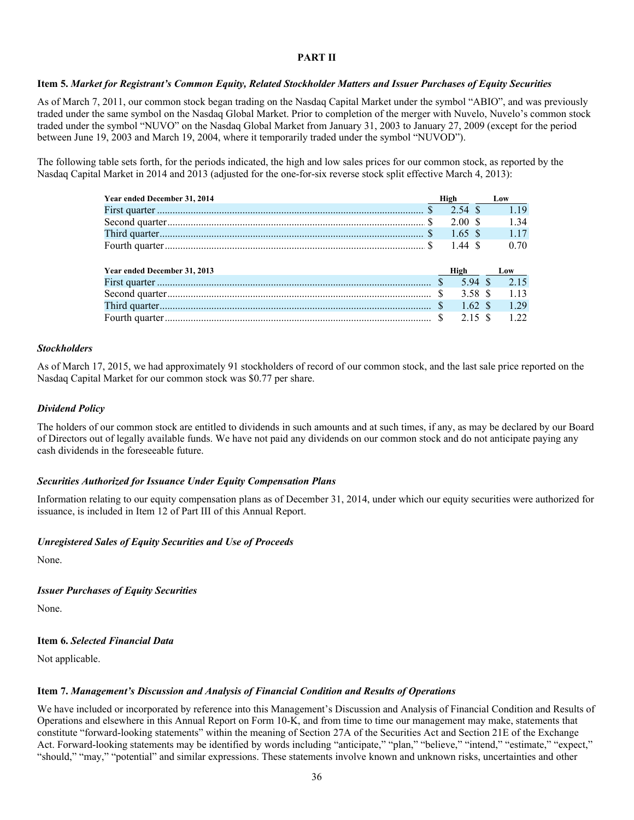#### **PART II**

#### Item 5. Market for Registrant's Common Equity, Related Stockholder Matters and Issuer Purchases of Equity Securities

As of March 7, 2011, our common stock began trading on the Nasdaq Capital Market under the symbol "ABIO", and was previously traded under the same symbol on the Nasdaq Global Market. Prior to completion of the merger with Nuvelo, Nuvelo's common stock traded under the symbol "NUVO" on the Nasdaq Global Market from January 31, 2003 to January 27, 2009 (except for the period between June 19, 2003 and March 19, 2004, where it temporarily traded under the symbol "NUVOD").

The following table sets forth, for the periods indicated, the high and low sales prices for our common stock, as reported by the Nasdaq Capital Market in 2014 and 2013 (adjusted for the one-for-six reverse stock split effective March 4, 2013):

| Year ended December 31, 2014 | High |                  | Low   |
|------------------------------|------|------------------|-------|
|                              |      | 2.54 \$          | 1 1 9 |
|                              |      | $2.00 \text{ s}$ | 1 34  |
|                              |      | 1.65 \$          | 1 1 7 |
|                              |      | 1.44S            | 0.70  |
|                              |      |                  |       |
| Year ended December 31, 2013 |      | High             | Low   |
|                              |      | 594 \$           | 2.15  |
|                              | -S   | 3.58 S           | 1 1 3 |
|                              |      | $1.62 \text{ s}$ | 1 29  |
|                              |      | $2.15$ \$        | 122   |

#### *Stockholders*

As of March 17, 2015, we had approximately 91 stockholders of record of our common stock, and the last sale price reported on the Nasdaq Capital Market for our common stock was \$0.77 per share.

#### *Dividend Policy*

The holders of our common stock are entitled to dividends in such amounts and at such times, if any, as may be declared by our Board of Directors out of legally available funds. We have not paid any dividends on our common stock and do not anticipate paying any cash dividends in the foreseeable future.

#### *Securities Authorized for Issuance Under Equity Compensation Plans*

Information relating to our equity compensation plans as of December 31, 2014, under which our equity securities were authorized for issuance, is included in Item 12 of Part III of this Annual Report.

#### *Unregistered Sales of Equity Securities and Use of Proceeds*

None.

*Issuer Purchases of Equity Securities*

None.

## **Item 6.** *Selected Financial Data*

Not applicable.

#### **Item 7.** *Management's Discussion and Analysis of Financial Condition and Results of Operations*

We have included or incorporated by reference into this Management's Discussion and Analysis of Financial Condition and Results of Operations and elsewhere in this Annual Report on Form 10-K, and from time to time our management may make, statements that constitute "forward-looking statements" within the meaning of Section 27A of the Securities Act and Section 21E of the Exchange Act. Forward-looking statements may be identified by words including "anticipate," "plan," "believe," "intend," "estimate," "expect," "should," "may," "potential" and similar expressions. These statements involve known and unknown risks, uncertainties and other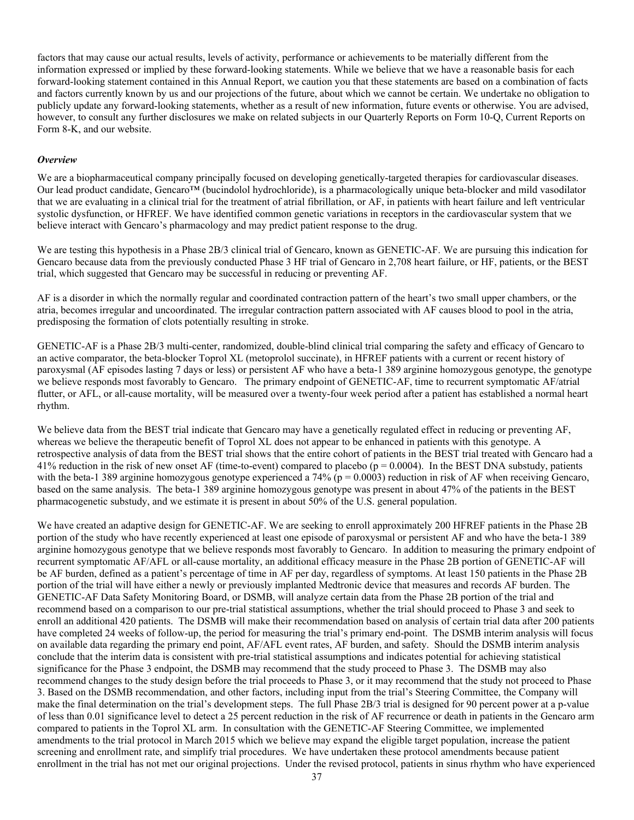factors that may cause our actual results, levels of activity, performance or achievements to be materially different from the information expressed or implied by these forward-looking statements. While we believe that we have a reasonable basis for each forward-looking statement contained in this Annual Report, we caution you that these statements are based on a combination of facts and factors currently known by us and our projections of the future, about which we cannot be certain. We undertake no obligation to publicly update any forward-looking statements, whether as a result of new information, future events or otherwise. You are advised, however, to consult any further disclosures we make on related subjects in our Quarterly Reports on Form 10-Q, Current Reports on Form 8-K, and our website.

#### *Overview*

We are a biopharmaceutical company principally focused on developing genetically-targeted therapies for cardiovascular diseases. Our lead product candidate, Gencaro™ (bucindolol hydrochloride), is a pharmacologically unique beta-blocker and mild vasodilator that we are evaluating in a clinical trial for the treatment of atrial fibrillation, or AF, in patients with heart failure and left ventricular systolic dysfunction, or HFREF. We have identified common genetic variations in receptors in the cardiovascular system that we believe interact with Gencaro's pharmacology and may predict patient response to the drug.

We are testing this hypothesis in a Phase 2B/3 clinical trial of Gencaro, known as GENETIC-AF. We are pursuing this indication for Gencaro because data from the previously conducted Phase 3 HF trial of Gencaro in 2,708 heart failure, or HF, patients, or the BEST trial, which suggested that Gencaro may be successful in reducing or preventing AF.

AF is a disorder in which the normally regular and coordinated contraction pattern of the heart's two small upper chambers, or the atria, becomes irregular and uncoordinated. The irregular contraction pattern associated with AF causes blood to pool in the atria, predisposing the formation of clots potentially resulting in stroke.

GENETIC-AF is a Phase 2B/3 multi-center, randomized, double-blind clinical trial comparing the safety and efficacy of Gencaro to an active comparator, the beta-blocker Toprol XL (metoprolol succinate), in HFREF patients with a current or recent history of paroxysmal (AF episodes lasting 7 days or less) or persistent AF who have a beta-1 389 arginine homozygous genotype, the genotype we believe responds most favorably to Gencaro. The primary endpoint of GENETIC-AF, time to recurrent symptomatic AF/atrial flutter, or AFL, or all-cause mortality, will be measured over a twenty-four week period after a patient has established a normal heart rhythm.

We believe data from the BEST trial indicate that Gencaro may have a genetically regulated effect in reducing or preventing AF, whereas we believe the therapeutic benefit of Toprol XL does not appear to be enhanced in patients with this genotype. A retrospective analysis of data from the BEST trial shows that the entire cohort of patients in the BEST trial treated with Gencaro had a 41% reduction in the risk of new onset AF (time-to-event) compared to placebo ( $p = 0.0004$ ). In the BEST DNA substudy, patients with the beta-1 389 arginine homozygous genotype experienced a 74% ( $p = 0.0003$ ) reduction in risk of AF when receiving Gencaro, based on the same analysis. The beta-1 389 arginine homozygous genotype was present in about 47% of the patients in the BEST pharmacogenetic substudy, and we estimate it is present in about 50% of the U.S. general population.

We have created an adaptive design for GENETIC-AF. We are seeking to enroll approximately 200 HFREF patients in the Phase 2B portion of the study who have recently experienced at least one episode of paroxysmal or persistent AF and who have the beta-1 389 arginine homozygous genotype that we believe responds most favorably to Gencaro. In addition to measuring the primary endpoint of recurrent symptomatic AF/AFL or all-cause mortality, an additional efficacy measure in the Phase 2B portion of GENETIC-AF will be AF burden, defined as a patient's percentage of time in AF per day, regardless of symptoms. At least 150 patients in the Phase 2B portion of the trial will have either a newly or previously implanted Medtronic device that measures and records AF burden. The GENETIC-AF Data Safety Monitoring Board, or DSMB, will analyze certain data from the Phase 2B portion of the trial and recommend based on a comparison to our pre-trial statistical assumptions, whether the trial should proceed to Phase 3 and seek to enroll an additional 420 patients. The DSMB will make their recommendation based on analysis of certain trial data after 200 patients have completed 24 weeks of follow-up, the period for measuring the trial's primary end-point. The DSMB interim analysis will focus on available data regarding the primary end point, AF/AFL event rates, AF burden, and safety. Should the DSMB interim analysis conclude that the interim data is consistent with pre-trial statistical assumptions and indicates potential for achieving statistical significance for the Phase 3 endpoint, the DSMB may recommend that the study proceed to Phase 3. The DSMB may also recommend changes to the study design before the trial proceeds to Phase 3, or it may recommend that the study not proceed to Phase 3. Based on the DSMB recommendation, and other factors, including input from the trial's Steering Committee, the Company will make the final determination on the trial's development steps. The full Phase 2B/3 trial is designed for 90 percent power at a p-value of less than 0.01 significance level to detect a 25 percent reduction in the risk of AF recurrence or death in patients in the Gencaro arm compared to patients in the Toprol XL arm. In consultation with the GENETIC-AF Steering Committee, we implemented amendments to the trial protocol in March 2015 which we believe may expand the eligible target population, increase the patient screening and enrollment rate, and simplify trial procedures. We have undertaken these protocol amendments because patient enrollment in the trial has not met our original projections. Under the revised protocol, patients in sinus rhythm who have experienced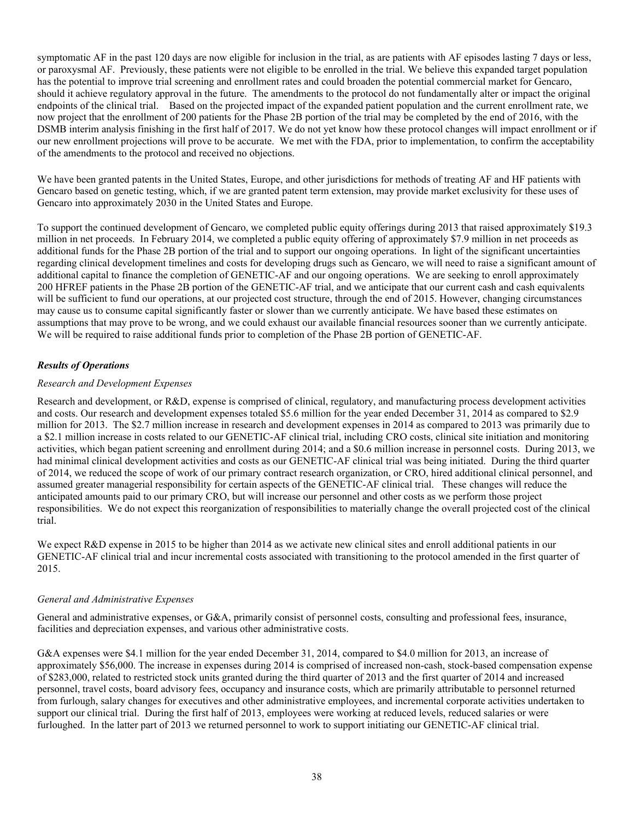symptomatic AF in the past 120 days are now eligible for inclusion in the trial, as are patients with AF episodes lasting 7 days or less, or paroxysmal AF. Previously, these patients were not eligible to be enrolled in the trial. We believe this expanded target population has the potential to improve trial screening and enrollment rates and could broaden the potential commercial market for Gencaro, should it achieve regulatory approval in the future. The amendments to the protocol do not fundamentally alter or impact the original endpoints of the clinical trial. Based on the projected impact of the expanded patient population and the current enrollment rate, we now project that the enrollment of 200 patients for the Phase 2B portion of the trial may be completed by the end of 2016, with the DSMB interim analysis finishing in the first half of 2017. We do not yet know how these protocol changes will impact enrollment or if our new enrollment projections will prove to be accurate. We met with the FDA, prior to implementation, to confirm the acceptability of the amendments to the protocol and received no objections.

We have been granted patents in the United States, Europe, and other jurisdictions for methods of treating AF and HF patients with Gencaro based on genetic testing, which, if we are granted patent term extension, may provide market exclusivity for these uses of Gencaro into approximately 2030 in the United States and Europe.

To support the continued development of Gencaro, we completed public equity offerings during 2013 that raised approximately \$19.3 million in net proceeds. In February 2014, we completed a public equity offering of approximately \$7.9 million in net proceeds as additional funds for the Phase 2B portion of the trial and to support our ongoing operations. In light of the significant uncertainties regarding clinical development timelines and costs for developing drugs such as Gencaro, we will need to raise a significant amount of additional capital to finance the completion of GENETIC-AF and our ongoing operations. We are seeking to enroll approximately 200 HFREF patients in the Phase 2B portion of the GENETIC-AF trial, and we anticipate that our current cash and cash equivalents will be sufficient to fund our operations, at our projected cost structure, through the end of 2015. However, changing circumstances may cause us to consume capital significantly faster or slower than we currently anticipate. We have based these estimates on assumptions that may prove to be wrong, and we could exhaust our available financial resources sooner than we currently anticipate. We will be required to raise additional funds prior to completion of the Phase 2B portion of GENETIC-AF.

# *Results of Operations*

## *Research and Development Expenses*

Research and development, or R&D, expense is comprised of clinical, regulatory, and manufacturing process development activities and costs. Our research and development expenses totaled \$5.6 million for the year ended December 31, 2014 as compared to \$2.9 million for 2013. The \$2.7 million increase in research and development expenses in 2014 as compared to 2013 was primarily due to a \$2.1 million increase in costs related to our GENETIC-AF clinical trial, including CRO costs, clinical site initiation and monitoring activities, which began patient screening and enrollment during 2014; and a \$0.6 million increase in personnel costs. During 2013, we had minimal clinical development activities and costs as our GENETIC-AF clinical trial was being initiated. During the third quarter of 2014, we reduced the scope of work of our primary contract research organization, or CRO, hired additional clinical personnel, and assumed greater managerial responsibility for certain aspects of the GENETIC-AF clinical trial. These changes will reduce the anticipated amounts paid to our primary CRO, but will increase our personnel and other costs as we perform those project responsibilities. We do not expect this reorganization of responsibilities to materially change the overall projected cost of the clinical trial.

We expect R&D expense in 2015 to be higher than 2014 as we activate new clinical sites and enroll additional patients in our GENETIC-AF clinical trial and incur incremental costs associated with transitioning to the protocol amended in the first quarter of 2015.

## *General and Administrative Expenses*

General and administrative expenses, or G&A, primarily consist of personnel costs, consulting and professional fees, insurance, facilities and depreciation expenses, and various other administrative costs.

G&A expenses were \$4.1 million for the year ended December 31, 2014, compared to \$4.0 million for 2013, an increase of approximately \$56,000. The increase in expenses during 2014 is comprised of increased non-cash, stock-based compensation expense of \$283,000, related to restricted stock units granted during the third quarter of 2013 and the first quarter of 2014 and increased personnel, travel costs, board advisory fees, occupancy and insurance costs, which are primarily attributable to personnel returned from furlough, salary changes for executives and other administrative employees, and incremental corporate activities undertaken to support our clinical trial. During the first half of 2013, employees were working at reduced levels, reduced salaries or were furloughed. In the latter part of 2013 we returned personnel to work to support initiating our GENETIC-AF clinical trial.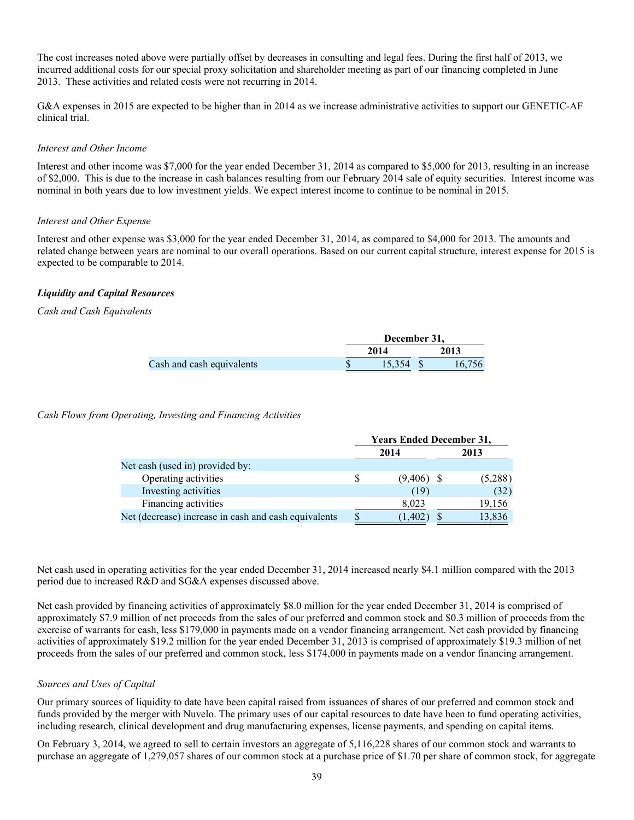The cost increases noted above were partially offset by decreases in consulting and legal fees. During the first half of 2013, we incurred additional costs for our special proxy solicitation and shareholder meeting as part of our financing completed in June 2013. These activities and related costs were not recurring in 2014.

G&A expenses in 2015 are expected to be higher than in 2014 as we increase administrative activities to support our GENETIC-AF clinical trial.

#### *Interest and Other Income*

Interest and other income was \$7,000 for the year ended December 31, 2014 as compared to \$5,000 for 2013, resulting in an increase of \$2,000. This is due to the increase in cash balances resulting from our February 2014 sale of equity securities. Interest income was nominal in both years due to low investment yields. We expect interest income to continue to be nominal in 2015.

#### *Interest and Other Expense*

Interest and other expense was \$3,000 for the year ended December 31, 2014, as compared to \$4,000 for 2013. The amounts and related change between years are nominal to our overall operations. Based on our current capital structure, interest expense for 2015 is expected to be comparable to 2014.

## *Liquidity and Capital Resources*

## *Cash and Cash Equivalents*

|                           | December 31, |  |        |  |
|---------------------------|--------------|--|--------|--|
|                           | 2014         |  | 2013   |  |
| Cash and cash equivalents | 15.354       |  | 16.756 |  |

*Cash Flows from Operating, Investing and Financing Activities*

|                                                      | <b>Years Ended December 31,</b> |              |         |  |
|------------------------------------------------------|---------------------------------|--------------|---------|--|
|                                                      |                                 | 2014         | 2013    |  |
| Net cash (used in) provided by:                      |                                 |              |         |  |
| Operating activities                                 |                                 | $(9,406)$ \$ | (5,288) |  |
| Investing activities                                 |                                 | (19)         | (32)    |  |
| Financing activities                                 |                                 | 8,023        | 19,156  |  |
| Net (decrease) increase in cash and cash equivalents |                                 | (1, 402)     | 13,836  |  |

Net cash used in operating activities for the year ended December 31, 2014 increased nearly \$4.1 million compared with the 2013 period due to increased R&D and SG&A expenses discussed above.

Net cash provided by financing activities of approximately \$8.0 million for the year ended December 31, 2014 is comprised of approximately \$7.9 million of net proceeds from the sales of our preferred and common stock and \$0.3 million of proceeds from the exercise of warrants for cash, less \$179,000 in payments made on a vendor financing arrangement. Net cash provided by financing activities of approximately \$19.2 million for the year ended December 31, 2013 is comprised of approximately \$19.3 million of net proceeds from the sales of our preferred and common stock, less \$174,000 in payments made on a vendor financing arrangement.

## *Sources and Uses of Capital*

Our primary sources of liquidity to date have been capital raised from issuances of shares of our preferred and common stock and funds provided by the merger with Nuvelo. The primary uses of our capital resources to date have been to fund operating activities, including research, clinical development and drug manufacturing expenses, license payments, and spending on capital items.

On February 3, 2014, we agreed to sell to certain investors an aggregate of 5,116,228 shares of our common stock and warrants to purchase an aggregate of 1,279,057 shares of our common stock at a purchase price of \$1.70 per share of common stock, for aggregate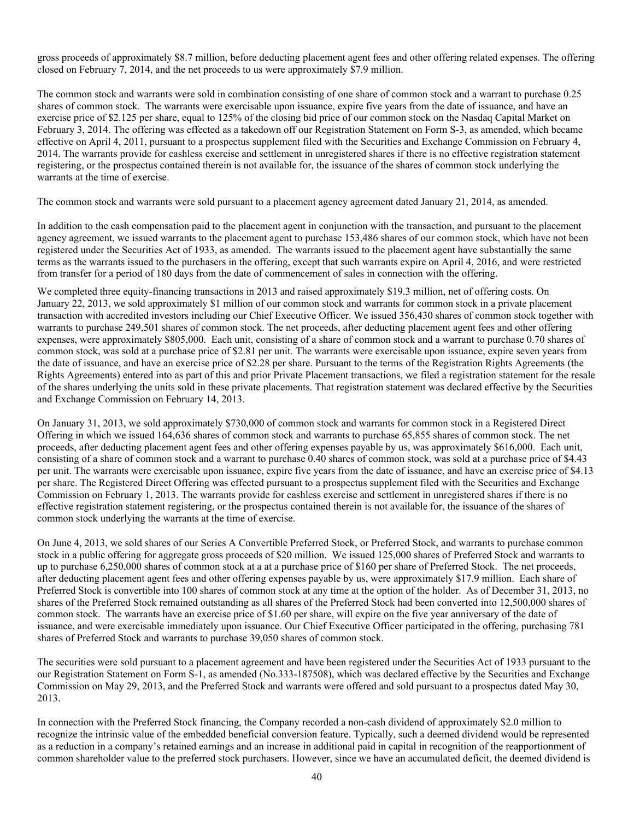gross proceeds of approximately \$8.7 million, before deducting placement agent fees and other offering related expenses. The offering closed on February 7, 2014, and the net proceeds to us were approximately \$7.9 million.

The common stock and warrants were sold in combination consisting of one share of common stock and a warrant to purchase 0.25 shares of common stock. The warrants were exercisable upon issuance, expire five years from the date of issuance, and have an exercise price of \$2.125 per share, equal to 125% of the closing bid price of our common stock on the Nasdaq Capital Market on February 3, 2014. The offering was effected as a takedown off our Registration Statement on Form S-3, as amended, which became effective on April 4, 2011, pursuant to a prospectus supplement filed with the Securities and Exchange Commission on February 4, 2014. The warrants provide for cashless exercise and settlement in unregistered shares if there is no effective registration statement registering, or the prospectus contained therein is not available for, the issuance of the shares of common stock underlying the warrants at the time of exercise.

The common stock and warrants were sold pursuant to a placement agency agreement dated January 21, 2014, as amended.

In addition to the cash compensation paid to the placement agent in conjunction with the transaction, and pursuant to the placement agency agreement, we issued warrants to the placement agent to purchase 153,486 shares of our common stock, which have not been registered under the Securities Act of 1933, as amended. The warrants issued to the placement agent have substantially the same terms as the warrants issued to the purchasers in the offering, except that such warrants expire on April 4, 2016, and were restricted from transfer for a period of 180 days from the date of commencement of sales in connection with the offering.

We completed three equity-financing transactions in 2013 and raised approximately \$19.3 million, net of offering costs. On January 22, 2013, we sold approximately \$1 million of our common stock and warrants for common stock in a private placement transaction with accredited investors including our Chief Executive Officer. We issued 356,430 shares of common stock together with warrants to purchase 249,501 shares of common stock. The net proceeds, after deducting placement agent fees and other offering expenses, were approximately \$805,000. Each unit, consisting of a share of common stock and a warrant to purchase 0.70 shares of common stock, was sold at a purchase price of \$2.81 per unit. The warrants were exercisable upon issuance, expire seven years from the date of issuance, and have an exercise price of \$2.28 per share. Pursuant to the terms of the Registration Rights Agreements (the Rights Agreements) entered into as part of this and prior Private Placement transactions, we filed a registration statement for the resale of the shares underlying the units sold in these private placements. That registration statement was declared effective by the Securities and Exchange Commission on February 14, 2013.

On January 31, 2013, we sold approximately \$730,000 of common stock and warrants for common stock in a Registered Direct Offering in which we issued 164,636 shares of common stock and warrants to purchase 65,855 shares of common stock. The net proceeds, after deducting placement agent fees and other offering expenses payable by us, was approximately \$616,000. Each unit, consisting of a share of common stock and a warrant to purchase 0.40 shares of common stock, was sold at a purchase price of \$4.43 per unit. The warrants were exercisable upon issuance, expire five years from the date of issuance, and have an exercise price of \$4.13 per share. The Registered Direct Offering was effected pursuant to a prospectus supplement filed with the Securities and Exchange Commission on February 1, 2013. The warrants provide for cashless exercise and settlement in unregistered shares if there is no effective registration statement registering, or the prospectus contained therein is not available for, the issuance of the shares of common stock underlying the warrants at the time of exercise.

On June 4, 2013, we sold shares of our Series A Convertible Preferred Stock, or Preferred Stock, and warrants to purchase common stock in a public offering for aggregate gross proceeds of \$20 million. We issued 125,000 shares of Preferred Stock and warrants to up to purchase 6,250,000 shares of common stock at a at a purchase price of \$160 per share of Preferred Stock. The net proceeds, after deducting placement agent fees and other offering expenses payable by us, were approximately \$17.9 million. Each share of Preferred Stock is convertible into 100 shares of common stock at any time at the option of the holder. As of December 31, 2013, no shares of the Preferred Stock remained outstanding as all shares of the Preferred Stock had been converted into 12,500,000 shares of common stock. The warrants have an exercise price of \$1.60 per share, will expire on the five year anniversary of the date of issuance, and were exercisable immediately upon issuance. Our Chief Executive Officer participated in the offering, purchasing 781 shares of Preferred Stock and warrants to purchase 39,050 shares of common stock.

The securities were sold pursuant to a placement agreement and have been registered under the Securities Act of 1933 pursuant to the our Registration Statement on Form S-1, as amended (No.333-187508), which was declared effective by the Securities and Exchange Commission on May 29, 2013, and the Preferred Stock and warrants were offered and sold pursuant to a prospectus dated May 30, 2013.

In connection with the Preferred Stock financing, the Company recorded a non-cash dividend of approximately \$2.0 million to recognize the intrinsic value of the embedded beneficial conversion feature. Typically, such a deemed dividend would be represented as a reduction in a company's retained earnings and an increase in additional paid in capital in recognition of the reapportionment of common shareholder value to the preferred stock purchasers. However, since we have an accumulated deficit, the deemed dividend is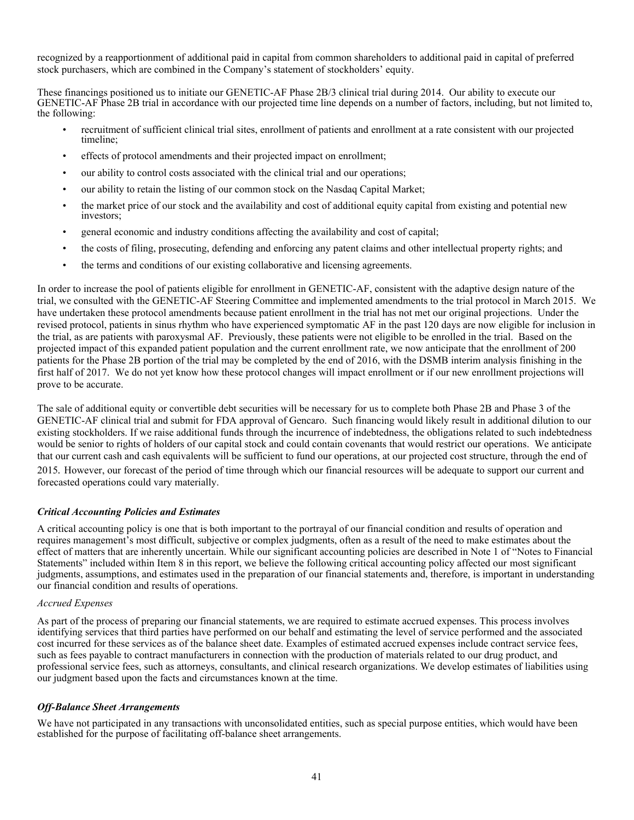recognized by a reapportionment of additional paid in capital from common shareholders to additional paid in capital of preferred stock purchasers, which are combined in the Company's statement of stockholders' equity.

These financings positioned us to initiate our GENETIC-AF Phase 2B/3 clinical trial during 2014. Our ability to execute our GENETIC-AF Phase 2B trial in accordance with our projected time line depends on a number of factors, including, but not limited to, the following:

- recruitment of sufficient clinical trial sites, enrollment of patients and enrollment at a rate consistent with our projected timeline;
- effects of protocol amendments and their projected impact on enrollment;
- our ability to control costs associated with the clinical trial and our operations;
- our ability to retain the listing of our common stock on the Nasdaq Capital Market;
- the market price of our stock and the availability and cost of additional equity capital from existing and potential new investors;
- general economic and industry conditions affecting the availability and cost of capital;
- the costs of filing, prosecuting, defending and enforcing any patent claims and other intellectual property rights; and
- the terms and conditions of our existing collaborative and licensing agreements.

In order to increase the pool of patients eligible for enrollment in GENETIC-AF, consistent with the adaptive design nature of the trial, we consulted with the GENETIC-AF Steering Committee and implemented amendments to the trial protocol in March 2015. We have undertaken these protocol amendments because patient enrollment in the trial has not met our original projections. Under the revised protocol, patients in sinus rhythm who have experienced symptomatic AF in the past 120 days are now eligible for inclusion in the trial, as are patients with paroxysmal AF. Previously, these patients were not eligible to be enrolled in the trial. Based on the projected impact of this expanded patient population and the current enrollment rate, we now anticipate that the enrollment of 200 patients for the Phase 2B portion of the trial may be completed by the end of 2016, with the DSMB interim analysis finishing in the first half of 2017. We do not yet know how these protocol changes will impact enrollment or if our new enrollment projections will prove to be accurate.

The sale of additional equity or convertible debt securities will be necessary for us to complete both Phase 2B and Phase 3 of the GENETIC-AF clinical trial and submit for FDA approval of Gencaro. Such financing would likely result in additional dilution to our existing stockholders. If we raise additional funds through the incurrence of indebtedness, the obligations related to such indebtedness would be senior to rights of holders of our capital stock and could contain covenants that would restrict our operations. We anticipate that our current cash and cash equivalents will be sufficient to fund our operations, at our projected cost structure, through the end of 2015*.* However, our forecast of the period of time through which our financial resources will be adequate to support our current and forecasted operations could vary materially.

## *Critical Accounting Policies and Estimates*

A critical accounting policy is one that is both important to the portrayal of our financial condition and results of operation and requires management's most difficult, subjective or complex judgments, often as a result of the need to make estimates about the effect of matters that are inherently uncertain. While our significant accounting policies are described in Note 1 of "Notes to Financial Statements" included within Item 8 in this report, we believe the following critical accounting policy affected our most significant judgments, assumptions, and estimates used in the preparation of our financial statements and, therefore, is important in understanding our financial condition and results of operations.

#### *Accrued Expenses*

As part of the process of preparing our financial statements, we are required to estimate accrued expenses. This process involves identifying services that third parties have performed on our behalf and estimating the level of service performed and the associated cost incurred for these services as of the balance sheet date. Examples of estimated accrued expenses include contract service fees, such as fees payable to contract manufacturers in connection with the production of materials related to our drug product, and professional service fees, such as attorneys, consultants, and clinical research organizations. We develop estimates of liabilities using our judgment based upon the facts and circumstances known at the time.

#### *Off-Balance Sheet Arrangements*

We have not participated in any transactions with unconsolidated entities, such as special purpose entities, which would have been established for the purpose of facilitating off-balance sheet arrangements.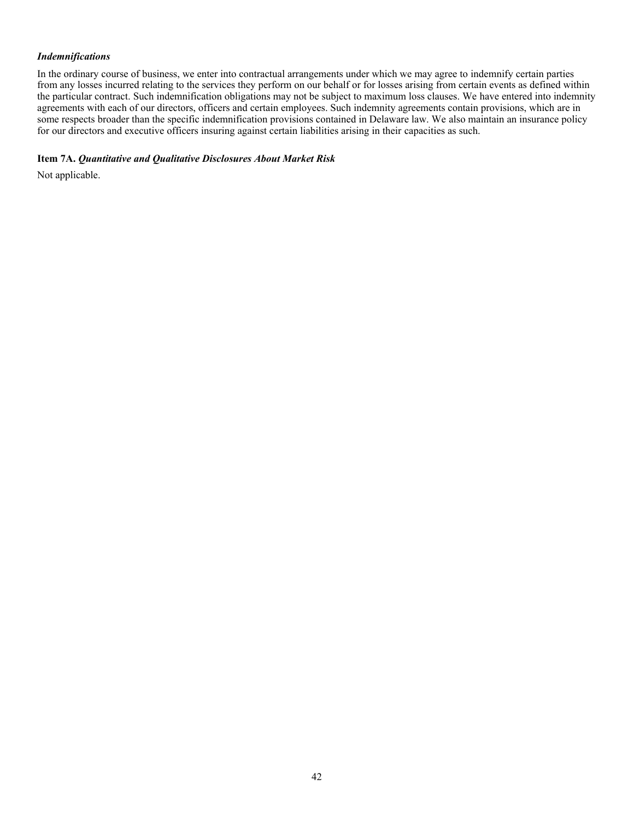# *Indemnifications*

In the ordinary course of business, we enter into contractual arrangements under which we may agree to indemnify certain parties from any losses incurred relating to the services they perform on our behalf or for losses arising from certain events as defined within the particular contract. Such indemnification obligations may not be subject to maximum loss clauses. We have entered into indemnity agreements with each of our directors, officers and certain employees. Such indemnity agreements contain provisions, which are in some respects broader than the specific indemnification provisions contained in Delaware law. We also maintain an insurance policy for our directors and executive officers insuring against certain liabilities arising in their capacities as such.

#### **Item 7A.** *Quantitative and Qualitative Disclosures About Market Risk*

Not applicable.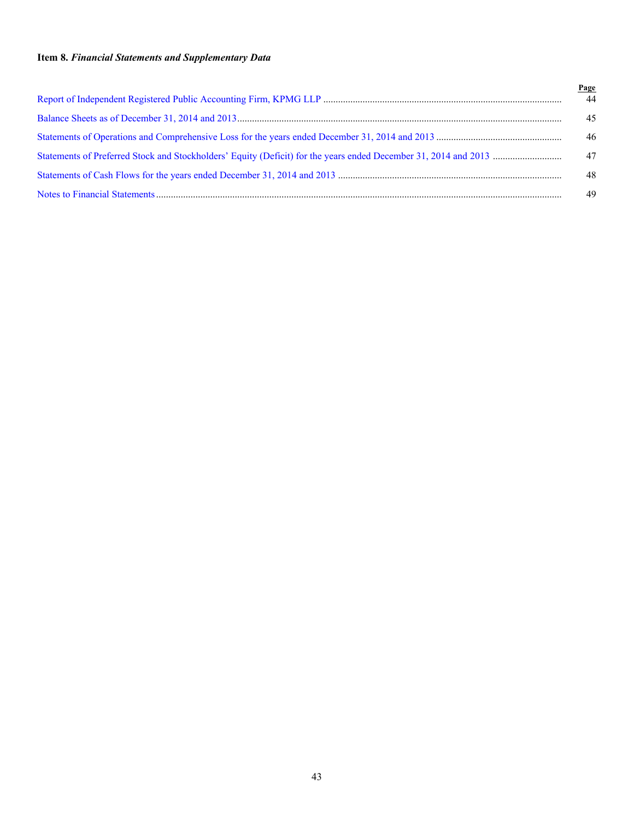# **Item 8.** *Financial Statements and Supplementary Data*

| Page |
|------|
| 44   |
| 45   |
| 46   |
| 47   |
| 48   |
| 49   |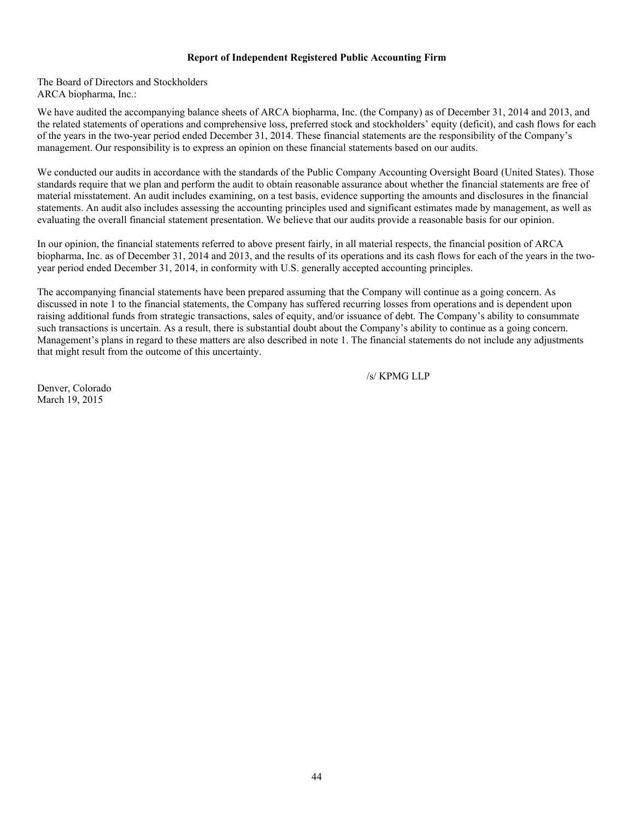#### <span id="page-45-0"></span>**Report of Independent Registered Public Accounting Firm**

The Board of Directors and Stockholders ARCA biopharma, Inc.:

We have audited the accompanying balance sheets of ARCA biopharma, Inc. (the Company) as of December 31, 2014 and 2013, and the related statements of operations and comprehensive loss, preferred stock and stockholders' equity (deficit), and cash flows for each of the years in the two-year period ended December 31, 2014. These financial statements are the responsibility of the Company's management. Our responsibility is to express an opinion on these financial statements based on our audits.

We conducted our audits in accordance with the standards of the Public Company Accounting Oversight Board (United States). Those standards require that we plan and perform the audit to obtain reasonable assurance about whether the financial statements are free of material misstatement. An audit includes examining, on a test basis, evidence supporting the amounts and disclosures in the financial statements. An audit also includes assessing the accounting principles used and significant estimates made by management, as well as evaluating the overall financial statement presentation. We believe that our audits provide a reasonable basis for our opinion.

In our opinion, the financial statements referred to above present fairly, in all material respects, the financial position of ARCA biopharma, Inc. as of December 31, 2014 and 2013, and the results of its operations and its cash flows for each of the years in the twoyear period ended December 31, 2014, in conformity with U.S. generally accepted accounting principles.

The accompanying financial statements have been prepared assuming that the Company will continue as a going concern. As discussed in note 1 to the financial statements, the Company has suffered recurring losses from operations and is dependent upon raising additional funds from strategic transactions, sales of equity, and/or issuance of debt. The Company's ability to consummate such transactions is uncertain. As a result, there is substantial doubt about the Company's ability to continue as a going concern. Management's plans in regard to these matters are also described in note 1. The financial statements do not include any adjustments that might result from the outcome of this uncertainty.

/s/ KPMG LLP

Denver, Colorado March 19, 2015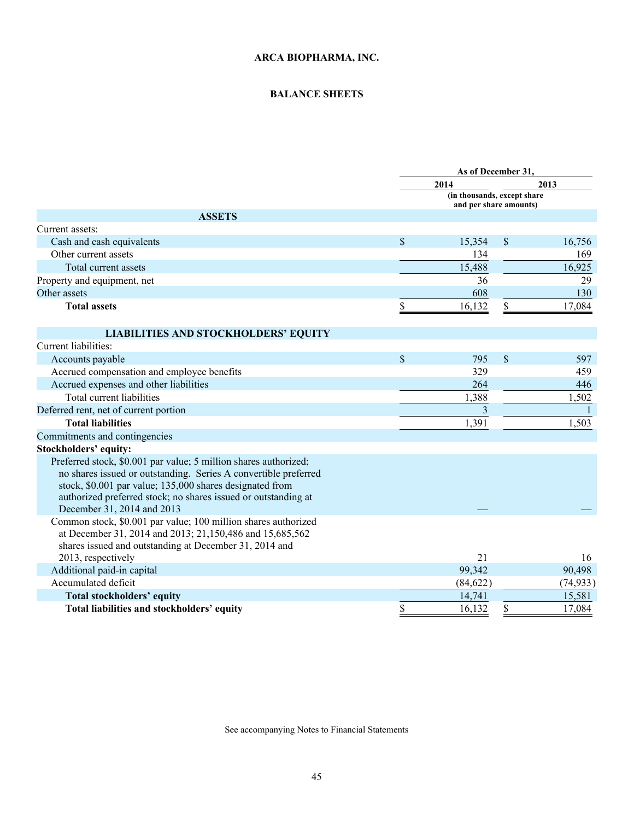# <span id="page-46-0"></span>**BALANCE SHEETS**

|                                                                                                                                                                                                                                                                                                 |                                                       | As of December 31, |              |           |  |
|-------------------------------------------------------------------------------------------------------------------------------------------------------------------------------------------------------------------------------------------------------------------------------------------------|-------------------------------------------------------|--------------------|--------------|-----------|--|
|                                                                                                                                                                                                                                                                                                 |                                                       | 2014               |              | 2013      |  |
|                                                                                                                                                                                                                                                                                                 | (in thousands, except share<br>and per share amounts) |                    |              |           |  |
| <b>ASSETS</b>                                                                                                                                                                                                                                                                                   |                                                       |                    |              |           |  |
| Current assets:                                                                                                                                                                                                                                                                                 |                                                       |                    |              |           |  |
| Cash and cash equivalents                                                                                                                                                                                                                                                                       | $\mathcal{S}$                                         | 15,354             | $\mathbb{S}$ | 16,756    |  |
| Other current assets                                                                                                                                                                                                                                                                            |                                                       | 134                |              | 169       |  |
| Total current assets                                                                                                                                                                                                                                                                            |                                                       | 15,488             |              | 16,925    |  |
| Property and equipment, net                                                                                                                                                                                                                                                                     |                                                       | 36                 |              | 29        |  |
| Other assets                                                                                                                                                                                                                                                                                    |                                                       | 608                |              | 130       |  |
| <b>Total assets</b>                                                                                                                                                                                                                                                                             | \$                                                    | 16,132             |              | 17,084    |  |
| <b>LIABILITIES AND STOCKHOLDERS' EQUITY</b>                                                                                                                                                                                                                                                     |                                                       |                    |              |           |  |
| Current liabilities:                                                                                                                                                                                                                                                                            |                                                       |                    |              |           |  |
| Accounts payable                                                                                                                                                                                                                                                                                | \$                                                    | 795                | \$           | 597       |  |
| Accrued compensation and employee benefits                                                                                                                                                                                                                                                      |                                                       | 329                |              | 459       |  |
| Accrued expenses and other liabilities                                                                                                                                                                                                                                                          |                                                       | 264                |              | 446       |  |
| Total current liabilities                                                                                                                                                                                                                                                                       |                                                       | 1,388              |              | 1,502     |  |
| Deferred rent, net of current portion                                                                                                                                                                                                                                                           |                                                       | 3                  |              |           |  |
| <b>Total liabilities</b>                                                                                                                                                                                                                                                                        |                                                       | 1,391              |              | 1,503     |  |
| Commitments and contingencies                                                                                                                                                                                                                                                                   |                                                       |                    |              |           |  |
| <b>Stockholders' equity:</b>                                                                                                                                                                                                                                                                    |                                                       |                    |              |           |  |
| Preferred stock, \$0.001 par value; 5 million shares authorized;<br>no shares issued or outstanding. Series A convertible preferred<br>stock, \$0.001 par value; 135,000 shares designated from<br>authorized preferred stock; no shares issued or outstanding at<br>December 31, 2014 and 2013 |                                                       |                    |              |           |  |
| Common stock, \$0.001 par value; 100 million shares authorized<br>at December 31, 2014 and 2013; 21,150,486 and 15,685,562<br>shares issued and outstanding at December 31, 2014 and                                                                                                            |                                                       |                    |              |           |  |
| 2013, respectively                                                                                                                                                                                                                                                                              |                                                       | 21                 |              | 16        |  |
| Additional paid-in capital                                                                                                                                                                                                                                                                      |                                                       | 99,342             |              | 90,498    |  |
| Accumulated deficit                                                                                                                                                                                                                                                                             |                                                       | (84, 622)          |              | (74, 933) |  |
| <b>Total stockholders' equity</b>                                                                                                                                                                                                                                                               |                                                       | 14,741             |              | 15,581    |  |
| Total liabilities and stockholders' equity                                                                                                                                                                                                                                                      | \$                                                    | 16,132             | \$           | 17,084    |  |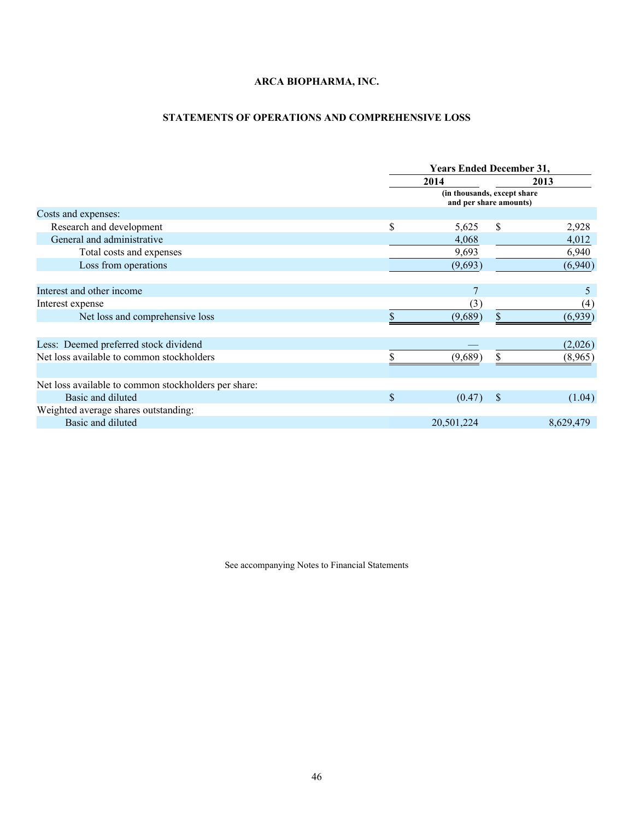# <span id="page-47-0"></span>**STATEMENTS OF OPERATIONS AND COMPREHENSIVE LOSS**

|                                                      | <b>Years Ended December 31,</b>                        |              |           |  |  |
|------------------------------------------------------|--------------------------------------------------------|--------------|-----------|--|--|
|                                                      | 2014                                                   |              |           |  |  |
|                                                      | (in thousands, except share)<br>and per share amounts) |              |           |  |  |
| Costs and expenses:                                  |                                                        |              |           |  |  |
| Research and development                             | \$<br>5,625                                            | \$           | 2,928     |  |  |
| General and administrative                           | 4,068                                                  |              | 4,012     |  |  |
| Total costs and expenses                             | 9,693                                                  |              | 6,940     |  |  |
| Loss from operations                                 | (9,693)                                                |              | (6,940)   |  |  |
| Interest and other income                            |                                                        |              | 5         |  |  |
| Interest expense                                     | (3)                                                    |              | (4)       |  |  |
| Net loss and comprehensive loss                      | (9,689)                                                | \$           | (6,939)   |  |  |
| Less: Deemed preferred stock dividend                |                                                        |              | (2,026)   |  |  |
| Net loss available to common stockholders            | (9,689)                                                | \$           | (8,965)   |  |  |
| Net loss available to common stockholders per share: |                                                        |              |           |  |  |
| Basic and diluted                                    | \$<br>(0.47)                                           | <sup>S</sup> | (1.04)    |  |  |
| Weighted average shares outstanding:                 |                                                        |              |           |  |  |
| Basic and diluted                                    | 20,501,224                                             |              | 8,629,479 |  |  |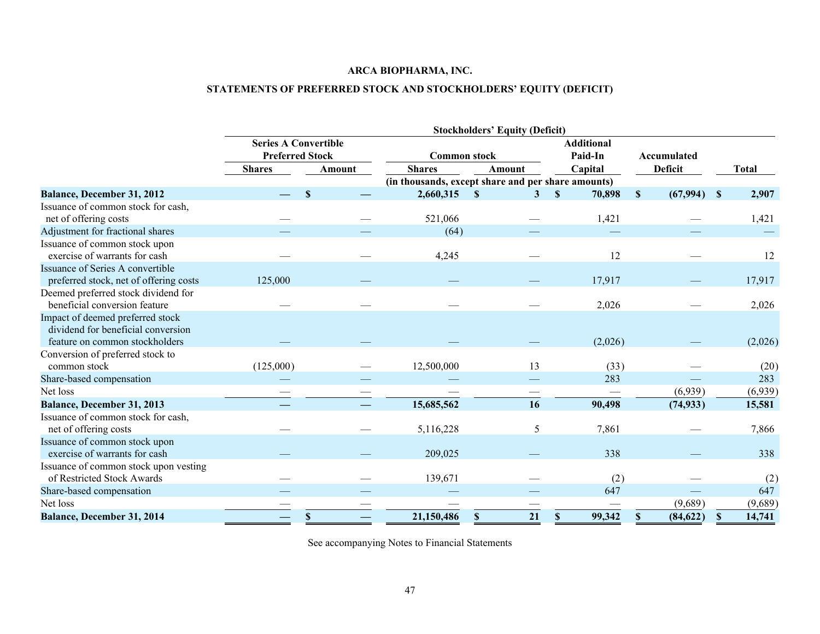# <span id="page-48-0"></span>**STATEMENTS OF PREFERRED STOCK AND STOCKHOLDERS' EQUITY (DEFICIT)**

|                                                                                                          |                             |              |                                                    | <b>Stockholders' Equity (Deficit)</b> |                              |                               |              |
|----------------------------------------------------------------------------------------------------------|-----------------------------|--------------|----------------------------------------------------|---------------------------------------|------------------------------|-------------------------------|--------------|
|                                                                                                          | <b>Series A Convertible</b> |              |                                                    |                                       | <b>Additional</b>            |                               |              |
|                                                                                                          | <b>Preferred Stock</b>      |              | <b>Common stock</b>                                |                                       | Paid-In                      | Accumulated                   |              |
|                                                                                                          | <b>Shares</b>               | Amount       | <b>Shares</b>                                      | <b>Amount</b>                         | Capital                      | <b>Deficit</b>                | <b>Total</b> |
|                                                                                                          |                             |              | (in thousands, except share and per share amounts) |                                       |                              |                               |              |
| Balance, December 31, 2012                                                                               |                             | $\mathbf{S}$ | 2,660,315                                          | $\mathbf{s}$<br>3                     | $\mathbf{\hat{s}}$<br>70,898 | $(67,994)$ \$<br>$\mathbf{s}$ | 2,907        |
| Issuance of common stock for cash,<br>net of offering costs                                              |                             |              | 521,066                                            |                                       | 1,421                        |                               | 1,421        |
| Adjustment for fractional shares                                                                         |                             |              | (64)                                               |                                       |                              |                               |              |
| Issuance of common stock upon<br>exercise of warrants for cash                                           |                             |              | 4,245                                              |                                       | 12                           |                               | 12           |
| Issuance of Series A convertible<br>preferred stock, net of offering costs                               | 125,000                     |              |                                                    |                                       | 17,917                       |                               | 17,917       |
| Deemed preferred stock dividend for<br>beneficial conversion feature                                     |                             |              |                                                    |                                       | 2,026                        |                               | 2,026        |
| Impact of deemed preferred stock<br>dividend for beneficial conversion<br>feature on common stockholders |                             |              |                                                    |                                       | (2,026)                      |                               | (2,026)      |
| Conversion of preferred stock to<br>common stock                                                         | (125,000)                   |              | 12,500,000                                         | 13                                    | (33)                         |                               | (20)         |
| Share-based compensation                                                                                 |                             |              |                                                    |                                       | 283                          |                               | 283          |
| Net loss                                                                                                 |                             |              |                                                    |                                       |                              | (6,939)                       | (6,939)      |
| Balance, December 31, 2013                                                                               |                             |              | 15,685,562                                         | 16                                    | 90,498                       | (74, 933)                     | 15,581       |
| Issuance of common stock for cash,<br>net of offering costs                                              |                             |              | 5,116,228                                          | 5                                     | 7,861                        |                               | 7,866        |
| Issuance of common stock upon<br>exercise of warrants for cash                                           |                             |              | 209,025                                            |                                       | 338                          |                               | 338          |
| Issuance of common stock upon vesting<br>of Restricted Stock Awards                                      |                             |              | 139,671                                            |                                       | (2)                          |                               | (2)          |
| Share-based compensation                                                                                 |                             |              |                                                    |                                       | 647                          |                               | 647          |
| Net loss                                                                                                 |                             |              |                                                    |                                       |                              | (9,689)                       | (9,689)      |
| <b>Balance, December 31, 2014</b>                                                                        |                             | S            | 21,150,486                                         | 21<br><sup>\$</sup>                   | 99,342<br>S.                 | (84, 622)<br>S                | 14,741       |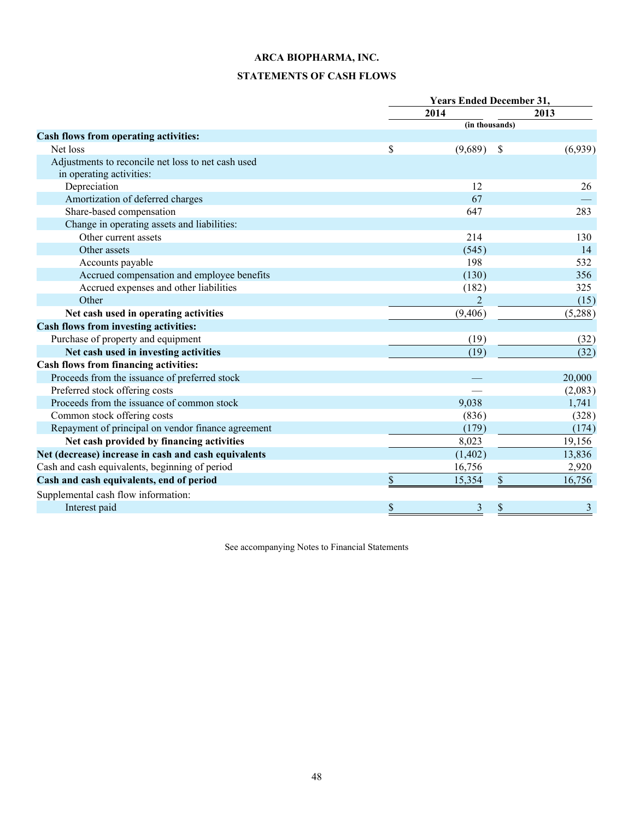# <span id="page-49-0"></span>**STATEMENTS OF CASH FLOWS**

|                                                      | <b>Years Ended December 31,</b> |                |    |         |
|------------------------------------------------------|---------------------------------|----------------|----|---------|
|                                                      |                                 | 2014           |    | 2013    |
|                                                      |                                 | (in thousands) |    |         |
| Cash flows from operating activities:                |                                 |                |    |         |
| Net loss                                             | \$                              | (9,689)        | -S | (6,939) |
| Adjustments to reconcile net loss to net cash used   |                                 |                |    |         |
| in operating activities:                             |                                 |                |    |         |
| Depreciation                                         |                                 | 12             |    | 26      |
| Amortization of deferred charges                     |                                 | 67             |    |         |
| Share-based compensation                             |                                 | 647            |    | 283     |
| Change in operating assets and liabilities:          |                                 |                |    |         |
| Other current assets                                 |                                 | 214            |    | 130     |
| Other assets                                         |                                 | (545)          |    | 14      |
| Accounts payable                                     |                                 | 198            |    | 532     |
| Accrued compensation and employee benefits           |                                 | (130)          |    | 356     |
| Accrued expenses and other liabilities               |                                 | (182)          |    | 325     |
| Other                                                |                                 | $\overline{2}$ |    | (15)    |
| Net cash used in operating activities                |                                 | (9,406)        |    | (5,288) |
| <b>Cash flows from investing activities:</b>         |                                 |                |    |         |
| Purchase of property and equipment                   |                                 | (19)           |    | (32)    |
| Net cash used in investing activities                |                                 | (19)           |    | (32)    |
| Cash flows from financing activities:                |                                 |                |    |         |
| Proceeds from the issuance of preferred stock        |                                 |                |    | 20,000  |
| Preferred stock offering costs                       |                                 |                |    | (2,083) |
| Proceeds from the issuance of common stock           |                                 | 9,038          |    | 1,741   |
| Common stock offering costs                          |                                 | (836)          |    | (328)   |
| Repayment of principal on vendor finance agreement   |                                 | (179)          |    | (174)   |
| Net cash provided by financing activities            |                                 | 8,023          |    | 19,156  |
| Net (decrease) increase in cash and cash equivalents |                                 | (1, 402)       |    | 13,836  |
| Cash and cash equivalents, beginning of period       |                                 | 16,756         |    | 2,920   |
| Cash and cash equivalents, end of period             | \$                              | 15,354         | \$ | 16,756  |
| Supplemental cash flow information:                  |                                 |                |    |         |
| Interest paid                                        | \$                              | 3              | \$ | 3       |
|                                                      |                                 |                |    |         |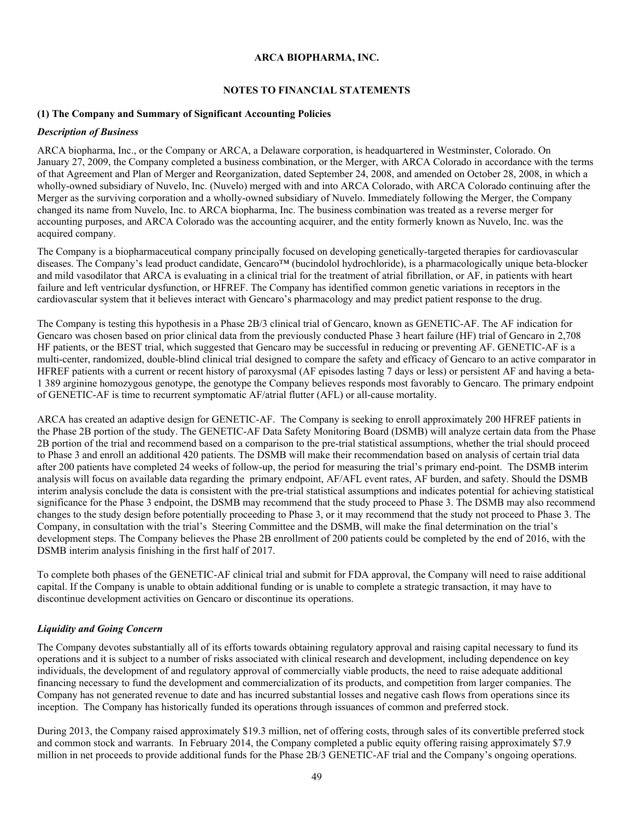#### <span id="page-50-0"></span>**NOTES TO FINANCIAL STATEMENTS**

#### **(1) The Company and Summary of Significant Accounting Policies**

#### *Description of Business*

ARCA biopharma, Inc., or the Company or ARCA, a Delaware corporation, is headquartered in Westminster, Colorado. On January 27, 2009, the Company completed a business combination, or the Merger, with ARCA Colorado in accordance with the terms of that Agreement and Plan of Merger and Reorganization, dated September 24, 2008, and amended on October 28, 2008, in which a wholly-owned subsidiary of Nuvelo, Inc. (Nuvelo) merged with and into ARCA Colorado, with ARCA Colorado continuing after the Merger as the surviving corporation and a wholly-owned subsidiary of Nuvelo. Immediately following the Merger, the Company changed its name from Nuvelo, Inc. to ARCA biopharma, Inc. The business combination was treated as a reverse merger for accounting purposes, and ARCA Colorado was the accounting acquirer, and the entity formerly known as Nuvelo, Inc. was the acquired company.

The Company is a biopharmaceutical company principally focused on developing genetically-targeted therapies for cardiovascular diseases. The Company's lead product candidate, Gencaro™ (bucindolol hydrochloride), is a pharmacologically unique beta-blocker and mild vasodilator that ARCA is evaluating in a clinical trial for the treatment of atrial fibrillation, or AF, in patients with heart failure and left ventricular dysfunction, or HFREF. The Company has identified common genetic variations in receptors in the cardiovascular system that it believes interact with Gencaro's pharmacology and may predict patient response to the drug.

The Company is testing this hypothesis in a Phase 2B/3 clinical trial of Gencaro, known as GENETIC-AF. The AF indication for Gencaro was chosen based on prior clinical data from the previously conducted Phase 3 heart failure (HF) trial of Gencaro in 2,708 HF patients, or the BEST trial, which suggested that Gencaro may be successful in reducing or preventing AF. GENETIC-AF is a multi-center, randomized, double-blind clinical trial designed to compare the safety and efficacy of Gencaro to an active comparator in HFREF patients with a current or recent history of paroxysmal (AF episodes lasting 7 days or less) or persistent AF and having a beta-1 389 arginine homozygous genotype, the genotype the Company believes responds most favorably to Gencaro. The primary endpoint of GENETIC-AF is time to recurrent symptomatic AF/atrial flutter (AFL) or all-cause mortality.

ARCA has created an adaptive design for GENETIC-AF. The Company is seeking to enroll approximately 200 HFREF patients in the Phase 2B portion of the study. The GENETIC-AF Data Safety Monitoring Board (DSMB) will analyze certain data from the Phase 2B portion of the trial and recommend based on a comparison to the pre-trial statistical assumptions, whether the trial should proceed to Phase 3 and enroll an additional 420 patients. The DSMB will make their recommendation based on analysis of certain trial data after 200 patients have completed 24 weeks of follow-up, the period for measuring the trial's primary end-point. The DSMB interim analysis will focus on available data regarding the primary endpoint, AF/AFL event rates, AF burden, and safety. Should the DSMB interim analysis conclude the data is consistent with the pre-trial statistical assumptions and indicates potential for achieving statistical significance for the Phase 3 endpoint, the DSMB may recommend that the study proceed to Phase 3. The DSMB may also recommend changes to the study design before potentially proceeding to Phase 3, or it may recommend that the study not proceed to Phase 3. The Company, in consultation with the trial's Steering Committee and the DSMB, will make the final determination on the trial's development steps. The Company believes the Phase 2B enrollment of 200 patients could be completed by the end of 2016, with the DSMB interim analysis finishing in the first half of 2017.

To complete both phases of the GENETIC-AF clinical trial and submit for FDA approval, the Company will need to raise additional capital. If the Company is unable to obtain additional funding or is unable to complete a strategic transaction, it may have to discontinue development activities on Gencaro or discontinue its operations.

## *Liquidity and Going Concern*

The Company devotes substantially all of its efforts towards obtaining regulatory approval and raising capital necessary to fund its operations and it is subject to a number of risks associated with clinical research and development, including dependence on key individuals, the development of and regulatory approval of commercially viable products, the need to raise adequate additional financing necessary to fund the development and commercialization of its products, and competition from larger companies. The Company has not generated revenue to date and has incurred substantial losses and negative cash flows from operations since its inception. The Company has historically funded its operations through issuances of common and preferred stock.

During 2013, the Company raised approximately \$19.3 million, net of offering costs, through sales of its convertible preferred stock and common stock and warrants. In February 2014, the Company completed a public equity offering raising approximately \$7.9 million in net proceeds to provide additional funds for the Phase 2B/3 GENETIC-AF trial and the Company's ongoing operations.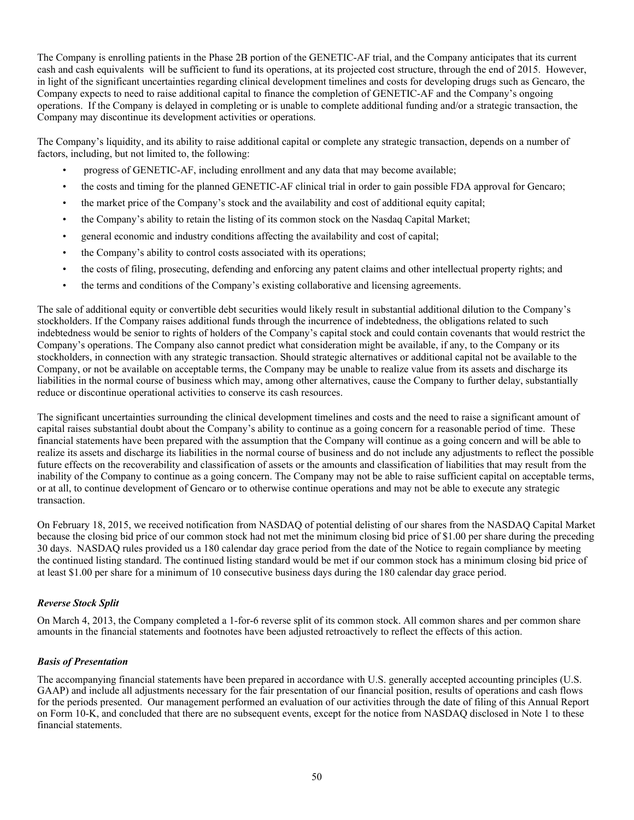The Company is enrolling patients in the Phase 2B portion of the GENETIC-AF trial, and the Company anticipates that its current cash and cash equivalents will be sufficient to fund its operations, at its projected cost structure, through the end of 2015. However, in light of the significant uncertainties regarding clinical development timelines and costs for developing drugs such as Gencaro, the Company expects to need to raise additional capital to finance the completion of GENETIC-AF and the Company's ongoing operations. If the Company is delayed in completing or is unable to complete additional funding and/or a strategic transaction, the Company may discontinue its development activities or operations.

The Company's liquidity, and its ability to raise additional capital or complete any strategic transaction, depends on a number of factors, including, but not limited to, the following:

- progress of GENETIC-AF, including enrollment and any data that may become available;
- the costs and timing for the planned GENETIC-AF clinical trial in order to gain possible FDA approval for Gencaro;
- the market price of the Company's stock and the availability and cost of additional equity capital;
- the Company's ability to retain the listing of its common stock on the Nasdaq Capital Market;
- general economic and industry conditions affecting the availability and cost of capital;
- the Company's ability to control costs associated with its operations;
- the costs of filing, prosecuting, defending and enforcing any patent claims and other intellectual property rights; and
- the terms and conditions of the Company's existing collaborative and licensing agreements.

The sale of additional equity or convertible debt securities would likely result in substantial additional dilution to the Company's stockholders. If the Company raises additional funds through the incurrence of indebtedness, the obligations related to such indebtedness would be senior to rights of holders of the Company's capital stock and could contain covenants that would restrict the Company's operations. The Company also cannot predict what consideration might be available, if any, to the Company or its stockholders, in connection with any strategic transaction. Should strategic alternatives or additional capital not be available to the Company, or not be available on acceptable terms, the Company may be unable to realize value from its assets and discharge its liabilities in the normal course of business which may, among other alternatives, cause the Company to further delay, substantially reduce or discontinue operational activities to conserve its cash resources.

The significant uncertainties surrounding the clinical development timelines and costs and the need to raise a significant amount of capital raises substantial doubt about the Company's ability to continue as a going concern for a reasonable period of time. These financial statements have been prepared with the assumption that the Company will continue as a going concern and will be able to realize its assets and discharge its liabilities in the normal course of business and do not include any adjustments to reflect the possible future effects on the recoverability and classification of assets or the amounts and classification of liabilities that may result from the inability of the Company to continue as a going concern. The Company may not be able to raise sufficient capital on acceptable terms, or at all, to continue development of Gencaro or to otherwise continue operations and may not be able to execute any strategic transaction.

On February 18, 2015, we received notification from NASDAQ of potential delisting of our shares from the NASDAQ Capital Market because the closing bid price of our common stock had not met the minimum closing bid price of \$1.00 per share during the preceding 30 days. NASDAQ rules provided us a 180 calendar day grace period from the date of the Notice to regain compliance by meeting the continued listing standard. The continued listing standard would be met if our common stock has a minimum closing bid price of at least \$1.00 per share for a minimum of 10 consecutive business days during the 180 calendar day grace period.

# *Reverse Stock Split*

On March 4, 2013, the Company completed a 1-for-6 reverse split of its common stock. All common shares and per common share amounts in the financial statements and footnotes have been adjusted retroactively to reflect the effects of this action.

## *Basis of Presentation*

The accompanying financial statements have been prepared in accordance with U.S. generally accepted accounting principles (U.S. GAAP) and include all adjustments necessary for the fair presentation of our financial position, results of operations and cash flows for the periods presented. Our management performed an evaluation of our activities through the date of filing of this Annual Report on Form 10-K, and concluded that there are no subsequent events, except for the notice from NASDAQ disclosed in Note 1 to these financial statements.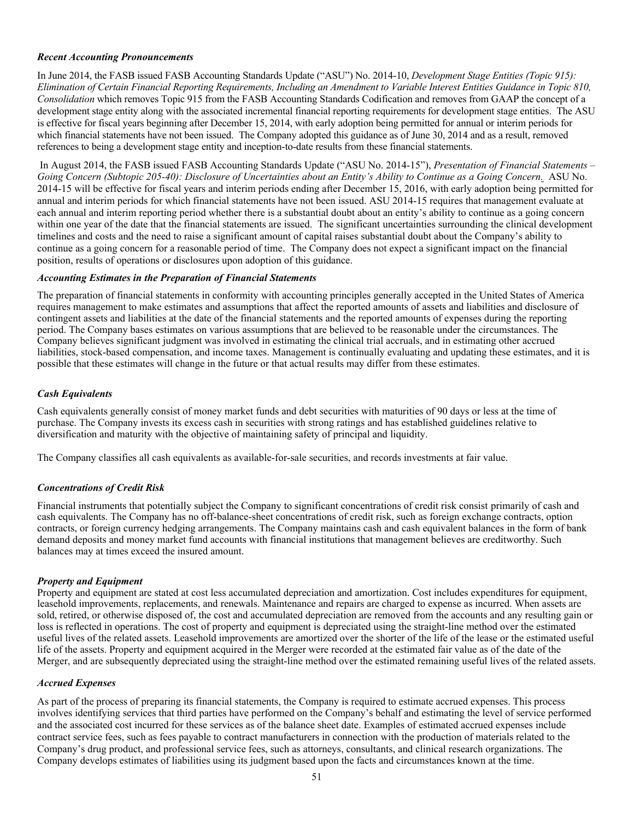# *Recent Accounting Pronouncements*

In June 2014, the FASB issued FASB Accounting Standards Update ("ASU") No. 2014-10, *Development Stage Entities (Topic 915):* Elimination of Certain Financial Reporting Requirements. Including an Amendment to Variable Interest Entities Guidance in Topic 810. *Consolidation* which removes Topic 915 from the FASB Accounting Standards Codification and removes from GAAP the concept of a development stage entity along with the associated incremental financial reporting requirements for development stage entities. The ASU is effective for fiscal years beginning after December 15, 2014, with early adoption being permitted for annual or interim periods for which financial statements have not been issued. The Company adopted this guidance as of June 30, 2014 and as a result, removed references to being a development stage entity and inception-to-date results from these financial statements.

In August 2014, the FASB issued FASB Accounting Standards Update ("ASU No. 2014-15"), *Presentation of Financial Statements –* Going Concern (Subtopic 205-40): Disclosure of Uncertainties about an Entity's Ability to Continue as a Going Concern. ASU No. 2014-15 will be effective for fiscal years and interim periods ending after December 15, 2016, with early adoption being permitted for annual and interim periods for which financial statements have not been issued. ASU 2014-15 requires that management evaluate at each annual and interim reporting period whether there is a substantial doubt about an entity's ability to continue as a going concern within one year of the date that the financial statements are issued. The significant uncertainties surrounding the clinical development timelines and costs and the need to raise a significant amount of capital raises substantial doubt about the Company's ability to continue as a going concern for a reasonable period of time. The Company does not expect a significant impact on the financial position, results of operations or disclosures upon adoption of this guidance.

## *Accounting Estimates in the Preparation of Financial Statements*

The preparation of financial statements in conformity with accounting principles generally accepted in the United States of America requires management to make estimates and assumptions that affect the reported amounts of assets and liabilities and disclosure of contingent assets and liabilities at the date of the financial statements and the reported amounts of expenses during the reporting period. The Company bases estimates on various assumptions that are believed to be reasonable under the circumstances. The Company believes significant judgment was involved in estimating the clinical trial accruals, and in estimating other accrued liabilities, stock-based compensation, and income taxes. Management is continually evaluating and updating these estimates, and it is possible that these estimates will change in the future or that actual results may differ from these estimates.

# *Cash Equivalents*

Cash equivalents generally consist of money market funds and debt securities with maturities of 90 days or less at the time of purchase. The Company invests its excess cash in securities with strong ratings and has established guidelines relative to diversification and maturity with the objective of maintaining safety of principal and liquidity.

The Company classifies all cash equivalents as available-for-sale securities, and records investments at fair value.

## *Concentrations of Credit Risk*

Financial instruments that potentially subject the Company to significant concentrations of credit risk consist primarily of cash and cash equivalents. The Company has no off-balance-sheet concentrations of credit risk, such as foreign exchange contracts, option contracts, or foreign currency hedging arrangements. The Company maintains cash and cash equivalent balances in the form of bank demand deposits and money market fund accounts with financial institutions that management believes are creditworthy. Such balances may at times exceed the insured amount.

## *Property and Equipment*

Property and equipment are stated at cost less accumulated depreciation and amortization. Cost includes expenditures for equipment, leasehold improvements, replacements, and renewals. Maintenance and repairs are charged to expense as incurred. When assets are sold, retired, or otherwise disposed of, the cost and accumulated depreciation are removed from the accounts and any resulting gain or loss is reflected in operations. The cost of property and equipment is depreciated using the straight-line method over the estimated useful lives of the related assets. Leasehold improvements are amortized over the shorter of the life of the lease or the estimated useful life of the assets. Property and equipment acquired in the Merger were recorded at the estimated fair value as of the date of the Merger, and are subsequently depreciated using the straight-line method over the estimated remaining useful lives of the related assets.

#### *Accrued Expenses*

As part of the process of preparing its financial statements, the Company is required to estimate accrued expenses. This process involves identifying services that third parties have performed on the Company's behalf and estimating the level of service performed and the associated cost incurred for these services as of the balance sheet date. Examples of estimated accrued expenses include contract service fees, such as fees payable to contract manufacturers in connection with the production of materials related to the Company's drug product, and professional service fees, such as attorneys, consultants, and clinical research organizations. The Company develops estimates of liabilities using its judgment based upon the facts and circumstances known at the time.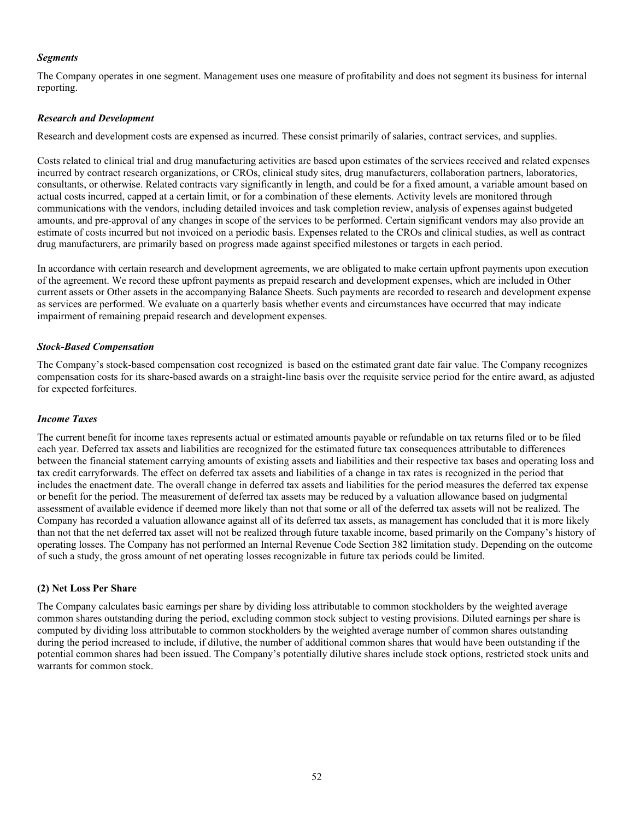## *Segments*

The Company operates in one segment. Management uses one measure of profitability and does not segment its business for internal reporting.

#### *Research and Development*

Research and development costs are expensed as incurred. These consist primarily of salaries, contract services, and supplies.

Costs related to clinical trial and drug manufacturing activities are based upon estimates of the services received and related expenses incurred by contract research organizations, or CROs, clinical study sites, drug manufacturers, collaboration partners, laboratories, consultants, or otherwise. Related contracts vary significantly in length, and could be for a fixed amount, a variable amount based on actual costs incurred, capped at a certain limit, or for a combination of these elements. Activity levels are monitored through communications with the vendors, including detailed invoices and task completion review, analysis of expenses against budgeted amounts, and pre-approval of any changes in scope of the services to be performed. Certain significant vendors may also provide an estimate of costs incurred but not invoiced on a periodic basis. Expenses related to the CROs and clinical studies, as well as contract drug manufacturers, are primarily based on progress made against specified milestones or targets in each period.

In accordance with certain research and development agreements, we are obligated to make certain upfront payments upon execution of the agreement. We record these upfront payments as prepaid research and development expenses, which are included in Other current assets or Other assets in the accompanying Balance Sheets. Such payments are recorded to research and development expense as services are performed. We evaluate on a quarterly basis whether events and circumstances have occurred that may indicate impairment of remaining prepaid research and development expenses.

#### *Stock-Based Compensation*

The Company's stock-based compensation cost recognized is based on the estimated grant date fair value. The Company recognizes compensation costs for its share-based awards on a straight-line basis over the requisite service period for the entire award, as adjusted for expected forfeitures.

#### *Income Taxes*

The current benefit for income taxes represents actual or estimated amounts payable or refundable on tax returns filed or to be filed each year. Deferred tax assets and liabilities are recognized for the estimated future tax consequences attributable to differences between the financial statement carrying amounts of existing assets and liabilities and their respective tax bases and operating loss and tax credit carryforwards. The effect on deferred tax assets and liabilities of a change in tax rates is recognized in the period that includes the enactment date. The overall change in deferred tax assets and liabilities for the period measures the deferred tax expense or benefit for the period. The measurement of deferred tax assets may be reduced by a valuation allowance based on judgmental assessment of available evidence if deemed more likely than not that some or all of the deferred tax assets will not be realized. The Company has recorded a valuation allowance against all of its deferred tax assets, as management has concluded that it is more likely than not that the net deferred tax asset will not be realized through future taxable income, based primarily on the Company's history of operating losses. The Company has not performed an Internal Revenue Code Section 382 limitation study. Depending on the outcome of such a study, the gross amount of net operating losses recognizable in future tax periods could be limited.

# **(2) Net Loss Per Share**

The Company calculates basic earnings per share by dividing loss attributable to common stockholders by the weighted average common shares outstanding during the period, excluding common stock subject to vesting provisions. Diluted earnings per share is computed by dividing loss attributable to common stockholders by the weighted average number of common shares outstanding during the period increased to include, if dilutive, the number of additional common shares that would have been outstanding if the potential common shares had been issued. The Company's potentially dilutive shares include stock options, restricted stock units and warrants for common stock.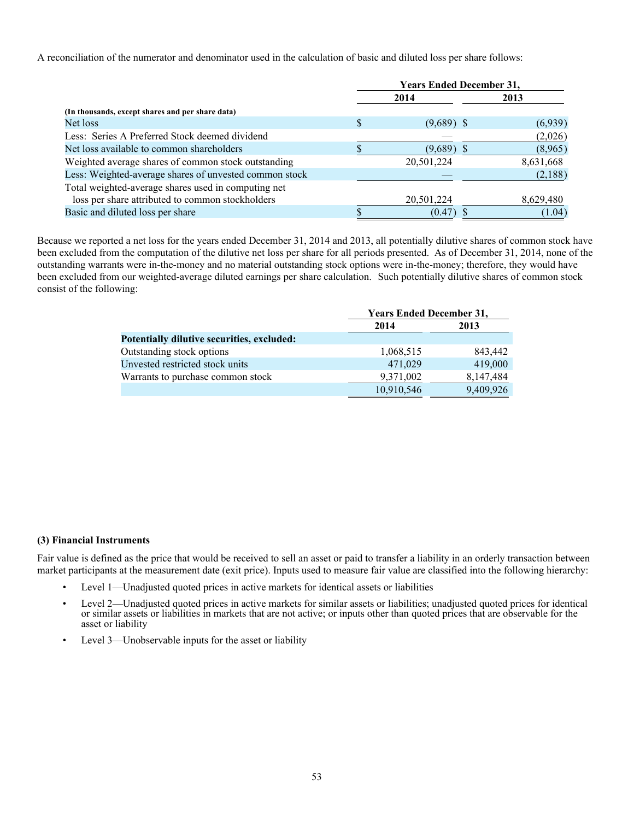A reconciliation of the numerator and denominator used in the calculation of basic and diluted loss per share follows:

|                                                        | <b>Years Ended December 31,</b> |              |  |           |  |  |
|--------------------------------------------------------|---------------------------------|--------------|--|-----------|--|--|
|                                                        |                                 | 2014         |  | 2013      |  |  |
| (In thousands, except shares and per share data)       |                                 |              |  |           |  |  |
| Net loss                                               | \$                              | $(9,689)$ \$ |  | (6,939)   |  |  |
| Less: Series A Preferred Stock deemed dividend         |                                 |              |  | (2,026)   |  |  |
| Net loss available to common shareholders              |                                 | (9,689)      |  | (8,965)   |  |  |
| Weighted average shares of common stock outstanding    |                                 | 20,501,224   |  | 8,631,668 |  |  |
| Less: Weighted-average shares of unvested common stock |                                 |              |  | (2,188)   |  |  |
| Total weighted-average shares used in computing net    |                                 |              |  |           |  |  |
| loss per share attributed to common stockholders       |                                 | 20,501,224   |  | 8,629,480 |  |  |
| Basic and diluted loss per share                       |                                 | (0.47)       |  | (1.04)    |  |  |

Because we reported a net loss for the years ended December 31, 2014 and 2013, all potentially dilutive shares of common stock have been excluded from the computation of the dilutive net loss per share for all periods presented. As of December 31, 2014, none of the outstanding warrants were in-the-money and no material outstanding stock options were in-the-money; therefore, they would have been excluded from our weighted-average diluted earnings per share calculation. Such potentially dilutive shares of common stock consist of the following:

|                                            |            | <b>Years Ended December 31,</b> |  |  |
|--------------------------------------------|------------|---------------------------------|--|--|
|                                            | 2014       | 2013                            |  |  |
| Potentially dilutive securities, excluded: |            |                                 |  |  |
| Outstanding stock options                  | 1,068,515  | 843,442                         |  |  |
| Unvested restricted stock units            | 471,029    | 419,000                         |  |  |
| Warrants to purchase common stock          | 9,371,002  | 8,147,484                       |  |  |
|                                            | 10,910,546 | 9,409,926                       |  |  |

#### **(3) Financial Instruments**

Fair value is defined as the price that would be received to sell an asset or paid to transfer a liability in an orderly transaction between market participants at the measurement date (exit price). Inputs used to measure fair value are classified into the following hierarchy:

- Level 1—Unadjusted quoted prices in active markets for identical assets or liabilities
- Level 2—Unadjusted quoted prices in active markets for similar assets or liabilities; unadjusted quoted prices for identical or similar assets or liabilities in markets that are not active; or inputs other than quoted prices that are observable for the asset or liability
- Level 3—Unobservable inputs for the asset or liability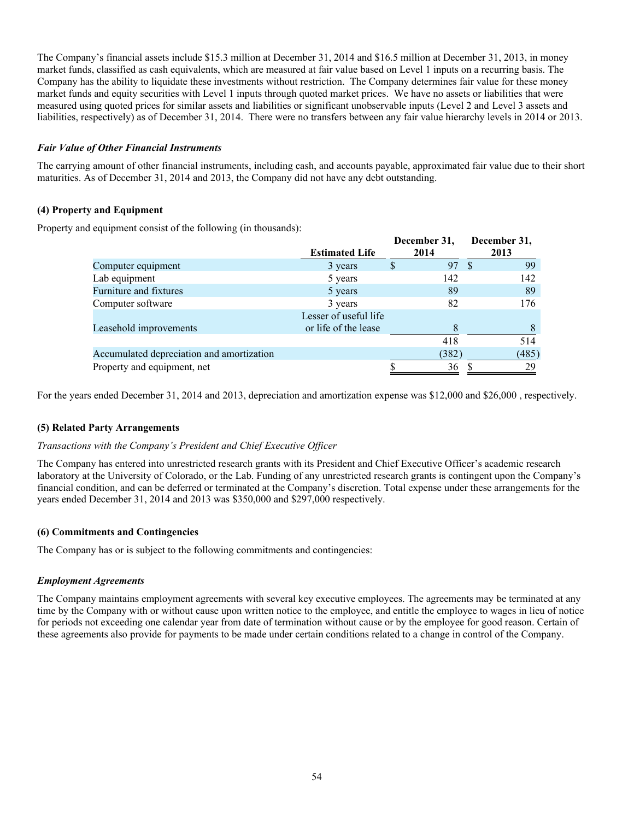The Company's financial assets include \$15.3 million at December 31, 2014 and \$16.5 million at December 31, 2013, in money market funds, classified as cash equivalents, which are measured at fair value based on Level 1 inputs on a recurring basis. The Company has the ability to liquidate these investments without restriction. The Company determines fair value for these money market funds and equity securities with Level 1 inputs through quoted market prices. We have no assets or liabilities that were measured using quoted prices for similar assets and liabilities or significant unobservable inputs (Level 2 and Level 3 assets and liabilities, respectively) as of December 31, 2014. There were no transfers between any fair value hierarchy levels in 2014 or 2013.

# *Fair Value of Other Financial Instruments*

The carrying amount of other financial instruments, including cash, and accounts payable, approximated fair value due to their short maturities. As of December 31, 2014 and 2013, the Company did not have any debt outstanding.

# **(4) Property and Equipment**

Property and equipment consist of the following (in thousands):

|                                           | <b>Estimated Life</b> |   | December 31,<br>2014 |    | December 31,<br>2013 |
|-------------------------------------------|-----------------------|---|----------------------|----|----------------------|
|                                           |                       |   |                      |    |                      |
| Computer equipment                        | 3 years               | S | 97                   | -8 | 99                   |
| Lab equipment                             | 5 years               |   | 142                  |    | 142                  |
| Furniture and fixtures                    | 5 years               |   | 89                   |    | 89                   |
| Computer software                         | 3 years               |   | 82                   |    | 176                  |
|                                           | Lesser of useful life |   |                      |    |                      |
| Leasehold improvements                    | or life of the lease  |   | 8                    |    | 8                    |
|                                           |                       |   | 418                  |    | 514                  |
| Accumulated depreciation and amortization |                       |   | (382)                |    | (485)                |
| Property and equipment, net               |                       |   | 36                   |    | 29                   |
|                                           |                       |   |                      |    |                      |

For the years ended December 31, 2014 and 2013, depreciation and amortization expense was \$12,000 and \$26,000 , respectively.

## **(5) Related Party Arrangements**

## *Transactions with the Company's President and Chief Executive Officer*

The Company has entered into unrestricted research grants with its President and Chief Executive Officer's academic research laboratory at the University of Colorado, or the Lab. Funding of any unrestricted research grants is contingent upon the Company's financial condition, and can be deferred or terminated at the Company's discretion. Total expense under these arrangements for the years ended December 31, 2014 and 2013 was \$350,000 and \$297,000 respectively.

## **(6) Commitments and Contingencies**

The Company has or is subject to the following commitments and contingencies:

## *Employment Agreements*

The Company maintains employment agreements with several key executive employees. The agreements may be terminated at any time by the Company with or without cause upon written notice to the employee, and entitle the employee to wages in lieu of notice for periods not exceeding one calendar year from date of termination without cause or by the employee for good reason. Certain of these agreements also provide for payments to be made under certain conditions related to a change in control of the Company.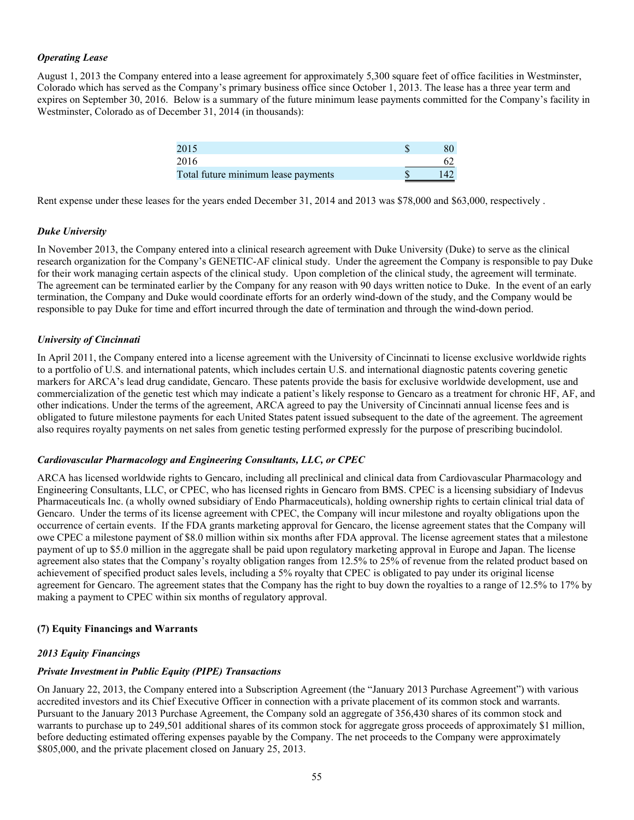# *Operating Lease*

August 1, 2013 the Company entered into a lease agreement for approximately 5,300 square feet of office facilities in Westminster, Colorado which has served as the Company's primary business office since October 1, 2013. The lease has a three year term and expires on September 30, 2016. Below is a summary of the future minimum lease payments committed for the Company's facility in Westminster, Colorado as of December 31, 2014 (in thousands):

| 2015                                |     |
|-------------------------------------|-----|
| 2016                                |     |
| Total future minimum lease payments | 142 |

Rent expense under these leases for the years ended December 31, 2014 and 2013 was \$78,000 and \$63,000, respectively.

## *Duke University*

In November 2013, the Company entered into a clinical research agreement with Duke University (Duke) to serve as the clinical research organization for the Company's GENETIC-AF clinical study. Under the agreement the Company is responsible to pay Duke for their work managing certain aspects of the clinical study. Upon completion of the clinical study, the agreement will terminate. The agreement can be terminated earlier by the Company for any reason with 90 days written notice to Duke. In the event of an early termination, the Company and Duke would coordinate efforts for an orderly wind-down of the study, and the Company would be responsible to pay Duke for time and effort incurred through the date of termination and through the wind-down period.

## *University of Cincinnati*

In April 2011, the Company entered into a license agreement with the University of Cincinnati to license exclusive worldwide rights to a portfolio of U.S. and international patents, which includes certain U.S. and international diagnostic patents covering genetic markers for ARCA's lead drug candidate, Gencaro. These patents provide the basis for exclusive worldwide development, use and commercialization of the genetic test which may indicate a patient's likely response to Gencaro as a treatment for chronic HF, AF, and other indications. Under the terms of the agreement, ARCA agreed to pay the University of Cincinnati annual license fees and is obligated to future milestone payments for each United States patent issued subsequent to the date of the agreement. The agreement also requires royalty payments on net sales from genetic testing performed expressly for the purpose of prescribing bucindolol.

## *Cardiovascular Pharmacology and Engineering Consultants, LLC, or CPEC*

ARCA has licensed worldwide rights to Gencaro, including all preclinical and clinical data from Cardiovascular Pharmacology and Engineering Consultants, LLC, or CPEC, who has licensed rights in Gencaro from BMS. CPEC is a licensing subsidiary of Indevus Pharmaceuticals Inc. (a wholly owned subsidiary of Endo Pharmaceuticals), holding ownership rights to certain clinical trial data of Gencaro. Under the terms of its license agreement with CPEC, the Company will incur milestone and royalty obligations upon the occurrence of certain events. If the FDA grants marketing approval for Gencaro, the license agreement states that the Company will owe CPEC a milestone payment of \$8.0 million within six months after FDA approval. The license agreement states that a milestone payment of up to \$5.0 million in the aggregate shall be paid upon regulatory marketing approval in Europe and Japan. The license agreement also states that the Company's royalty obligation ranges from 12.5% to 25% of revenue from the related product based on achievement of specified product sales levels, including a 5% royalty that CPEC is obligated to pay under its original license agreement for Gencaro. The agreement states that the Company has the right to buy down the royalties to a range of 12.5% to 17% by making a payment to CPEC within six months of regulatory approval.

## **(7) Equity Financings and Warrants**

## *2013 Equity Financings*

## *Private Investment in Public Equity (PIPE) Transactions*

On January 22, 2013, the Company entered into a Subscription Agreement (the "January 2013 Purchase Agreement") with various accredited investors and its Chief Executive Officer in connection with a private placement of its common stock and warrants. Pursuant to the January 2013 Purchase Agreement, the Company sold an aggregate of 356,430 shares of its common stock and warrants to purchase up to 249,501 additional shares of its common stock for aggregate gross proceeds of approximately \$1 million, before deducting estimated offering expenses payable by the Company. The net proceeds to the Company were approximately \$805,000, and the private placement closed on January 25, 2013.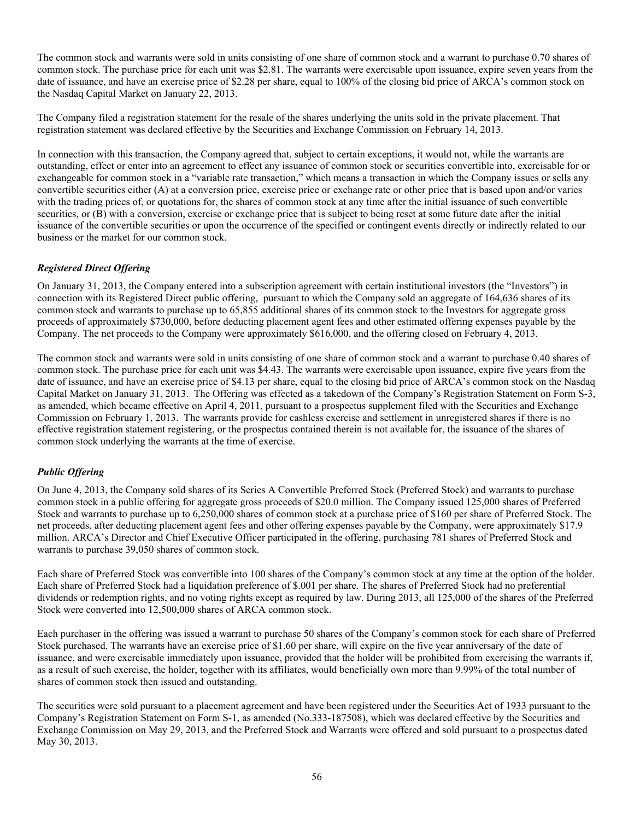The common stock and warrants were sold in units consisting of one share of common stock and a warrant to purchase 0.70 shares of common stock. The purchase price for each unit was \$2.81. The warrants were exercisable upon issuance, expire seven years from the date of issuance, and have an exercise price of \$2.28 per share, equal to 100% of the closing bid price of ARCA's common stock on the Nasdaq Capital Market on January 22, 2013.

The Company filed a registration statement for the resale of the shares underlying the units sold in the private placement. That registration statement was declared effective by the Securities and Exchange Commission on February 14, 2013.

In connection with this transaction, the Company agreed that, subject to certain exceptions, it would not, while the warrants are outstanding, effect or enter into an agreement to effect any issuance of common stock or securities convertible into, exercisable for or exchangeable for common stock in a "variable rate transaction," which means a transaction in which the Company issues or sells any convertible securities either (A) at a conversion price, exercise price or exchange rate or other price that is based upon and/or varies with the trading prices of, or quotations for, the shares of common stock at any time after the initial issuance of such convertible securities, or (B) with a conversion, exercise or exchange price that is subject to being reset at some future date after the initial issuance of the convertible securities or upon the occurrence of the specified or contingent events directly or indirectly related to our business or the market for our common stock.

# *Registered Direct Offering*

On January 31, 2013, the Company entered into a subscription agreement with certain institutional investors (the "Investors") in connection with its Registered Direct public offering, pursuant to which the Company sold an aggregate of 164,636 shares of its common stock and warrants to purchase up to 65,855 additional shares of its common stock to the Investors for aggregate gross proceeds of approximately \$730,000, before deducting placement agent fees and other estimated offering expenses payable by the Company. The net proceeds to the Company were approximately \$616,000, and the offering closed on February 4, 2013.

The common stock and warrants were sold in units consisting of one share of common stock and a warrant to purchase 0.40 shares of common stock. The purchase price for each unit was \$4.43. The warrants were exercisable upon issuance, expire five years from the date of issuance, and have an exercise price of \$4.13 per share, equal to the closing bid price of ARCA's common stock on the Nasdaq Capital Market on January 31, 2013. The Offering was effected as a takedown of the Company's Registration Statement on Form S-3, as amended, which became effective on April 4, 2011, pursuant to a prospectus supplement filed with the Securities and Exchange Commission on February 1, 2013. The warrants provide for cashless exercise and settlement in unregistered shares if there is no effective registration statement registering, or the prospectus contained therein is not available for, the issuance of the shares of common stock underlying the warrants at the time of exercise.

# *Public Offering*

On June 4, 2013, the Company sold shares of its Series A Convertible Preferred Stock (Preferred Stock) and warrants to purchase common stock in a public offering for aggregate gross proceeds of \$20.0 million. The Company issued 125,000 shares of Preferred Stock and warrants to purchase up to 6,250,000 shares of common stock at a purchase price of \$160 per share of Preferred Stock. The net proceeds, after deducting placement agent fees and other offering expenses payable by the Company, were approximately \$17.9 million. ARCA's Director and Chief Executive Officer participated in the offering, purchasing 781 shares of Preferred Stock and warrants to purchase 39,050 shares of common stock.

Each share of Preferred Stock was convertible into 100 shares of the Company's common stock at any time at the option of the holder. Each share of Preferred Stock had a liquidation preference of \$.001 per share. The shares of Preferred Stock had no preferential dividends or redemption rights, and no voting rights except as required by law. During 2013, all 125,000 of the shares of the Preferred Stock were converted into 12,500,000 shares of ARCA common stock.

Each purchaser in the offering was issued a warrant to purchase 50 shares of the Company's common stock for each share of Preferred Stock purchased. The warrants have an exercise price of \$1.60 per share, will expire on the five year anniversary of the date of issuance, and were exercisable immediately upon issuance, provided that the holder will be prohibited from exercising the warrants if, as a result of such exercise, the holder, together with its affiliates, would beneficially own more than 9.99% of the total number of shares of common stock then issued and outstanding.

The securities were sold pursuant to a placement agreement and have been registered under the Securities Act of 1933 pursuant to the Company's Registration Statement on Form S-1, as amended (No.333-187508), which was declared effective by the Securities and Exchange Commission on May 29, 2013, and the Preferred Stock and Warrants were offered and sold pursuant to a prospectus dated May 30, 2013.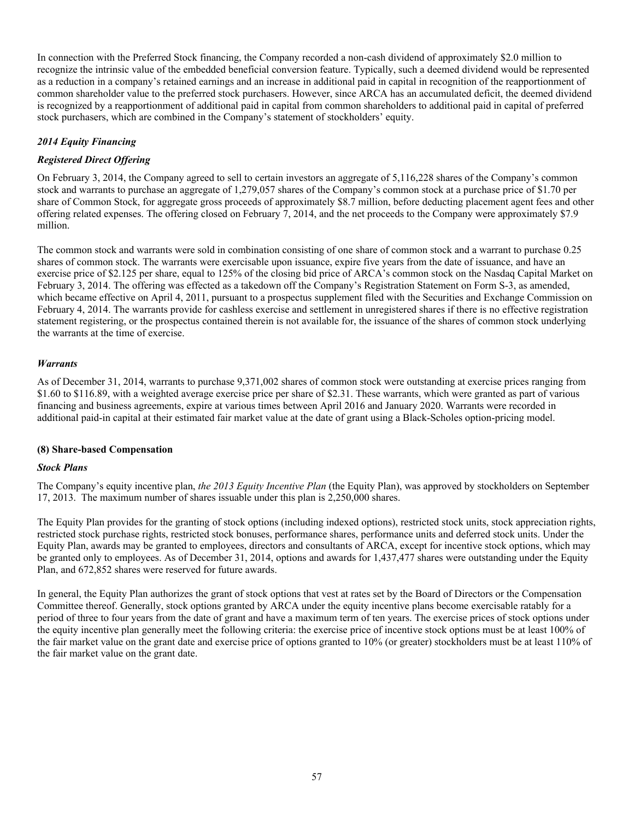In connection with the Preferred Stock financing, the Company recorded a non-cash dividend of approximately \$2.0 million to recognize the intrinsic value of the embedded beneficial conversion feature. Typically, such a deemed dividend would be represented as a reduction in a company's retained earnings and an increase in additional paid in capital in recognition of the reapportionment of common shareholder value to the preferred stock purchasers. However, since ARCA has an accumulated deficit, the deemed dividend is recognized by a reapportionment of additional paid in capital from common shareholders to additional paid in capital of preferred stock purchasers, which are combined in the Company's statement of stockholders' equity.

# *2014 Equity Financing*

# *Registered Direct Offering*

On February 3, 2014, the Company agreed to sell to certain investors an aggregate of 5,116,228 shares of the Company's common stock and warrants to purchase an aggregate of 1,279,057 shares of the Company's common stock at a purchase price of \$1.70 per share of Common Stock, for aggregate gross proceeds of approximately \$8.7 million, before deducting placement agent fees and other offering related expenses. The offering closed on February 7, 2014, and the net proceeds to the Company were approximately \$7.9 million.

The common stock and warrants were sold in combination consisting of one share of common stock and a warrant to purchase 0.25 shares of common stock. The warrants were exercisable upon issuance, expire five years from the date of issuance, and have an exercise price of \$2.125 per share, equal to 125% of the closing bid price of ARCA's common stock on the Nasdaq Capital Market on February 3, 2014. The offering was effected as a takedown off the Company's Registration Statement on Form S-3, as amended, which became effective on April 4, 2011, pursuant to a prospectus supplement filed with the Securities and Exchange Commission on February 4, 2014. The warrants provide for cashless exercise and settlement in unregistered shares if there is no effective registration statement registering, or the prospectus contained therein is not available for, the issuance of the shares of common stock underlying the warrants at the time of exercise.

# *Warrants*

As of December 31, 2014, warrants to purchase 9,371,002 shares of common stock were outstanding at exercise prices ranging from \$1.60 to \$116.89, with a weighted average exercise price per share of \$2.31. These warrants, which were granted as part of various financing and business agreements, expire at various times between April 2016 and January 2020. Warrants were recorded in additional paid-in capital at their estimated fair market value at the date of grant using a Black-Scholes option-pricing model.

## **(8) Share-based Compensation**

## *Stock Plans*

The Company's equity incentive plan, *the 2013 Equity Incentive Plan* (the Equity Plan), was approved by stockholders on September 17, 2013. The maximum number of shares issuable under this plan is 2,250,000 shares.

The Equity Plan provides for the granting of stock options (including indexed options), restricted stock units, stock appreciation rights, restricted stock purchase rights, restricted stock bonuses, performance shares, performance units and deferred stock units. Under the Equity Plan, awards may be granted to employees, directors and consultants of ARCA, except for incentive stock options, which may be granted only to employees. As of December 31, 2014, options and awards for 1,437,477 shares were outstanding under the Equity Plan, and 672,852 shares were reserved for future awards.

In general, the Equity Plan authorizes the grant of stock options that vest at rates set by the Board of Directors or the Compensation Committee thereof. Generally, stock options granted by ARCA under the equity incentive plans become exercisable ratably for a period of three to four years from the date of grant and have a maximum term of ten years. The exercise prices of stock options under the equity incentive plan generally meet the following criteria: the exercise price of incentive stock options must be at least 100% of the fair market value on the grant date and exercise price of options granted to 10% (or greater) stockholders must be at least 110% of the fair market value on the grant date.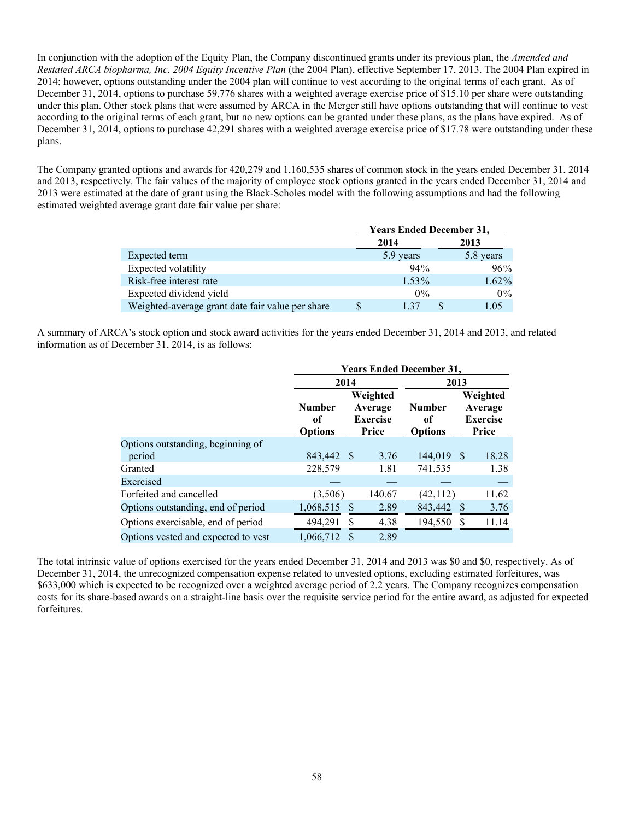In conjunction with the adoption of the Equity Plan, the Company discontinued grants under its previous plan, the *Amended and Restated ARCA biopharma, Inc. 2004 Equity Incentive Plan* (the 2004 Plan), effective September 17, 2013. The 2004 Plan expired in 2014; however, options outstanding under the 2004 plan will continue to vest according to the original terms of each grant. As of December 31, 2014, options to purchase 59,776 shares with a weighted average exercise price of \$15.10 per share were outstanding under this plan. Other stock plans that were assumed by ARCA in the Merger still have options outstanding that will continue to vest according to the original terms of each grant, but no new options can be granted under these plans, as the plans have expired. As of December 31, 2014, options to purchase 42,291 shares with a weighted average exercise price of \$17.78 were outstanding under these plans.

The Company granted options and awards for 420,279 and 1,160,535 shares of common stock in the years ended December 31, 2014 and 2013, respectively. The fair values of the majority of employee stock options granted in the years ended December 31, 2014 and 2013 were estimated at the date of grant using the Black-Scholes model with the following assumptions and had the following estimated weighted average grant date fair value per share:

|                                                  | <b>Years Ended December 31,</b> |  |       |  |  |
|--------------------------------------------------|---------------------------------|--|-------|--|--|
|                                                  | 2014                            |  | 2013  |  |  |
| Expected term                                    | 5.8 years<br>5.9 years          |  |       |  |  |
| Expected volatility                              | 94%                             |  | 96%   |  |  |
| Risk-free interest rate                          | $1.53\%$                        |  | 1.62% |  |  |
| Expected dividend yield                          | $0\%$                           |  | 0%    |  |  |
| Weighted-average grant date fair value per share | 1 37                            |  | 1.05  |  |  |

A summary of ARCA's stock option and stock award activities for the years ended December 31, 2014 and 2013, and related information as of December 31, 2014, is as follows:

|                                     | <b>Years Ended December 31,</b>       |               |                                                 |                                       |    |                                                 |  |
|-------------------------------------|---------------------------------------|---------------|-------------------------------------------------|---------------------------------------|----|-------------------------------------------------|--|
|                                     | 2014                                  |               |                                                 | 2013                                  |    |                                                 |  |
|                                     | <b>Number</b><br>оf<br><b>Options</b> |               | Weighted<br>Average<br><b>Exercise</b><br>Price | <b>Number</b><br>оf<br><b>Options</b> |    | Weighted<br>Average<br><b>Exercise</b><br>Price |  |
| Options outstanding, beginning of   |                                       |               |                                                 |                                       |    |                                                 |  |
| period                              | 843,442 \$                            |               | 3.76                                            | 144,019                               | -S | 18.28                                           |  |
| Granted                             | 228,579                               |               | 1.81                                            | 741,535                               |    | 1.38                                            |  |
| Exercised                           |                                       |               |                                                 |                                       |    |                                                 |  |
| Forfeited and cancelled             | (3,506)                               |               | 140.67                                          | (42, 112)                             |    | 11.62                                           |  |
| Options outstanding, end of period  | 1,068,515                             | S             | 2.89                                            | 843,442                               | S  | 3.76                                            |  |
| Options exercisable, end of period  | 494,291                               | S             | 4.38                                            | 194,550                               | S  | 11.14                                           |  |
| Options vested and expected to vest | 1,066,712                             | <sup>\$</sup> | 2.89                                            |                                       |    |                                                 |  |

The total intrinsic value of options exercised for the years ended December 31, 2014 and 2013 was \$0 and \$0, respectively. As of December 31, 2014, the unrecognized compensation expense related to unvested options, excluding estimated forfeitures, was \$633,000 which is expected to be recognized over a weighted average period of 2.2 years. The Company recognizes compensation costs for its share-based awards on a straight-line basis over the requisite service period for the entire award, as adjusted for expected forfeitures.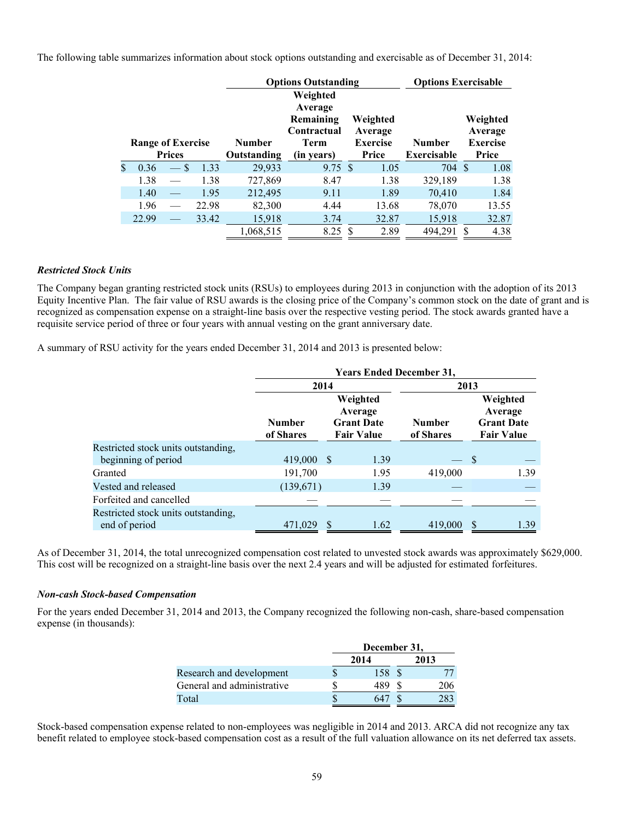The following table summarizes information about stock options outstanding and exercisable as of December 31, 2014:

|               |                          |               |       |               | <b>Options Exercisable</b><br><b>Options Outstanding</b>       |    |                                        |                    |    |                                        |
|---------------|--------------------------|---------------|-------|---------------|----------------------------------------------------------------|----|----------------------------------------|--------------------|----|----------------------------------------|
|               | <b>Range of Exercise</b> |               |       | <b>Number</b> | Weighted<br>Average<br>Remaining<br>Contractual<br><b>Term</b> |    | Weighted<br>Average<br><b>Exercise</b> | <b>Number</b>      |    | Weighted<br>Average<br><b>Exercise</b> |
|               |                          | <b>Prices</b> |       | Outstanding   | (in years)                                                     |    | Price                                  | <b>Exercisable</b> |    | Price                                  |
| $\mathbf{\$}$ | 0.36                     | <sup>\$</sup> | 1.33  | 29,933        | $9.75 \text{ }$ \$                                             |    | 1.05                                   | 704 \$             |    | 1.08                                   |
|               | 1.38                     |               | 1.38  | 727,869       | 8.47                                                           |    | 1.38                                   | 329,189            |    | 1.38                                   |
|               | 1.40                     |               | 1.95  | 212,495       | 9.11                                                           |    | 1.89                                   | 70,410             |    | 1.84                                   |
|               | 1.96                     |               | 22.98 | 82,300        | 4.44                                                           |    | 13.68                                  | 78,070             |    | 13.55                                  |
|               | 22.99                    |               | 33.42 | 15,918        | 3.74                                                           |    | 32.87                                  | 15,918             |    | 32.87                                  |
|               |                          |               |       | 1,068,515     | 8.25                                                           | -S | 2.89                                   | 494,291            | \$ | 4.38                                   |

#### *Restricted Stock Units*

The Company began granting restricted stock units (RSUs) to employees during 2013 in conjunction with the adoption of its 2013 Equity Incentive Plan. The fair value of RSU awards is the closing price of the Company's common stock on the date of grant and is recognized as compensation expense on a straight-line basis over the respective vesting period. The stock awards granted have a requisite service period of three or four years with annual vesting on the grant anniversary date.

A summary of RSU activity for the years ended December 31, 2014 and 2013 is presented below:

|                                                      | <b>Years Ended December 31,</b> |                                                               |                            |                                                               |  |  |  |  |
|------------------------------------------------------|---------------------------------|---------------------------------------------------------------|----------------------------|---------------------------------------------------------------|--|--|--|--|
|                                                      | 2014                            |                                                               |                            | 2013                                                          |  |  |  |  |
|                                                      | <b>Number</b><br>of Shares      | Weighted<br>Average<br><b>Grant Date</b><br><b>Fair Value</b> | <b>Number</b><br>of Shares | Weighted<br>Average<br><b>Grant Date</b><br><b>Fair Value</b> |  |  |  |  |
| Restricted stock units outstanding,                  |                                 |                                                               |                            |                                                               |  |  |  |  |
| beginning of period                                  | 419,000                         | - \$<br>1.39                                                  |                            | S                                                             |  |  |  |  |
| Granted                                              | 191,700                         | 1.95                                                          | 419,000                    | 1.39                                                          |  |  |  |  |
| Vested and released                                  | (139,671)                       | 1.39                                                          |                            |                                                               |  |  |  |  |
| Forfeited and cancelled                              |                                 |                                                               |                            |                                                               |  |  |  |  |
| Restricted stock units outstanding,<br>end of period | 471,029                         | 1.62                                                          | 419,000                    | \$<br>1.39                                                    |  |  |  |  |

As of December 31, 2014, the total unrecognized compensation cost related to unvested stock awards was approximately \$629,000. This cost will be recognized on a straight-line basis over the next 2.4 years and will be adjusted for estimated forfeitures.

#### *Non-cash Stock-based Compensation*

For the years ended December 31, 2014 and 2013, the Company recognized the following non-cash, share-based compensation expense (in thousands):

|                            | December 31, |      |  |      |  |
|----------------------------|--------------|------|--|------|--|
|                            |              | 2014 |  | 2013 |  |
| Research and development   |              | 158  |  |      |  |
| General and administrative |              | 489  |  | 206  |  |
| Total                      |              | 64   |  |      |  |

Stock-based compensation expense related to non-employees was negligible in 2014 and 2013. ARCA did not recognize any tax benefit related to employee stock-based compensation cost as a result of the full valuation allowance on its net deferred tax assets.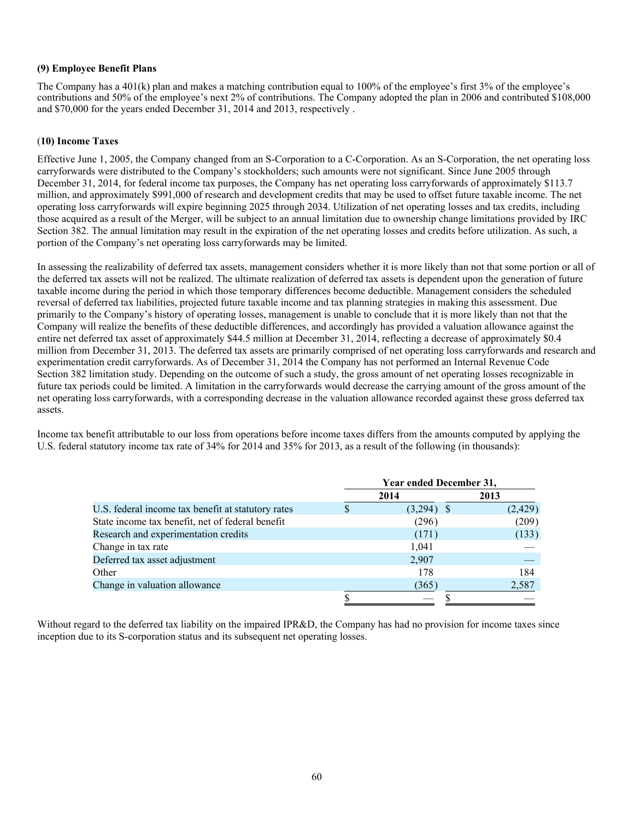# **(9) Employee Benefit Plans**

The Company has a 401(k) plan and makes a matching contribution equal to 100% of the employee's first 3% of the employee's contributions and 50% of the employee's next 2% of contributions. The Company adopted the plan in 2006 and contributed \$108,000 and \$70,000 for the years ended December 31, 2014 and 2013, respectively .

# (**10) Income Taxes**

Effective June 1, 2005, the Company changed from an S-Corporation to a C-Corporation. As an S-Corporation, the net operating loss carryforwards were distributed to the Company's stockholders; such amounts were not significant. Since June 2005 through December 31, 2014, for federal income tax purposes, the Company has net operating loss carryforwards of approximately \$113.7 million, and approximately \$991,000 of research and development credits that may be used to offset future taxable income. The net operating loss carryforwards will expire beginning 2025 through 2034. Utilization of net operating losses and tax credits, including those acquired as a result of the Merger, will be subject to an annual limitation due to ownership change limitations provided by IRC Section 382. The annual limitation may result in the expiration of the net operating losses and credits before utilization. As such, a portion of the Company's net operating loss carryforwards may be limited.

In assessing the realizability of deferred tax assets, management considers whether it is more likely than not that some portion or all of the deferred tax assets will not be realized. The ultimate realization of deferred tax assets is dependent upon the generation of future taxable income during the period in which those temporary differences become deductible. Management considers the scheduled reversal of deferred tax liabilities, projected future taxable income and tax planning strategies in making this assessment. Due primarily to the Company's history of operating losses, management is unable to conclude that it is more likely than not that the Company will realize the benefits of these deductible differences, and accordingly has provided a valuation allowance against the entire net deferred tax asset of approximately \$44.5 million at December 31, 2014, reflecting a decrease of approximately \$0.4 million from December 31, 2013. The deferred tax assets are primarily comprised of net operating loss carryforwards and research and experimentation credit carryforwards. As of December 31, 2014 the Company has not performed an Internal Revenue Code Section 382 limitation study. Depending on the outcome of such a study, the gross amount of net operating losses recognizable in future tax periods could be limited. A limitation in the carryforwards would decrease the carrying amount of the gross amount of the net operating loss carryforwards, with a corresponding decrease in the valuation allowance recorded against these gross deferred tax assets.

Income tax benefit attributable to our loss from operations before income taxes differs from the amounts computed by applying the U.S. federal statutory income tax rate of 34% for 2014 and 35% for 2013, as a result of the following (in thousands):

|                                                    | Year ended December 31, |              |         |  |  |  |
|----------------------------------------------------|-------------------------|--------------|---------|--|--|--|
|                                                    |                         | 2014         | 2013    |  |  |  |
| U.S. federal income tax benefit at statutory rates |                         | $(3,294)$ \$ | (2,429) |  |  |  |
| State income tax benefit, net of federal benefit   |                         | (296)        | (209)   |  |  |  |
| Research and experimentation credits               |                         | (171)        | (133)   |  |  |  |
| Change in tax rate                                 |                         | 1,041        |         |  |  |  |
| Deferred tax asset adjustment                      |                         | 2,907        |         |  |  |  |
| Other                                              |                         | 178          | 184     |  |  |  |
| Change in valuation allowance                      |                         | (365)        | 2,587   |  |  |  |
|                                                    |                         |              |         |  |  |  |

Without regard to the deferred tax liability on the impaired IPR&D, the Company has had no provision for income taxes since inception due to its S-corporation status and its subsequent net operating losses.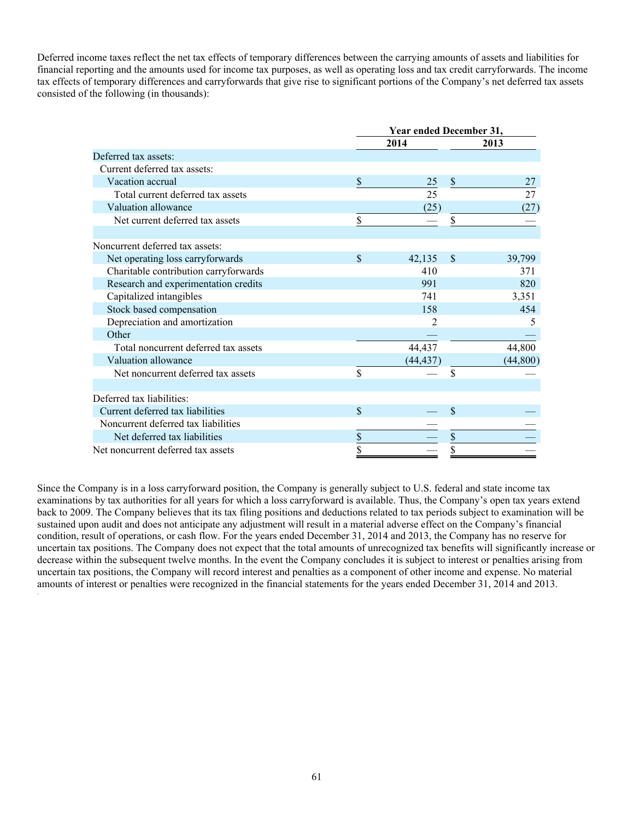Deferred income taxes reflect the net tax effects of temporary differences between the carrying amounts of assets and liabilities for financial reporting and the amounts used for income tax purposes, as well as operating loss and tax credit carryforwards. The income tax effects of temporary differences and carryforwards that give rise to significant portions of the Company's net deferred tax assets consisted of the following (in thousands):

|                                       | Year ended December 31, |           |                          |           |  |  |  |  |
|---------------------------------------|-------------------------|-----------|--------------------------|-----------|--|--|--|--|
|                                       |                         | 2014      |                          | 2013      |  |  |  |  |
| Deferred tax assets:                  |                         |           |                          |           |  |  |  |  |
| Current deferred tax assets:          |                         |           |                          |           |  |  |  |  |
| Vacation accrual                      | $\mathbf{\hat{S}}$      | 25        | $\mathbb{S}$             | 27        |  |  |  |  |
| Total current deferred tax assets     |                         | 25        |                          | 27        |  |  |  |  |
| Valuation allowance                   |                         | (25)      |                          | (27)      |  |  |  |  |
| Net current deferred tax assets       | \$                      |           | \$                       |           |  |  |  |  |
| Noncurrent deferred tax assets:       |                         |           |                          |           |  |  |  |  |
|                                       |                         |           |                          |           |  |  |  |  |
| Net operating loss carryforwards      | $\mathcal{S}$           | 42,135    | \$                       | 39,799    |  |  |  |  |
| Charitable contribution carryforwards |                         | 410       |                          | 371       |  |  |  |  |
| Research and experimentation credits  |                         | 991       |                          | 820       |  |  |  |  |
| Capitalized intangibles               |                         | 741       |                          | 3,351     |  |  |  |  |
| Stock based compensation              |                         | 158       |                          | 454       |  |  |  |  |
| Depreciation and amortization         |                         | 2         |                          | 5         |  |  |  |  |
| Other                                 |                         |           |                          |           |  |  |  |  |
| Total noncurrent deferred tax assets  |                         | 44,437    |                          | 44,800    |  |  |  |  |
| Valuation allowance                   |                         | (44, 437) |                          | (44, 800) |  |  |  |  |
| Net noncurrent deferred tax assets    | \$                      |           | \$                       |           |  |  |  |  |
| Deferred tax liabilities:             |                         |           |                          |           |  |  |  |  |
| Current deferred tax liabilities      | $\mathbf{\hat{S}}$      |           | \$                       |           |  |  |  |  |
|                                       |                         |           |                          |           |  |  |  |  |
| Noncurrent deferred tax liabilities   |                         |           |                          |           |  |  |  |  |
| Net deferred tax liabilities          | \$                      |           | $\overline{\mathcal{L}}$ |           |  |  |  |  |
| Net noncurrent deferred tax assets    | \$                      |           | $\overline{s}$           |           |  |  |  |  |

Since the Company is in a loss carryforward position, the Company is generally subject to U.S. federal and state income tax examinations by tax authorities for all years for which a loss carryforward is available. Thus, the Company's open tax years extend back to 2009. The Company believes that its tax filing positions and deductions related to tax periods subject to examination will be sustained upon audit and does not anticipate any adjustment will result in a material adverse effect on the Company's financial condition, result of operations, or cash flow. For the years ended December 31, 2014 and 2013, the Company has no reserve for uncertain tax positions. The Company does not expect that the total amounts of unrecognized tax benefits will significantly increase or decrease within the subsequent twelve months. In the event the Company concludes it is subject to interest or penalties arising from uncertain tax positions, the Company will record interest and penalties as a component of other income and expense. No material amounts of interest or penalties were recognized in the financial statements for the years ended December 31, 2014 and 2013.

.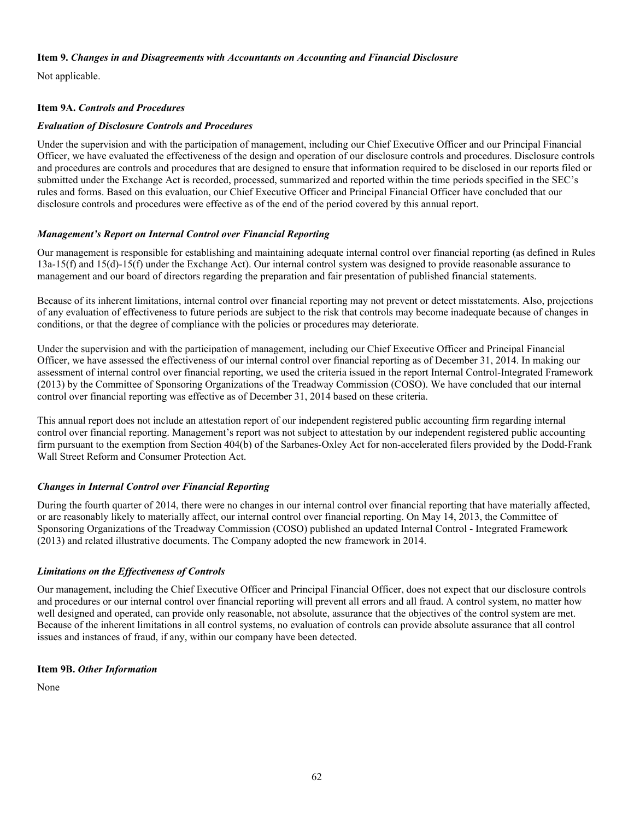#### **Item 9.** *Changes in and Disagreements with Accountants on Accounting and Financial Disclosure*

Not applicable.

# **Item 9A.** *Controls and Procedures*

# *Evaluation of Disclosure Controls and Procedures*

Under the supervision and with the participation of management, including our Chief Executive Officer and our Principal Financial Officer, we have evaluated the effectiveness of the design and operation of our disclosure controls and procedures. Disclosure controls and procedures are controls and procedures that are designed to ensure that information required to be disclosed in our reports filed or submitted under the Exchange Act is recorded, processed, summarized and reported within the time periods specified in the SEC's rules and forms. Based on this evaluation, our Chief Executive Officer and Principal Financial Officer have concluded that our disclosure controls and procedures were effective as of the end of the period covered by this annual report.

# *Management's Report on Internal Control over Financial Reporting*

Our management is responsible for establishing and maintaining adequate internal control over financial reporting (as defined in Rules 13a-15(f) and 15(d)-15(f) under the Exchange Act). Our internal control system was designed to provide reasonable assurance to management and our board of directors regarding the preparation and fair presentation of published financial statements.

Because of its inherent limitations, internal control over financial reporting may not prevent or detect misstatements. Also, projections of any evaluation of effectiveness to future periods are subject to the risk that controls may become inadequate because of changes in conditions, or that the degree of compliance with the policies or procedures may deteriorate.

Under the supervision and with the participation of management, including our Chief Executive Officer and Principal Financial Officer, we have assessed the effectiveness of our internal control over financial reporting as of December 31, 2014. In making our assessment of internal control over financial reporting, we used the criteria issued in the report Internal Control-Integrated Framework (2013) by the Committee of Sponsoring Organizations of the Treadway Commission (COSO). We have concluded that our internal control over financial reporting was effective as of December 31, 2014 based on these criteria.

This annual report does not include an attestation report of our independent registered public accounting firm regarding internal control over financial reporting. Management's report was not subject to attestation by our independent registered public accounting firm pursuant to the exemption from Section 404(b) of the Sarbanes-Oxley Act for non-accelerated filers provided by the Dodd-Frank Wall Street Reform and Consumer Protection Act.

# *Changes in Internal Control over Financial Reporting*

During the fourth quarter of 2014, there were no changes in our internal control over financial reporting that have materially affected, or are reasonably likely to materially affect, our internal control over financial reporting. On May 14, 2013, the Committee of Sponsoring Organizations of the Treadway Commission (COSO) published an updated Internal Control - Integrated Framework (2013) and related illustrative documents. The Company adopted the new framework in 2014.

## *Limitations on the Effectiveness of Controls*

Our management, including the Chief Executive Officer and Principal Financial Officer, does not expect that our disclosure controls and procedures or our internal control over financial reporting will prevent all errors and all fraud. A control system, no matter how well designed and operated, can provide only reasonable, not absolute, assurance that the objectives of the control system are met. Because of the inherent limitations in all control systems, no evaluation of controls can provide absolute assurance that all control issues and instances of fraud, if any, within our company have been detected.

# **Item 9B.** *Other Information*

None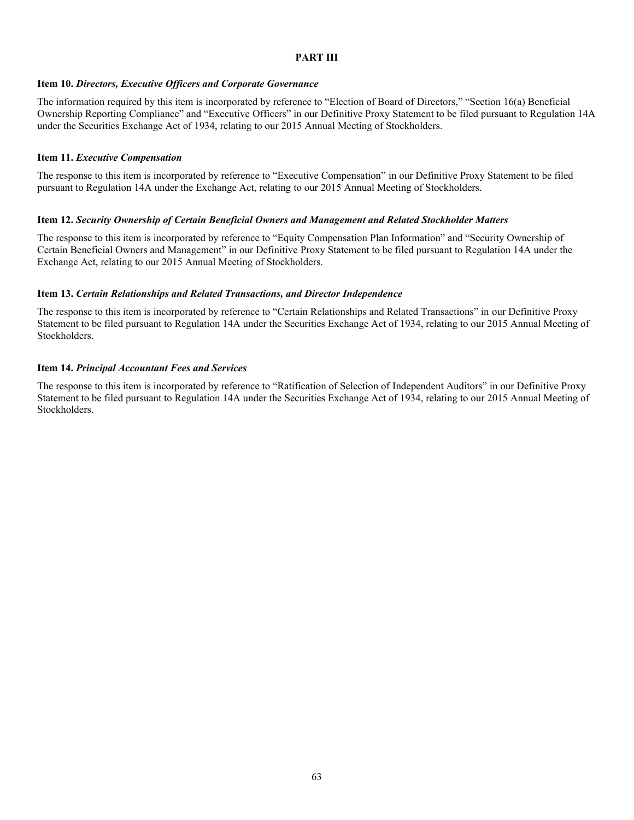#### **PART III**

#### **Item 10.** *Directors, Executive Officers and Corporate Governance*

The information required by this item is incorporated by reference to "Election of Board of Directors," "Section 16(a) Beneficial Ownership Reporting Compliance" and "Executive Officers" in our Definitive Proxy Statement to be filed pursuant to Regulation 14A under the Securities Exchange Act of 1934, relating to our 2015 Annual Meeting of Stockholders.

#### **Item 11.** *Executive Compensation*

The response to this item is incorporated by reference to "Executive Compensation" in our Definitive Proxy Statement to be filed pursuant to Regulation 14A under the Exchange Act, relating to our 2015 Annual Meeting of Stockholders.

#### **Item 12.** *Security Ownership of Certain Beneficial Owners and Management and Related Stockholder Matters*

The response to this item is incorporated by reference to "Equity Compensation Plan Information" and "Security Ownership of Certain Beneficial Owners and Management" in our Definitive Proxy Statement to be filed pursuant to Regulation 14A under the Exchange Act, relating to our 2015 Annual Meeting of Stockholders.

#### **Item 13.** *Certain Relationships and Related Transactions, and Director Independence*

The response to this item is incorporated by reference to "Certain Relationships and Related Transactions" in our Definitive Proxy Statement to be filed pursuant to Regulation 14A under the Securities Exchange Act of 1934, relating to our 2015 Annual Meeting of Stockholders.

#### **Item 14.** *Principal Accountant Fees and Services*

The response to this item is incorporated by reference to "Ratification of Selection of Independent Auditors" in our Definitive Proxy Statement to be filed pursuant to Regulation 14A under the Securities Exchange Act of 1934, relating to our 2015 Annual Meeting of Stockholders.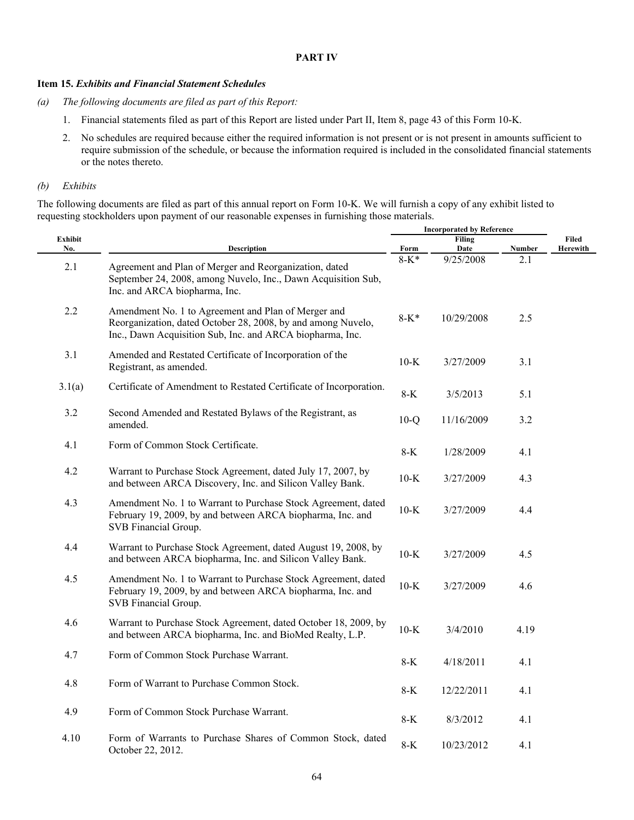#### **PART IV**

## **Item 15.** *Exhibits and Financial Statement Schedules*

- *(a) The following documents are filed as part of this Report:*
	- 1. Financial statements filed as part of this Report are listed under Part II, Item 8, page 43 of this Form 10-K.
	- 2. No schedules are required because either the required information is not present or is not present in amounts sufficient to require submission of the schedule, or because the information required is included in the consolidated financial statements or the notes thereto.

#### *(b) Exhibits*

The following documents are filed as part of this annual report on Form 10-K. We will furnish a copy of any exhibit listed to requesting stockholders upon payment of our reasonable expenses in furnishing those materials.

|                |                                                                                                                                                                                  | <b>Incorporated by Reference</b> |                       |        |                   |
|----------------|----------------------------------------------------------------------------------------------------------------------------------------------------------------------------------|----------------------------------|-----------------------|--------|-------------------|
| Exhibit<br>No. | Description                                                                                                                                                                      | Form                             | <b>Filing</b><br>Date | Number | Filed<br>Herewith |
| 2.1            | Agreement and Plan of Merger and Reorganization, dated<br>September 24, 2008, among Nuvelo, Inc., Dawn Acquisition Sub,<br>Inc. and ARCA biopharma, Inc.                         | $8-K*$                           | 9/25/2008             | 2.1    |                   |
| 2.2            | Amendment No. 1 to Agreement and Plan of Merger and<br>Reorganization, dated October 28, 2008, by and among Nuvelo,<br>Inc., Dawn Acquisition Sub, Inc. and ARCA biopharma, Inc. | $8 - K^*$                        | 10/29/2008            | 2.5    |                   |
| 3.1            | Amended and Restated Certificate of Incorporation of the<br>Registrant, as amended.                                                                                              | $10-K$                           | 3/27/2009             | 3.1    |                   |
| 3.1(a)         | Certificate of Amendment to Restated Certificate of Incorporation.                                                                                                               | $8-K$                            | 3/5/2013              | 5.1    |                   |
| 3.2            | Second Amended and Restated Bylaws of the Registrant, as<br>amended.                                                                                                             | $10-Q$                           | 11/16/2009            | 3.2    |                   |
| 4.1            | Form of Common Stock Certificate.                                                                                                                                                | $8-K$                            | 1/28/2009             | 4.1    |                   |
| 4.2            | Warrant to Purchase Stock Agreement, dated July 17, 2007, by<br>and between ARCA Discovery, Inc. and Silicon Valley Bank.                                                        | $10-K$                           | 3/27/2009             | 4.3    |                   |
| 4.3            | Amendment No. 1 to Warrant to Purchase Stock Agreement, dated<br>February 19, 2009, by and between ARCA biopharma, Inc. and<br>SVB Financial Group.                              | $10-K$                           | 3/27/2009             | 4.4    |                   |
| 4.4            | Warrant to Purchase Stock Agreement, dated August 19, 2008, by<br>and between ARCA biopharma, Inc. and Silicon Valley Bank.                                                      | $10-K$                           | 3/27/2009             | 4.5    |                   |
| 4.5            | Amendment No. 1 to Warrant to Purchase Stock Agreement, dated<br>February 19, 2009, by and between ARCA biopharma, Inc. and<br>SVB Financial Group.                              | $10-K$                           | 3/27/2009             | 4.6    |                   |
| 4.6            | Warrant to Purchase Stock Agreement, dated October 18, 2009, by<br>and between ARCA biopharma, Inc. and BioMed Realty, L.P.                                                      | $10-K$                           | 3/4/2010              | 4.19   |                   |
| 4.7            | Form of Common Stock Purchase Warrant.                                                                                                                                           | $8-K$                            | 4/18/2011             | 4.1    |                   |
| 4.8            | Form of Warrant to Purchase Common Stock.                                                                                                                                        | $8-K$                            | 12/22/2011            | 4.1    |                   |
| 4.9            | Form of Common Stock Purchase Warrant.                                                                                                                                           | $8-K$                            | 8/3/2012              | 4.1    |                   |
| 4.10           | Form of Warrants to Purchase Shares of Common Stock, dated<br>October 22, 2012.                                                                                                  | $8-K$                            | 10/23/2012            | 4.1    |                   |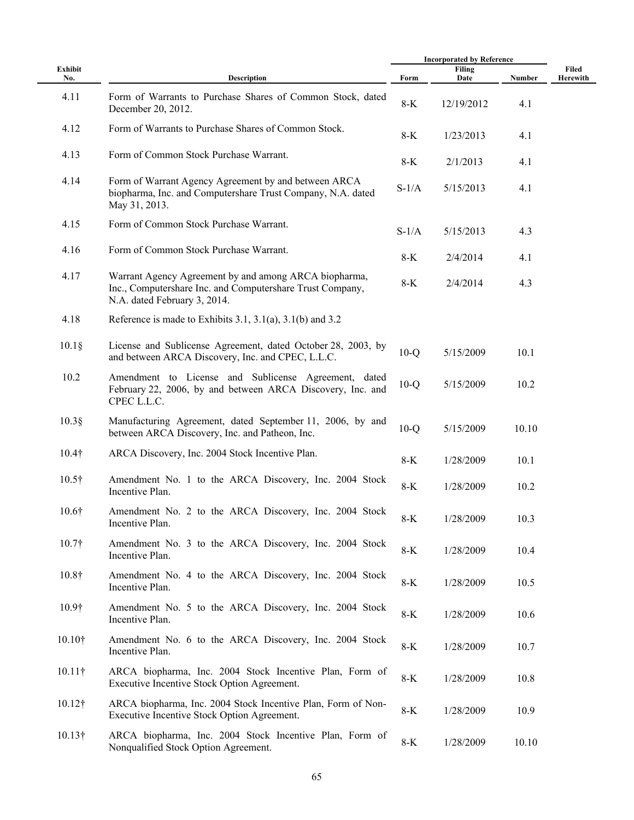|                |                                                                                                                                                    |         | <b>Incorporated by Reference</b> |        |                   |  |
|----------------|----------------------------------------------------------------------------------------------------------------------------------------------------|---------|----------------------------------|--------|-------------------|--|
| Exhibit<br>No. | <b>Description</b>                                                                                                                                 | Form    | Filing<br>Date                   | Number | Filed<br>Herewith |  |
| 4.11           | Form of Warrants to Purchase Shares of Common Stock, dated<br>December 20, 2012.                                                                   | $8-K$   | 12/19/2012                       | 4.1    |                   |  |
| 4.12           | Form of Warrants to Purchase Shares of Common Stock.                                                                                               | $8-K$   | 1/23/2013                        | 4.1    |                   |  |
| 4.13           | Form of Common Stock Purchase Warrant.                                                                                                             | 8-K     | 2/1/2013                         | 4.1    |                   |  |
| 4.14           | Form of Warrant Agency Agreement by and between ARCA<br>biopharma, Inc. and Computershare Trust Company, N.A. dated<br>May 31, 2013.               | $S-1/A$ | 5/15/2013                        | 4.1    |                   |  |
| 4.15           | Form of Common Stock Purchase Warrant.                                                                                                             | $S-1/A$ | 5/15/2013                        | 4.3    |                   |  |
| 4.16           | Form of Common Stock Purchase Warrant.                                                                                                             | $8-K$   | 2/4/2014                         | 4.1    |                   |  |
| 4.17           | Warrant Agency Agreement by and among ARCA biopharma,<br>Inc., Computershare Inc. and Computershare Trust Company,<br>N.A. dated February 3, 2014. | $8-K$   | 2/4/2014                         | 4.3    |                   |  |
| 4.18           | Reference is made to Exhibits 3.1, 3.1(a), 3.1(b) and 3.2                                                                                          |         |                                  |        |                   |  |
| $10.1\S$       | License and Sublicense Agreement, dated October 28, 2003, by<br>and between ARCA Discovery, Inc. and CPEC, L.L.C.                                  | $10-Q$  | 5/15/2009                        | 10.1   |                   |  |
| 10.2           | Amendment to License and Sublicense Agreement, dated<br>February 22, 2006, by and between ARCA Discovery, Inc. and<br>CPEC L.L.C.                  | $10-Q$  | 5/15/2009                        | 10.2   |                   |  |
| $10.3$ §       | Manufacturing Agreement, dated September 11, 2006, by and<br>between ARCA Discovery, Inc. and Patheon, Inc.                                        | $10-Q$  | 5/15/2009                        | 10.10  |                   |  |
| $10.4\dagger$  | ARCA Discovery, Inc. 2004 Stock Incentive Plan.                                                                                                    | $8-K$   | 1/28/2009                        | 10.1   |                   |  |
| $10.5\dagger$  | Amendment No. 1 to the ARCA Discovery, Inc. 2004 Stock<br>Incentive Plan.                                                                          | $8-K$   | 1/28/2009                        | 10.2   |                   |  |
| $10.6\dagger$  | Amendment No. 2 to the ARCA Discovery, Inc. 2004 Stock<br>Incentive Plan.                                                                          | $8-K$   | 1/28/2009                        | 10.3   |                   |  |
| 10.7†          | Amendment No. 3 to the ARCA Discovery, Inc. 2004 Stock<br>Incentive Plan.                                                                          | $8-K$   | 1/28/2009                        | 10.4   |                   |  |
| 10.8†          | Amendment No. 4 to the ARCA Discovery, Inc. 2004 Stock<br>Incentive Plan.                                                                          | $8-K$   | 1/28/2009                        | 10.5   |                   |  |
| 10.9†          | Amendment No. 5 to the ARCA Discovery, Inc. 2004 Stock<br>Incentive Plan.                                                                          | $8-K$   | 1/28/2009                        | 10.6   |                   |  |
| $10.10\dagger$ | Amendment No. 6 to the ARCA Discovery, Inc. 2004 Stock<br>Incentive Plan.                                                                          | $8-K$   | 1/28/2009                        | 10.7   |                   |  |
| $10.11\dagger$ | ARCA biopharma, Inc. 2004 Stock Incentive Plan, Form of<br>Executive Incentive Stock Option Agreement.                                             | $8-K$   | 1/28/2009                        | 10.8   |                   |  |
| $10.12\dagger$ | ARCA biopharma, Inc. 2004 Stock Incentive Plan, Form of Non-<br>Executive Incentive Stock Option Agreement.                                        | 8-K     | 1/28/2009                        | 10.9   |                   |  |
| $10.13\dagger$ | ARCA biopharma, Inc. 2004 Stock Incentive Plan, Form of<br>Nonqualified Stock Option Agreement.                                                    | $8-K$   | 1/28/2009                        | 10.10  |                   |  |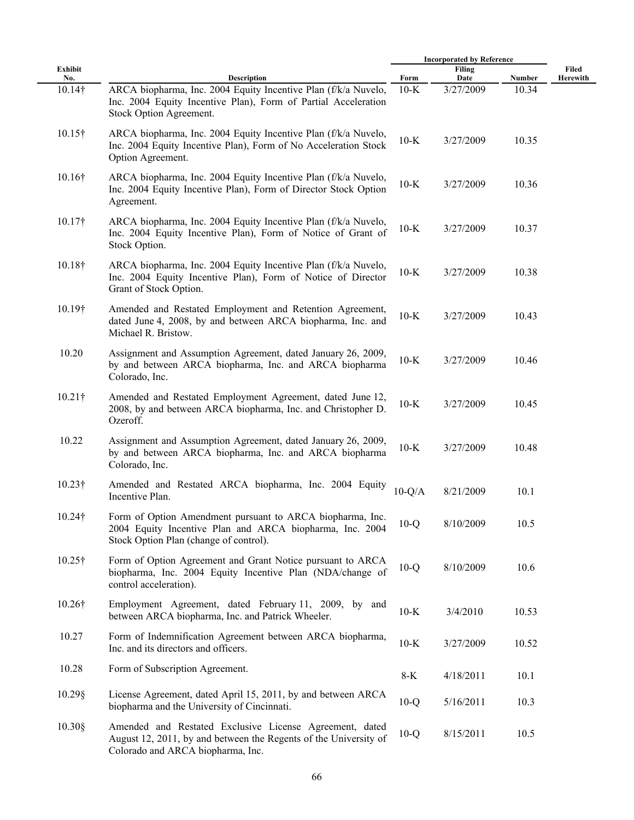|                |                                                                                                                                                                  |          | <b>Incorporated by Reference</b> |        |                   |  |
|----------------|------------------------------------------------------------------------------------------------------------------------------------------------------------------|----------|----------------------------------|--------|-------------------|--|
| Exhibit        | Description                                                                                                                                                      | Form     | <b>Filing</b>                    | Number | Filed<br>Herewith |  |
| No.<br>10.14†  | ARCA biopharma, Inc. 2004 Equity Incentive Plan (f/k/a Nuvelo,<br>Inc. 2004 Equity Incentive Plan), Form of Partial Acceleration<br>Stock Option Agreement.      | $10-K$   | Date<br>3/27/2009                | 10.34  |                   |  |
| $10.15\dagger$ | ARCA biopharma, Inc. 2004 Equity Incentive Plan (f/k/a Nuvelo,<br>Inc. 2004 Equity Incentive Plan), Form of No Acceleration Stock<br>Option Agreement.           | $10-K$   | 3/27/2009                        | 10.35  |                   |  |
| 10.16†         | ARCA biopharma, Inc. 2004 Equity Incentive Plan (f/k/a Nuvelo,<br>Inc. 2004 Equity Incentive Plan), Form of Director Stock Option<br>Agreement.                  | $10-K$   | 3/27/2009                        | 10.36  |                   |  |
| $10.17\dagger$ | ARCA biopharma, Inc. 2004 Equity Incentive Plan (f/k/a Nuvelo,<br>Inc. 2004 Equity Incentive Plan), Form of Notice of Grant of<br>Stock Option.                  | $10-K$   | 3/27/2009                        | 10.37  |                   |  |
| 10.18†         | ARCA biopharma, Inc. 2004 Equity Incentive Plan (f/k/a Nuvelo,<br>Inc. 2004 Equity Incentive Plan), Form of Notice of Director<br>Grant of Stock Option.         | $10-K$   | 3/27/2009                        | 10.38  |                   |  |
| 10.19†         | Amended and Restated Employment and Retention Agreement,<br>dated June 4, 2008, by and between ARCA biopharma, Inc. and<br>Michael R. Bristow.                   | $10-K$   | 3/27/2009                        | 10.43  |                   |  |
| 10.20          | Assignment and Assumption Agreement, dated January 26, 2009,<br>by and between ARCA biopharma, Inc. and ARCA biopharma<br>Colorado, Inc.                         | $10-K$   | 3/27/2009                        | 10.46  |                   |  |
| $10.21$ †      | Amended and Restated Employment Agreement, dated June 12,<br>2008, by and between ARCA biopharma, Inc. and Christopher D.<br>Ozeroff.                            | $10-K$   | 3/27/2009                        | 10.45  |                   |  |
| 10.22          | Assignment and Assumption Agreement, dated January 26, 2009,<br>by and between ARCA biopharma, Inc. and ARCA biopharma<br>Colorado, Inc.                         | $10-K$   | 3/27/2009                        | 10.48  |                   |  |
| $10.23\dagger$ | Amended and Restated ARCA biopharma, Inc. 2004 Equity<br>Incentive Plan.                                                                                         | $10-Q/A$ | 8/21/2009                        | 10.1   |                   |  |
| 10.24†         | Form of Option Amendment pursuant to ARCA biopharma, Inc.<br>2004 Equity Incentive Plan and ARCA biopharma, Inc. 2004<br>Stock Option Plan (change of control).  | $10-Q$   | 8/10/2009                        | 10.5   |                   |  |
| $10.25\dagger$ | Form of Option Agreement and Grant Notice pursuant to ARCA<br>biopharma, Inc. 2004 Equity Incentive Plan (NDA/change of<br>control acceleration).                | $10-Q$   | 8/10/2009                        | 10.6   |                   |  |
| 10.26†         | Employment Agreement, dated February 11, 2009, by and<br>between ARCA biopharma, Inc. and Patrick Wheeler.                                                       | $10-K$   | 3/4/2010                         | 10.53  |                   |  |
| 10.27          | Form of Indemnification Agreement between ARCA biopharma,<br>Inc. and its directors and officers.                                                                | $10-K$   | 3/27/2009                        | 10.52  |                   |  |
| 10.28          | Form of Subscription Agreement.                                                                                                                                  | 8-K      | 4/18/2011                        | 10.1   |                   |  |
| $10.29$ §      | License Agreement, dated April 15, 2011, by and between ARCA<br>biopharma and the University of Cincinnati.                                                      | $10-Q$   | 5/16/2011                        | 10.3   |                   |  |
| $10.30$ §      | Amended and Restated Exclusive License Agreement, dated<br>August 12, 2011, by and between the Regents of the University of<br>Colorado and ARCA biopharma, Inc. | $10-Q$   | 8/15/2011                        | 10.5   |                   |  |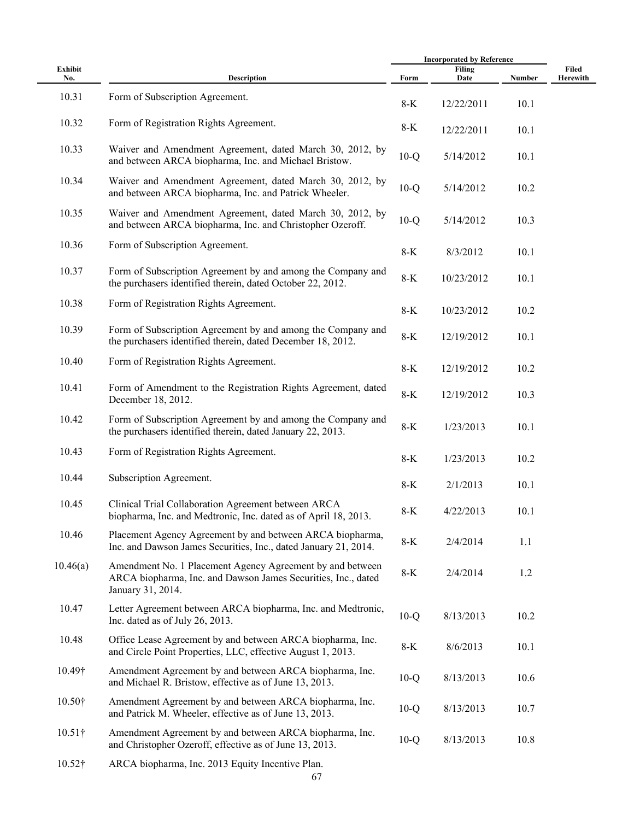|                |                                                                                                                                                 | <b>Incorporated by Reference</b> |                       |        |                   |
|----------------|-------------------------------------------------------------------------------------------------------------------------------------------------|----------------------------------|-----------------------|--------|-------------------|
| Exhibit<br>No. | Description                                                                                                                                     | Form                             | <b>Filing</b><br>Date | Number | Filed<br>Herewith |
| 10.31          | Form of Subscription Agreement.                                                                                                                 | $8-K$                            | 12/22/2011            | 10.1   |                   |
| 10.32          | Form of Registration Rights Agreement.                                                                                                          | 8-K                              | 12/22/2011            | 10.1   |                   |
| 10.33          | Waiver and Amendment Agreement, dated March 30, 2012, by<br>and between ARCA biopharma, Inc. and Michael Bristow.                               | $10-Q$                           | 5/14/2012             | 10.1   |                   |
| 10.34          | Waiver and Amendment Agreement, dated March 30, 2012, by<br>and between ARCA biopharma, Inc. and Patrick Wheeler.                               | $10-Q$                           | 5/14/2012             | 10.2   |                   |
| 10.35          | Waiver and Amendment Agreement, dated March 30, 2012, by<br>and between ARCA biopharma, Inc. and Christopher Ozeroff.                           | $10-Q$                           | 5/14/2012             | 10.3   |                   |
| 10.36          | Form of Subscription Agreement.                                                                                                                 | $8-K$                            | 8/3/2012              | 10.1   |                   |
| 10.37          | Form of Subscription Agreement by and among the Company and<br>the purchasers identified therein, dated October 22, 2012.                       | $8-K$                            | 10/23/2012            | 10.1   |                   |
| 10.38          | Form of Registration Rights Agreement.                                                                                                          | $8-K$                            | 10/23/2012            | 10.2   |                   |
| 10.39          | Form of Subscription Agreement by and among the Company and<br>the purchasers identified therein, dated December 18, 2012.                      | $8-K$                            | 12/19/2012            | 10.1   |                   |
| 10.40          | Form of Registration Rights Agreement.                                                                                                          | $8-K$                            | 12/19/2012            | 10.2   |                   |
| 10.41          | Form of Amendment to the Registration Rights Agreement, dated<br>December 18, 2012.                                                             | $8-K$                            | 12/19/2012            | 10.3   |                   |
| 10.42          | Form of Subscription Agreement by and among the Company and<br>the purchasers identified therein, dated January 22, 2013.                       | $8-K$                            | 1/23/2013             | 10.1   |                   |
| 10.43          | Form of Registration Rights Agreement.                                                                                                          | $8-K$                            | 1/23/2013             | 10.2   |                   |
| 10.44          | Subscription Agreement.                                                                                                                         | $8-K$                            | 2/1/2013              | 10.1   |                   |
| 10.45          | Clinical Trial Collaboration Agreement between ARCA<br>biopharma, Inc. and Medtronic, Inc. dated as of April 18, 2013.                          | $8-K$                            | 4/22/2013             | 10.1   |                   |
| 10.46          | Placement Agency Agreement by and between ARCA biopharma,<br>Inc. and Dawson James Securities, Inc., dated January 21, 2014.                    | $8-K$                            | 2/4/2014              | 1.1    |                   |
| 10.46(a)       | Amendment No. 1 Placement Agency Agreement by and between<br>ARCA biopharma, Inc. and Dawson James Securities, Inc., dated<br>January 31, 2014. | 8-K                              | 2/4/2014              | 1.2    |                   |
| 10.47          | Letter Agreement between ARCA biopharma, Inc. and Medtronic,<br>Inc. dated as of July 26, 2013.                                                 | $10-Q$                           | 8/13/2013             | 10.2   |                   |
| 10.48          | Office Lease Agreement by and between ARCA biopharma, Inc.<br>and Circle Point Properties, LLC, effective August 1, 2013.                       | $8-K$                            | 8/6/2013              | 10.1   |                   |
| 10.49†         | Amendment Agreement by and between ARCA biopharma, Inc.<br>and Michael R. Bristow, effective as of June 13, 2013.                               | $10-Q$                           | 8/13/2013             | 10.6   |                   |
| $10.50\dagger$ | Amendment Agreement by and between ARCA biopharma, Inc.<br>and Patrick M. Wheeler, effective as of June 13, 2013.                               | $10-Q$                           | 8/13/2013             | 10.7   |                   |
| $10.51\dagger$ | Amendment Agreement by and between ARCA biopharma, Inc.<br>and Christopher Ozeroff, effective as of June 13, 2013.                              | $10-Q$                           | 8/13/2013             | 10.8   |                   |
| $10.52 +$      | ADCA biopherme Ine. 2012 Equity Inconting Plan                                                                                                  |                                  |                       |        |                   |

10.52† ARCA biopharma, Inc. 2013 Equity Incentive Plan.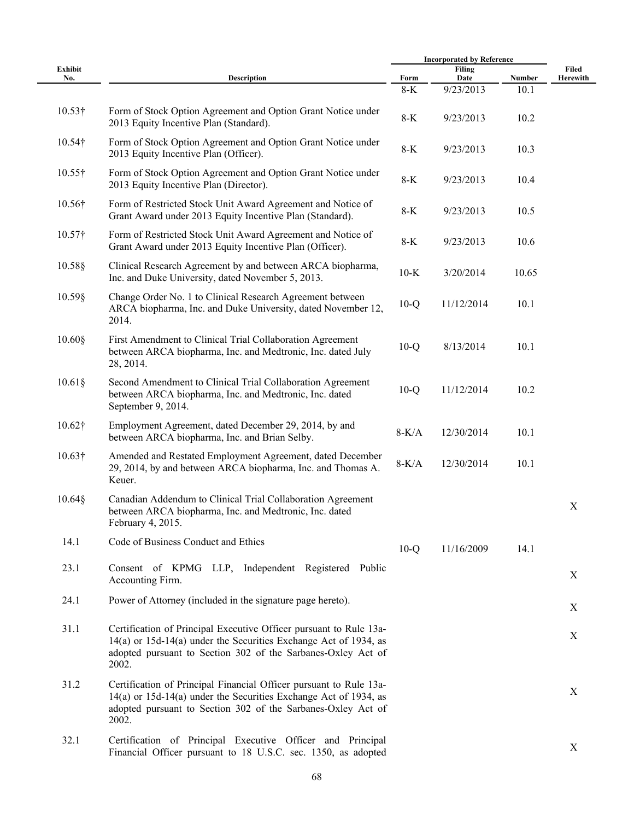|                |                                                                                                                                                                                                                 |               | <b>Incorporated by Reference</b> |                |             |  |
|----------------|-----------------------------------------------------------------------------------------------------------------------------------------------------------------------------------------------------------------|---------------|----------------------------------|----------------|-------------|--|
| Exhibit        |                                                                                                                                                                                                                 |               | Filing                           |                | Filed       |  |
| No.            | <b>Description</b>                                                                                                                                                                                              | Form<br>$8-K$ | Date<br>9/23/2013                | Number<br>10.1 | Herewith    |  |
| $10.53\dagger$ | Form of Stock Option Agreement and Option Grant Notice under<br>2013 Equity Incentive Plan (Standard).                                                                                                          | $8-K$         | 9/23/2013                        | 10.2           |             |  |
| $10.54\dagger$ | Form of Stock Option Agreement and Option Grant Notice under<br>2013 Equity Incentive Plan (Officer).                                                                                                           | $8-K$         | 9/23/2013                        | 10.3           |             |  |
| $10.55\dagger$ | Form of Stock Option Agreement and Option Grant Notice under<br>2013 Equity Incentive Plan (Director).                                                                                                          | $8-K$         | 9/23/2013                        | 10.4           |             |  |
| 10.56†         | Form of Restricted Stock Unit Award Agreement and Notice of<br>Grant Award under 2013 Equity Incentive Plan (Standard).                                                                                         | $8-K$         | 9/23/2013                        | 10.5           |             |  |
| $10.57$ †      | Form of Restricted Stock Unit Award Agreement and Notice of<br>Grant Award under 2013 Equity Incentive Plan (Officer).                                                                                          | $8-K$         | 9/23/2013                        | 10.6           |             |  |
| $10.58$ §      | Clinical Research Agreement by and between ARCA biopharma,<br>Inc. and Duke University, dated November 5, 2013.                                                                                                 | $10-K$        | 3/20/2014                        | 10.65          |             |  |
| $10.59\$       | Change Order No. 1 to Clinical Research Agreement between<br>ARCA biopharma, Inc. and Duke University, dated November 12,<br>2014.                                                                              | $10-Q$        | 11/12/2014                       | 10.1           |             |  |
| $10.60$ §      | First Amendment to Clinical Trial Collaboration Agreement<br>between ARCA biopharma, Inc. and Medtronic, Inc. dated July<br>28, 2014.                                                                           | $10-Q$        | 8/13/2014                        | 10.1           |             |  |
| $10.61\$       | Second Amendment to Clinical Trial Collaboration Agreement<br>between ARCA biopharma, Inc. and Medtronic, Inc. dated<br>September 9, 2014.                                                                      | $10-Q$        | 11/12/2014                       | 10.2           |             |  |
| $10.62\dagger$ | Employment Agreement, dated December 29, 2014, by and<br>between ARCA biopharma, Inc. and Brian Selby.                                                                                                          | $8-K/A$       | 12/30/2014                       | 10.1           |             |  |
| $10.63\dagger$ | Amended and Restated Employment Agreement, dated December<br>29, 2014, by and between ARCA biopharma, Inc. and Thomas A.<br>Keuer.                                                                              | $8-K/A$       | 12/30/2014                       | 10.1           |             |  |
| $10.64\$       | Canadian Addendum to Clinical Trial Collaboration Agreement<br>between ARCA biopharma, Inc. and Medtronic, Inc. dated<br>February 4, 2015.                                                                      |               |                                  |                | X           |  |
| 14.1           | Code of Business Conduct and Ethics                                                                                                                                                                             | $10-Q$        | 11/16/2009                       | 14.1           |             |  |
| 23.1           | Consent of KPMG LLP, Independent Registered Public<br>Accounting Firm.                                                                                                                                          |               |                                  |                | X           |  |
| 24.1           | Power of Attorney (included in the signature page hereto).                                                                                                                                                      |               |                                  |                | $\mathbf X$ |  |
| 31.1           | Certification of Principal Executive Officer pursuant to Rule 13a-<br>14(a) or 15d-14(a) under the Securities Exchange Act of 1934, as<br>adopted pursuant to Section 302 of the Sarbanes-Oxley Act of<br>2002. |               |                                  |                | X           |  |
| 31.2           | Certification of Principal Financial Officer pursuant to Rule 13a-<br>14(a) or 15d-14(a) under the Securities Exchange Act of 1934, as<br>adopted pursuant to Section 302 of the Sarbanes-Oxley Act of<br>2002. |               |                                  |                | X           |  |
| 32.1           | Certification of Principal Executive Officer and Principal<br>Financial Officer pursuant to 18 U.S.C. sec. 1350, as adopted                                                                                     |               |                                  |                | X           |  |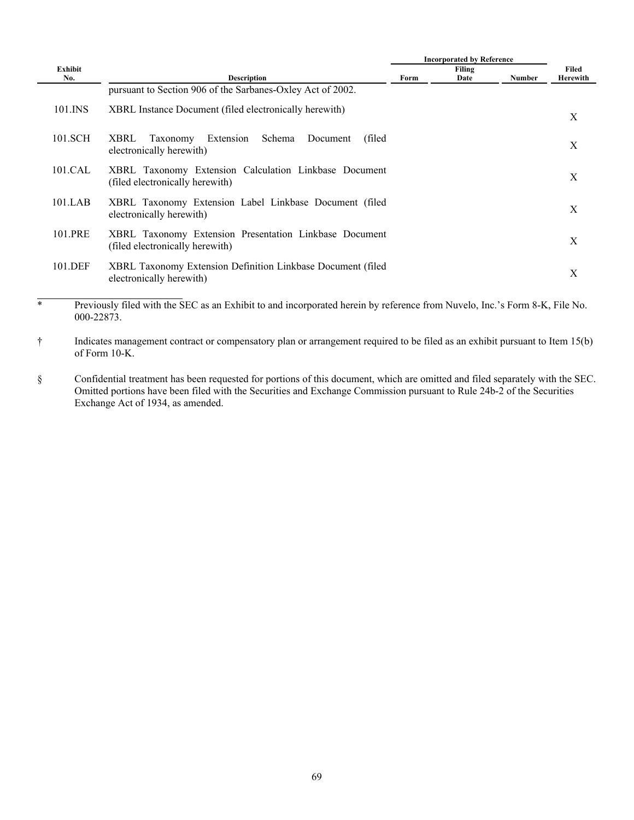|           |                                                                                                   |      | <b>Incorporated by Reference</b> |               |          |
|-----------|---------------------------------------------------------------------------------------------------|------|----------------------------------|---------------|----------|
| Exhibit   |                                                                                                   |      | Filing                           |               | Filed    |
| No.       | <b>Description</b>                                                                                | Form | Date                             | <b>Number</b> | Herewith |
|           | pursuant to Section 906 of the Sarbanes-Oxley Act of 2002.                                        |      |                                  |               |          |
| 101.INS   | XBRL Instance Document (filed electronically herewith)                                            |      |                                  |               | X        |
| 101.SCH   | Extension<br>Schema<br><b>XBRL</b><br>Taxonomy<br>(filed)<br>Document<br>electronically herewith) |      |                                  |               | X        |
| $101$ CAL | XBRL Taxonomy Extension Calculation Linkbase Document<br>(filed electronically herewith)          |      |                                  |               | X        |
| 101.LAB   | XBRL Taxonomy Extension Label Linkbase Document (filed<br>electronically herewith)                |      |                                  |               | X        |
| 101.PRE   | XBRL Taxonomy Extension Presentation Linkbase Document<br>(filed electronically herewith)         |      |                                  |               | X        |
| 101.DEF   | XBRL Taxonomy Extension Definition Linkbase Document (filed<br>electronically herewith)           |      |                                  |               | Χ        |
|           |                                                                                                   |      |                                  |               |          |

\* Previously filed with the SEC as an Exhibit to and incorporated herein by reference from Nuvelo, Inc.'s Form 8-K, File No. 000-22873.

† Indicates management contract or compensatory plan or arrangement required to be filed as an exhibit pursuant to Item 15(b) of Form 10-K.

§ Confidential treatment has been requested for portions of this document, which are omitted and filed separately with the SEC. Omitted portions have been filed with the Securities and Exchange Commission pursuant to Rule 24b-2 of the Securities Exchange Act of 1934, as amended.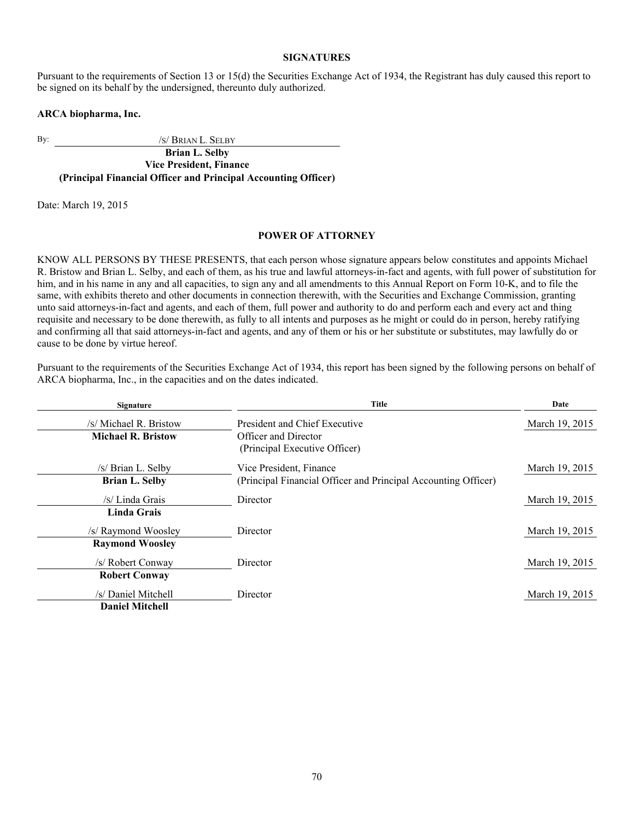## **SIGNATURES**

Pursuant to the requirements of Section 13 or 15(d) the Securities Exchange Act of 1934, the Registrant has duly caused this report to be signed on its behalf by the undersigned, thereunto duly authorized.

#### **ARCA biopharma, Inc.**

By:  $\frac{1}{S}$  BRIAN L. SELBY

**Brian L. Selby Vice President, Finance (Principal Financial Officer and Principal Accounting Officer)**

Date: March 19, 2015

## **POWER OF ATTORNEY**

KNOW ALL PERSONS BY THESE PRESENTS, that each person whose signature appears below constitutes and appoints Michael R. Bristow and Brian L. Selby, and each of them, as his true and lawful attorneys-in-fact and agents, with full power of substitution for him, and in his name in any and all capacities, to sign any and all amendments to this Annual Report on Form 10-K, and to file the same, with exhibits thereto and other documents in connection therewith, with the Securities and Exchange Commission, granting unto said attorneys-in-fact and agents, and each of them, full power and authority to do and perform each and every act and thing requisite and necessary to be done therewith, as fully to all intents and purposes as he might or could do in person, hereby ratifying and confirming all that said attorneys-in-fact and agents, and any of them or his or her substitute or substitutes, may lawfully do or cause to be done by virtue hereof.

Pursuant to the requirements of the Securities Exchange Act of 1934, this report has been signed by the following persons on behalf of ARCA biopharma, Inc., in the capacities and on the dates indicated.

| <b>Signature</b>          | Title                                                          | Date           |
|---------------------------|----------------------------------------------------------------|----------------|
| /s/ Michael R. Bristow    | President and Chief Executive                                  | March 19, 2015 |
| <b>Michael R. Bristow</b> | <b>Officer and Director</b>                                    |                |
|                           | (Principal Executive Officer)                                  |                |
| /s/ Brian L. Selby        | Vice President, Finance                                        | March 19, 2015 |
| <b>Brian L. Selby</b>     | (Principal Financial Officer and Principal Accounting Officer) |                |
| /s/ Linda Grais           | Director                                                       | March 19, 2015 |
| <b>Linda Grais</b>        |                                                                |                |
| /s/ Raymond Woosley       | Director                                                       | March 19, 2015 |
| <b>Raymond Woosley</b>    |                                                                |                |
| /s/ Robert Conway         | Director                                                       | March 19, 2015 |
| <b>Robert Conway</b>      |                                                                |                |
| /s/ Daniel Mitchell       | Director                                                       | March 19, 2015 |
| <b>Daniel Mitchell</b>    |                                                                |                |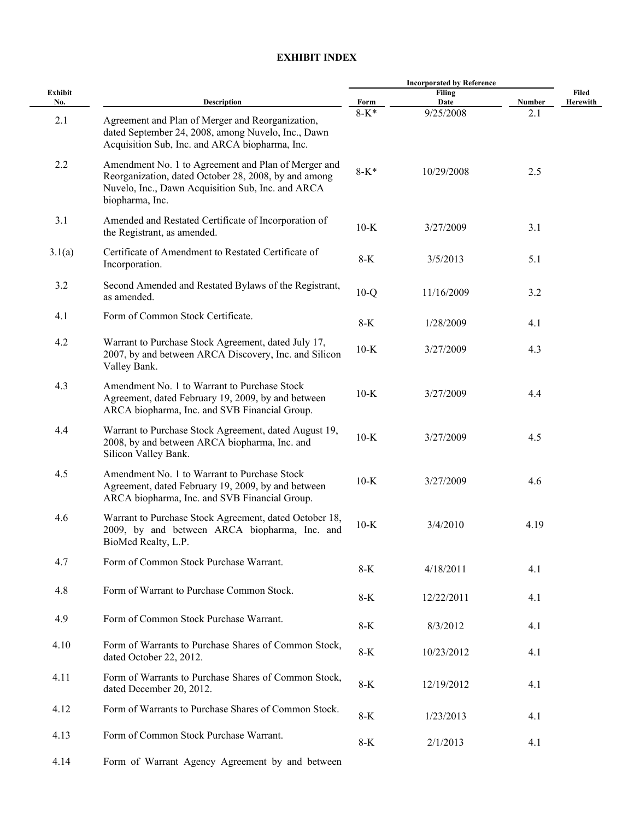## **EXHIBIT INDEX**

|                | <b>Description</b>                                                                                                                                                                  | <b>Incorporated by Reference</b> |                |        |                   |
|----------------|-------------------------------------------------------------------------------------------------------------------------------------------------------------------------------------|----------------------------------|----------------|--------|-------------------|
| Exhibit<br>No. |                                                                                                                                                                                     | Form                             | Filing<br>Date | Number | Filed<br>Herewith |
| 2.1            | Agreement and Plan of Merger and Reorganization,<br>dated September 24, 2008, among Nuvelo, Inc., Dawn<br>Acquisition Sub, Inc. and ARCA biopharma, Inc.                            | $8 - K^*$                        | 9/25/2008      | 2.1    |                   |
| 2.2            | Amendment No. 1 to Agreement and Plan of Merger and<br>Reorganization, dated October 28, 2008, by and among<br>Nuvelo, Inc., Dawn Acquisition Sub, Inc. and ARCA<br>biopharma, Inc. | $8 - K^*$                        | 10/29/2008     | 2.5    |                   |
| 3.1            | Amended and Restated Certificate of Incorporation of<br>the Registrant, as amended.                                                                                                 | $10-K$                           | 3/27/2009      | 3.1    |                   |
| 3.1(a)         | Certificate of Amendment to Restated Certificate of<br>Incorporation.                                                                                                               | $8-K$                            | 3/5/2013       | 5.1    |                   |
| 3.2            | Second Amended and Restated Bylaws of the Registrant,<br>as amended.                                                                                                                | $10-Q$                           | 11/16/2009     | 3.2    |                   |
| 4.1            | Form of Common Stock Certificate.                                                                                                                                                   | $8-K$                            | 1/28/2009      | 4.1    |                   |
| 4.2            | Warrant to Purchase Stock Agreement, dated July 17,<br>2007, by and between ARCA Discovery, Inc. and Silicon<br>Valley Bank.                                                        | $10-K$                           | 3/27/2009      | 4.3    |                   |
| 4.3            | Amendment No. 1 to Warrant to Purchase Stock<br>Agreement, dated February 19, 2009, by and between<br>ARCA biopharma, Inc. and SVB Financial Group.                                 | $10-K$                           | 3/27/2009      | 4.4    |                   |
| 4.4            | Warrant to Purchase Stock Agreement, dated August 19,<br>2008, by and between ARCA biopharma, Inc. and<br>Silicon Valley Bank.                                                      | $10-K$                           | 3/27/2009      | 4.5    |                   |
| 4.5            | Amendment No. 1 to Warrant to Purchase Stock<br>Agreement, dated February 19, 2009, by and between<br>ARCA biopharma, Inc. and SVB Financial Group.                                 | $10-K$                           | 3/27/2009      | 4.6    |                   |
| 4.6            | Warrant to Purchase Stock Agreement, dated October 18,<br>2009, by and between ARCA biopharma, Inc. and<br>BioMed Realty, L.P.                                                      | $10-K$                           | 3/4/2010       | 4.19   |                   |
| 4.7            | Form of Common Stock Purchase Warrant.                                                                                                                                              | $8-K$                            | 4/18/2011      | 4.1    |                   |
| 4.8            | Form of Warrant to Purchase Common Stock.                                                                                                                                           | $8-K$                            | 12/22/2011     | 4.1    |                   |
| 4.9            | Form of Common Stock Purchase Warrant.                                                                                                                                              | $8-K$                            | 8/3/2012       | 4.1    |                   |
| 4.10           | Form of Warrants to Purchase Shares of Common Stock,<br>dated October 22, 2012.                                                                                                     | $8-K$                            | 10/23/2012     | 4.1    |                   |
| 4.11           | Form of Warrants to Purchase Shares of Common Stock,<br>dated December 20, 2012.                                                                                                    | $8-K$                            | 12/19/2012     | 4.1    |                   |
| 4.12           | Form of Warrants to Purchase Shares of Common Stock.                                                                                                                                | $8-K$                            | 1/23/2013      | 4.1    |                   |
| 4.13           | Form of Common Stock Purchase Warrant.                                                                                                                                              | $8-K$                            | 2/1/2013       | 4.1    |                   |
| 4.14           | Form of Warrant Agency Agreement by and between                                                                                                                                     |                                  |                |        |                   |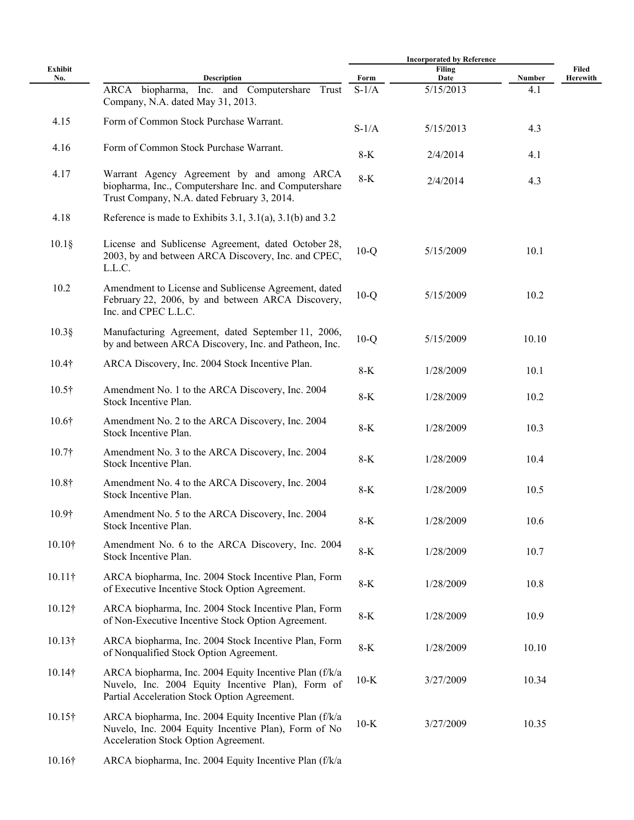|                |                                                                                                                                                             | <b>Incorporated by Reference</b> |                       |        |                   |
|----------------|-------------------------------------------------------------------------------------------------------------------------------------------------------------|----------------------------------|-----------------------|--------|-------------------|
| Exhibit<br>No. | <b>Description</b>                                                                                                                                          | Form                             | <b>Filing</b><br>Date | Number | Filed<br>Herewith |
|                | ARCA biopharma, Inc. and Computershare Trust<br>Company, N.A. dated May 31, 2013.                                                                           | $S-1/A$                          | 5/15/2013             | 4.1    |                   |
| 4.15           | Form of Common Stock Purchase Warrant.                                                                                                                      | $S-1/A$                          | 5/15/2013             | 4.3    |                   |
| 4.16           | Form of Common Stock Purchase Warrant.                                                                                                                      | $8-K$                            | 2/4/2014              | 4.1    |                   |
| 4.17           | Warrant Agency Agreement by and among ARCA<br>biopharma, Inc., Computershare Inc. and Computershare<br>Trust Company, N.A. dated February 3, 2014.          | $8-K$                            | 2/4/2014              | 4.3    |                   |
| 4.18           | Reference is made to Exhibits 3.1, 3.1(a), 3.1(b) and 3.2                                                                                                   |                                  |                       |        |                   |
| $10.1\S$       | License and Sublicense Agreement, dated October 28,<br>2003, by and between ARCA Discovery, Inc. and CPEC,<br>L.L.C.                                        | $10-Q$                           | 5/15/2009             | 10.1   |                   |
| 10.2           | Amendment to License and Sublicense Agreement, dated<br>February 22, 2006, by and between ARCA Discovery,<br>Inc. and CPEC L.L.C.                           | $10-Q$                           | 5/15/2009             | 10.2   |                   |
| $10.3$ §       | Manufacturing Agreement, dated September 11, 2006,<br>by and between ARCA Discovery, Inc. and Patheon, Inc.                                                 | $10-Q$                           | 5/15/2009             | 10.10  |                   |
| $10.4\dagger$  | ARCA Discovery, Inc. 2004 Stock Incentive Plan.                                                                                                             | $8-K$                            | 1/28/2009             | 10.1   |                   |
| $10.5\dagger$  | Amendment No. 1 to the ARCA Discovery, Inc. 2004<br>Stock Incentive Plan.                                                                                   | $8-K$                            | 1/28/2009             | 10.2   |                   |
| 10.6†          | Amendment No. 2 to the ARCA Discovery, Inc. 2004<br>Stock Incentive Plan.                                                                                   | $8-K$                            | 1/28/2009             | 10.3   |                   |
| 10.7†          | Amendment No. 3 to the ARCA Discovery, Inc. 2004<br>Stock Incentive Plan.                                                                                   | $8-K$                            | 1/28/2009             | 10.4   |                   |
| 10.8†          | Amendment No. 4 to the ARCA Discovery, Inc. 2004<br>Stock Incentive Plan.                                                                                   | $8-K$                            | 1/28/2009             | 10.5   |                   |
| 10.9†          | Amendment No. 5 to the ARCA Discovery, Inc. 2004<br>Stock Incentive Plan.                                                                                   | $8-K$                            | 1/28/2009             | 10.6   |                   |
| 10.10†         | Amendment No. 6 to the ARCA Discovery, Inc. 2004<br>Stock Incentive Plan.                                                                                   | $8-K$                            | 1/28/2009             | 10.7   |                   |
| $10.11\dagger$ | ARCA biopharma, Inc. 2004 Stock Incentive Plan, Form<br>of Executive Incentive Stock Option Agreement.                                                      | $8-K$                            | 1/28/2009             | 10.8   |                   |
| $10.12\dagger$ | ARCA biopharma, Inc. 2004 Stock Incentive Plan, Form<br>of Non-Executive Incentive Stock Option Agreement.                                                  | $8-K$                            | 1/28/2009             | 10.9   |                   |
| $10.13\dagger$ | ARCA biopharma, Inc. 2004 Stock Incentive Plan, Form<br>of Nonqualified Stock Option Agreement.                                                             | $8-K$                            | 1/28/2009             | 10.10  |                   |
| $10.14\dagger$ | ARCA biopharma, Inc. 2004 Equity Incentive Plan (f/k/a<br>Nuvelo, Inc. 2004 Equity Incentive Plan), Form of<br>Partial Acceleration Stock Option Agreement. | $10-K$                           | 3/27/2009             | 10.34  |                   |
| $10.15\dagger$ | ARCA biopharma, Inc. 2004 Equity Incentive Plan (f/k/a<br>Nuvelo, Inc. 2004 Equity Incentive Plan), Form of No<br>Acceleration Stock Option Agreement.      | $10-K$                           | 3/27/2009             | 10.35  |                   |
| 10.16†         | ARCA biopharma, Inc. 2004 Equity Incentive Plan (f/k/a                                                                                                      |                                  |                       |        |                   |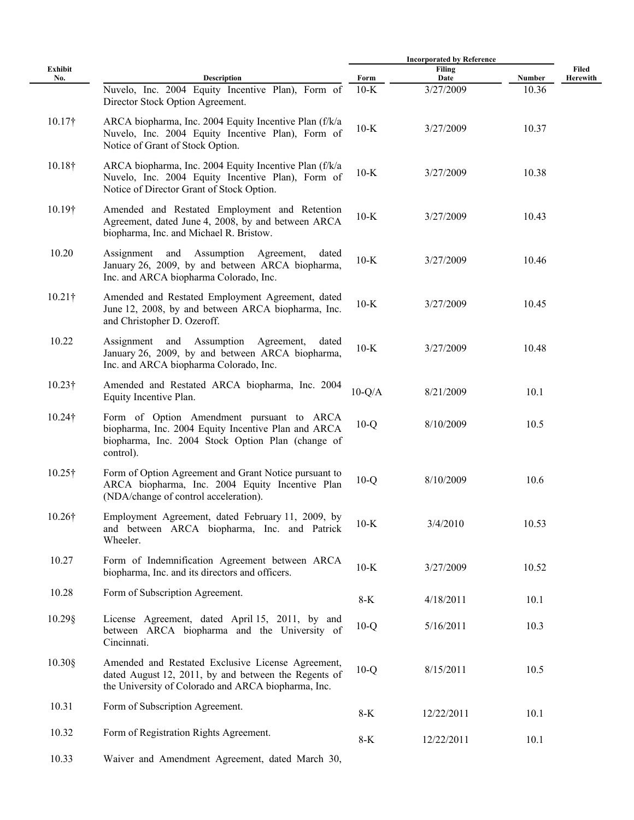|                |                                                                                                                                                                    |          | <b>Incorporated by Reference</b> |        |                   |
|----------------|--------------------------------------------------------------------------------------------------------------------------------------------------------------------|----------|----------------------------------|--------|-------------------|
| Exhibit<br>No. | <b>Description</b>                                                                                                                                                 | Form     | Filing<br>Date                   | Number | Filed<br>Herewith |
|                | Nuvelo, Inc. 2004 Equity Incentive Plan), Form of<br>Director Stock Option Agreement.                                                                              | $10-K$   | 3/27/2009                        | 10.36  |                   |
| $10.17\dagger$ | ARCA biopharma, Inc. 2004 Equity Incentive Plan (f/k/a)<br>Nuvelo, Inc. 2004 Equity Incentive Plan), Form of<br>Notice of Grant of Stock Option.                   | $10-K$   | 3/27/2009                        | 10.37  |                   |
| $10.18\dagger$ | ARCA biopharma, Inc. 2004 Equity Incentive Plan (f/k/a)<br>Nuvelo, Inc. 2004 Equity Incentive Plan), Form of<br>Notice of Director Grant of Stock Option.          | $10-K$   | 3/27/2009                        | 10.38  |                   |
| 10.19†         | Amended and Restated Employment and Retention<br>Agreement, dated June 4, 2008, by and between ARCA<br>biopharma, Inc. and Michael R. Bristow.                     | $10-K$   | 3/27/2009                        | 10.43  |                   |
| 10.20          | Assignment and Assumption Agreement,<br>dated<br>January 26, 2009, by and between ARCA biopharma,<br>Inc. and ARCA biopharma Colorado, Inc.                        | $10-K$   | 3/27/2009                        | 10.46  |                   |
| $10.21\dagger$ | Amended and Restated Employment Agreement, dated<br>June 12, 2008, by and between ARCA biopharma, Inc.<br>and Christopher D. Ozeroff.                              | $10-K$   | 3/27/2009                        | 10.45  |                   |
| 10.22          | Assignment and Assumption<br>Agreement,<br>dated<br>January 26, 2009, by and between ARCA biopharma,<br>Inc. and ARCA biopharma Colorado, Inc.                     | $10-K$   | 3/27/2009                        | 10.48  |                   |
| $10.23\dagger$ | Amended and Restated ARCA biopharma, Inc. 2004<br>Equity Incentive Plan.                                                                                           | $10-Q/A$ | 8/21/2009                        | 10.1   |                   |
| $10.24\dagger$ | Form of Option Amendment pursuant to ARCA<br>biopharma, Inc. 2004 Equity Incentive Plan and ARCA<br>biopharma, Inc. 2004 Stock Option Plan (change of<br>control). | $10-Q$   | 8/10/2009                        | 10.5   |                   |
| $10.25\dagger$ | Form of Option Agreement and Grant Notice pursuant to<br>ARCA biopharma, Inc. 2004 Equity Incentive Plan<br>(NDA/change of control acceleration).                  | $10-Q$   | 8/10/2009                        | 10.6   |                   |
| 10.26†         | Employment Agreement, dated February 11, 2009, by<br>and between ARCA biopharma, Inc. and Patrick<br>Wheeler.                                                      | $10-K$   | 3/4/2010                         | 10.53  |                   |
| 10.27          | Form of Indemnification Agreement between ARCA<br>biopharma, Inc. and its directors and officers.                                                                  | $10-K$   | 3/27/2009                        | 10.52  |                   |
| 10.28          | Form of Subscription Agreement.                                                                                                                                    | $8-K$    | 4/18/2011                        | 10.1   |                   |
| $10.29$ §      | License Agreement, dated April 15, 2011, by and<br>between ARCA biopharma and the University of<br>Cincinnati.                                                     | $10-Q$   | 5/16/2011                        | 10.3   |                   |
| $10.30$ §      | Amended and Restated Exclusive License Agreement,<br>dated August 12, 2011, by and between the Regents of<br>the University of Colorado and ARCA biopharma, Inc.   | $10-Q$   | 8/15/2011                        | 10.5   |                   |
| 10.31          | Form of Subscription Agreement.                                                                                                                                    | $8-K$    | 12/22/2011                       | 10.1   |                   |
| 10.32          | Form of Registration Rights Agreement.                                                                                                                             | $8-K$    | 12/22/2011                       | 10.1   |                   |
| 10.33          | Waiver and Amendment Agreement, dated March 30,                                                                                                                    |          |                                  |        |                   |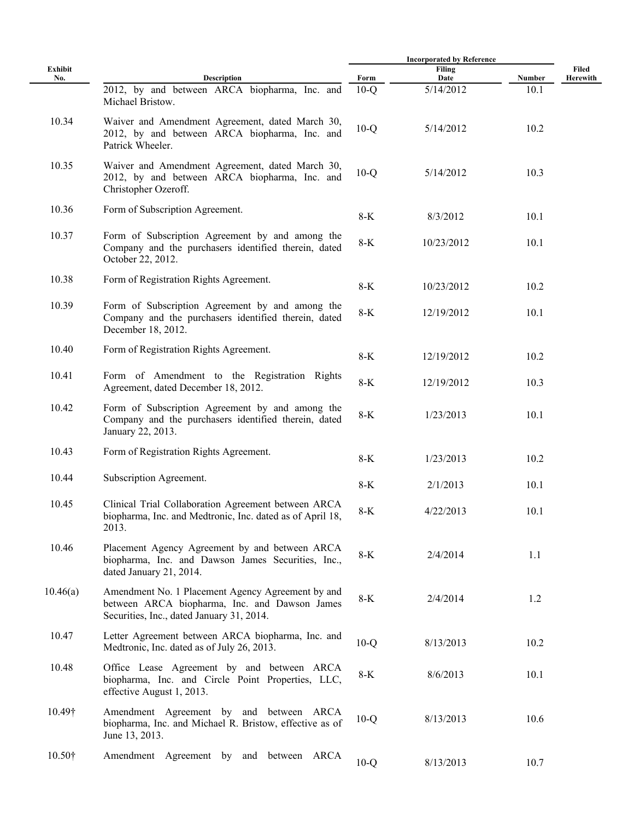|                |                                                                                                                                                 |        | <b>Incorporated by Reference</b> |        |                   |
|----------------|-------------------------------------------------------------------------------------------------------------------------------------------------|--------|----------------------------------|--------|-------------------|
| Exhibit<br>No. | <b>Description</b>                                                                                                                              | Form   | <b>Filing</b><br>Date            | Number | Filed<br>Herewith |
|                | 2012, by and between ARCA biopharma, Inc. and<br>Michael Bristow.                                                                               | $10-Q$ | 5/14/2012                        | 10.1   |                   |
| 10.34          | Waiver and Amendment Agreement, dated March 30,<br>2012, by and between ARCA biopharma, Inc. and<br>Patrick Wheeler.                            | $10-Q$ | 5/14/2012                        | 10.2   |                   |
| 10.35          | Waiver and Amendment Agreement, dated March 30,<br>2012, by and between ARCA biopharma, Inc. and<br>Christopher Ozeroff.                        | $10-Q$ | 5/14/2012                        | 10.3   |                   |
| 10.36          | Form of Subscription Agreement.                                                                                                                 | 8-K    | 8/3/2012                         | 10.1   |                   |
| 10.37          | Form of Subscription Agreement by and among the<br>Company and the purchasers identified therein, dated<br>October 22, 2012.                    | 8-K    | 10/23/2012                       | 10.1   |                   |
| 10.38          | Form of Registration Rights Agreement.                                                                                                          | $8-K$  | 10/23/2012                       | 10.2   |                   |
| 10.39          | Form of Subscription Agreement by and among the<br>Company and the purchasers identified therein, dated<br>December 18, 2012.                   | $8-K$  | 12/19/2012                       | 10.1   |                   |
| 10.40          | Form of Registration Rights Agreement.                                                                                                          | $8-K$  | 12/19/2012                       | 10.2   |                   |
| 10.41          | Form of Amendment to the Registration Rights<br>Agreement, dated December 18, 2012.                                                             | $8-K$  | 12/19/2012                       | 10.3   |                   |
| 10.42          | Form of Subscription Agreement by and among the<br>Company and the purchasers identified therein, dated<br>January 22, 2013.                    | $8-K$  | 1/23/2013                        | 10.1   |                   |
| 10.43          | Form of Registration Rights Agreement.                                                                                                          | 8-K    | 1/23/2013                        | 10.2   |                   |
| 10.44          | Subscription Agreement.                                                                                                                         | 8-K    | 2/1/2013                         | 10.1   |                   |
| 10.45          | Clinical Trial Collaboration Agreement between ARCA<br>biopharma, Inc. and Medtronic, Inc. dated as of April 18,<br>2013.                       | $8-K$  | 4/22/2013                        | 10.1   |                   |
| 10.46          | Placement Agency Agreement by and between ARCA<br>biopharma, Inc. and Dawson James Securities, Inc.,<br>dated January 21, 2014.                 | 8-K    | 2/4/2014                         | 1.1    |                   |
| 10.46(a)       | Amendment No. 1 Placement Agency Agreement by and<br>between ARCA biopharma, Inc. and Dawson James<br>Securities, Inc., dated January 31, 2014. | $8-K$  | 2/4/2014                         | 1.2    |                   |
| 10.47          | Letter Agreement between ARCA biopharma, Inc. and<br>Medtronic, Inc. dated as of July 26, 2013.                                                 | $10-Q$ | 8/13/2013                        | 10.2   |                   |
| 10.48          | Office Lease Agreement by and between ARCA<br>biopharma, Inc. and Circle Point Properties, LLC,<br>effective August 1, 2013.                    | $8-K$  | 8/6/2013                         | 10.1   |                   |
| 10.49†         | Amendment Agreement by and between ARCA<br>biopharma, Inc. and Michael R. Bristow, effective as of<br>June 13, 2013.                            | $10-Q$ | 8/13/2013                        | 10.6   |                   |
| $10.50\dagger$ | Amendment Agreement by and<br>between<br>ARCA                                                                                                   | $10-Q$ | 8/13/2013                        | 10.7   |                   |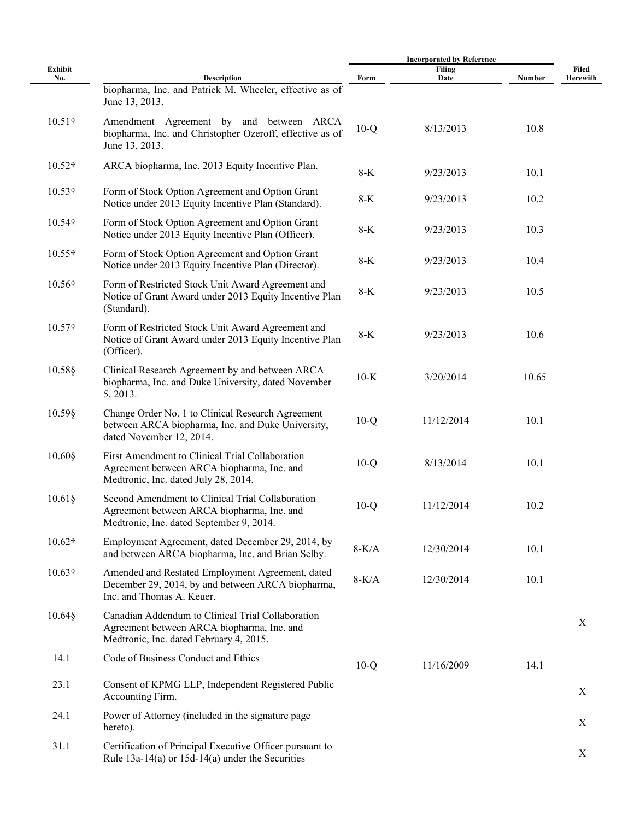|                |                                                                                                                                            |         | <b>Incorporated by Reference</b> |        |                           |
|----------------|--------------------------------------------------------------------------------------------------------------------------------------------|---------|----------------------------------|--------|---------------------------|
| Exhibit<br>No. | <b>Description</b>                                                                                                                         | Form    | Filing<br>Date                   | Number | Filed<br>Herewith         |
|                | biopharma, Inc. and Patrick M. Wheeler, effective as of<br>June 13, 2013.                                                                  |         |                                  |        |                           |
| $10.51\dagger$ | Amendment Agreement by and between ARCA<br>biopharma, Inc. and Christopher Ozeroff, effective as of<br>June 13, 2013.                      | $10-Q$  | 8/13/2013                        | 10.8   |                           |
| $10.52\dagger$ | ARCA biopharma, Inc. 2013 Equity Incentive Plan.                                                                                           | $8-K$   | 9/23/2013                        | 10.1   |                           |
| $10.53\dagger$ | Form of Stock Option Agreement and Option Grant<br>Notice under 2013 Equity Incentive Plan (Standard).                                     | $8-K$   | 9/23/2013                        | 10.2   |                           |
| $10.54\dagger$ | Form of Stock Option Agreement and Option Grant<br>Notice under 2013 Equity Incentive Plan (Officer).                                      | $8-K$   | 9/23/2013                        | 10.3   |                           |
| $10.55\dagger$ | Form of Stock Option Agreement and Option Grant<br>Notice under 2013 Equity Incentive Plan (Director).                                     | $8-K$   | 9/23/2013                        | 10.4   |                           |
| 10.56†         | Form of Restricted Stock Unit Award Agreement and<br>Notice of Grant Award under 2013 Equity Incentive Plan<br>(Standard).                 | $8-K$   | 9/23/2013                        | 10.5   |                           |
| 10.57†         | Form of Restricted Stock Unit Award Agreement and<br>Notice of Grant Award under 2013 Equity Incentive Plan<br>(Officer).                  | $8-K$   | 9/23/2013                        | 10.6   |                           |
| 10.58§         | Clinical Research Agreement by and between ARCA<br>biopharma, Inc. and Duke University, dated November<br>5, 2013.                         | $10-K$  | 3/20/2014                        | 10.65  |                           |
| 10.59§         | Change Order No. 1 to Clinical Research Agreement<br>between ARCA biopharma, Inc. and Duke University,<br>dated November 12, 2014.         | $10-Q$  | 11/12/2014                       | 10.1   |                           |
| $10.60$ §      | First Amendment to Clinical Trial Collaboration<br>Agreement between ARCA biopharma, Inc. and<br>Medtronic, Inc. dated July 28, 2014.      | $10-Q$  | 8/13/2014                        | 10.1   |                           |
| $10.61\$       | Second Amendment to Clinical Trial Collaboration<br>Agreement between ARCA biopharma, Inc. and<br>Medtronic, Inc. dated September 9, 2014. | $10-Q$  | 11/12/2014                       | 10.2   |                           |
| $10.62\dagger$ | Employment Agreement, dated December 29, 2014, by<br>and between ARCA biopharma, Inc. and Brian Selby.                                     | $8-K/A$ | 12/30/2014                       | 10.1   |                           |
| $10.63\dagger$ | Amended and Restated Employment Agreement, dated<br>December 29, 2014, by and between ARCA biopharma,<br>Inc. and Thomas A. Keuer.         | $8-K/A$ | 12/30/2014                       | 10.1   |                           |
| $10.64\$       | Canadian Addendum to Clinical Trial Collaboration<br>Agreement between ARCA biopharma, Inc. and<br>Medtronic, Inc. dated February 4, 2015. |         |                                  |        | $\mathbf X$               |
| 14.1           | Code of Business Conduct and Ethics                                                                                                        | $10-Q$  | 11/16/2009                       | 14.1   |                           |
| 23.1           | Consent of KPMG LLP, Independent Registered Public<br>Accounting Firm.                                                                     |         |                                  |        | X                         |
| 24.1           | Power of Attorney (included in the signature page<br>hereto).                                                                              |         |                                  |        | $\boldsymbol{\mathrm{X}}$ |
| 31.1           | Certification of Principal Executive Officer pursuant to<br>Rule $13a-14(a)$ or $15d-14(a)$ under the Securities                           |         |                                  |        | X                         |